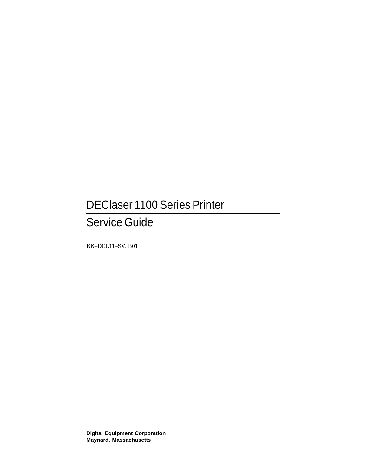# DEClaser 1100 Series Printer

# Service Guide

EK–DCL11–SV. B01

**Digital Equipment Corporation Maynard, Massachusetts**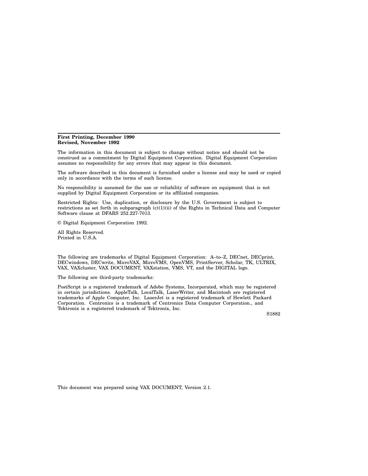#### **First Printing, December 1990 Revised, November 1992**

The information in this document is subject to change without notice and should not be construed as a commitment by Digital Equipment Corporation. Digital Equipment Corporation assumes no responsibility for any errors that may appear in this document.

The software described in this document is furnished under a license and may be used or copied only in accordance with the terms of such license.

No responsibility is assumed for the use or reliability of software on equipment that is not supplied by Digital Equipment Corporation or its affiliated companies.

Restricted Rights: Use, duplication, or disclosure by the U.S. Government is subject to restrictions as set forth in subparagraph  $(c)(1)(ii)$  of the Rights in Technical Data and Computer Software clause at DFARS 252.227-7013.

© Digital Equipment Corporation 1992.

All Rights Reserved. Printed in U.S.A.

The following are trademarks of Digital Equipment Corporation: A–to–Z, DECnet, DECprint, DECwindows, DECwrite, MicroVAX, MicroVMS, OpenVMS, PrintServer, Scholar, TK, ULTRIX, VAX, VAXcluster, VAX DOCUMENT, VAXstation, VMS, VT, and the DIGITAL logo.

The following are third-party trademarks:

PostScript is a registered trademark of Adobe Systems, Incorporated, which may be registered in certain jurisdictions. AppleTalk, LocalTalk, LaserWriter, and Macintosh are registered trademarks of Apple Computer, Inc. LaserJet is a registered trademark of Hewlett Packard Corporation. Centronics is a trademark of Centronics Data Computer Corporation., and Tektronix is a registered trademark of Tektronix, Inc.

S1882

This document was prepared using VAX DOCUMENT, Version 2.1.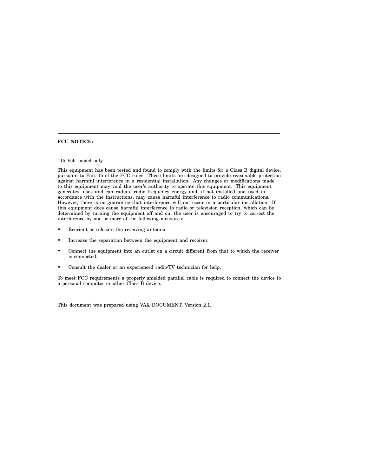#### **FCC NOTICE:**

#### 115 Volt model only

This equipment has been tested and found to comply with the limits for a Class B digital device, pursuant to Part 15 of the FCC rules. These limits are designed to provide reasonable protection against harmful interference in a residential installation. Any changes or modifications made to this equipment may void the user's authority to operate this equipment. This equipment generates, uses and can radiate radio frequency energy and, if not installed and used in accordance with the instructions, may cause harmful interference to radio communications. However, there is no guarantee that interference will not occur in a particular installation. If this equipment does cause harmful interference to radio or television reception, which can be determined by turning the equipment off and on, the user is encouraged to try to correct the interference by one or more of the following measures:

- Reorient or relocate the receiving antenna.
- Increase the separation between the equipment and receiver.
- Connect the equipment into an outlet on a circuit different from that to which the receiver is connected.
- Consult the dealer or an experienced radio/TV technician for help.

To meet FCC requirements a properly shielded parallel cable is required to connect the device to a personal computer or other Class B device.

This document was prepared using VAX DOCUMENT, Version 2.1.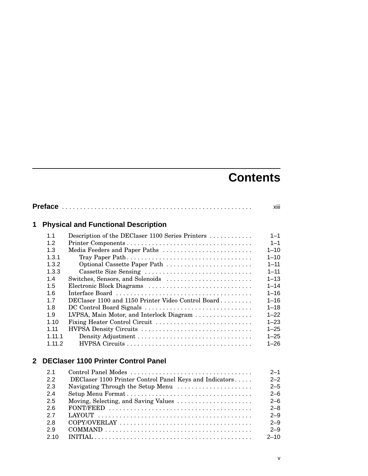# **Contents**

|              |                                                                                                                            |                                                                                                                                                                                                                                                                                                                                                                                                      | xiii                                                                                                                                                                                       |
|--------------|----------------------------------------------------------------------------------------------------------------------------|------------------------------------------------------------------------------------------------------------------------------------------------------------------------------------------------------------------------------------------------------------------------------------------------------------------------------------------------------------------------------------------------------|--------------------------------------------------------------------------------------------------------------------------------------------------------------------------------------------|
| 1            |                                                                                                                            | <b>Physical and Functional Description</b>                                                                                                                                                                                                                                                                                                                                                           |                                                                                                                                                                                            |
|              | 1.1<br>1.2<br>1.3<br>1.3.1<br>1.3.2<br>1.3.3<br>1.4<br>1.5<br>1.6<br>1.7<br>1.8<br>1.9<br>1.10<br>1.11<br>1.11.1<br>1.11.2 | Description of the DEClaser 1100 Series Printers<br>Media Feeders and Paper Paths<br>Optional Cassette Paper Path<br>Cassette Size Sensing<br>Switches, Sensors, and Solenoids<br>Electronic Block Diagrams<br>DEClaser 1100 and 1150 Printer Video Control Board<br>DC Control Board Signals<br>LVPSA, Main Motor, and Interlock Diagram<br>Fixing Heater Control Circuit<br>HVPSA Density Circuits | $1 - 1$<br>$1 - 1$<br>$1 - 10$<br>$1 - 10$<br>$1 - 11$<br>$1 - 11$<br>$1 - 13$<br>$1 - 14$<br>$1 - 16$<br>$1 - 16$<br>$1 - 18$<br>$1 - 22$<br>$1 - 23$<br>$1 - 25$<br>$1 - 25$<br>$1 - 26$ |
| $\mathbf{2}$ |                                                                                                                            | <b>DEClaser 1100 Printer Control Panel</b>                                                                                                                                                                                                                                                                                                                                                           |                                                                                                                                                                                            |
|              | 2.1<br>2.2<br>2.3<br>2.4<br>2.5<br>2.6<br>2.7<br>2.8<br>2.9<br>2.10                                                        | Control Panel Modes<br>DEClaser 1100 Printer Control Panel Keys and Indicators<br>Navigating Through the Setup Menu<br>Moving, Selecting, and Saving Values                                                                                                                                                                                                                                          | $2 - 1$<br>$2 - 2$<br>$2 - 5$<br>$2 - 6$<br>$2 - 6$<br>$2 - 8$<br>$2 - 9$<br>$2 - 9$<br>$2 - 9$<br>$2 - 10$                                                                                |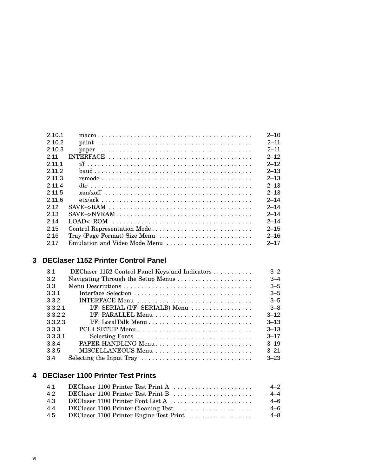| 2,10,1 |                               | $2 - 10$ |
|--------|-------------------------------|----------|
| 2.10.2 |                               | $2 - 11$ |
| 2.10.3 |                               | $2 - 11$ |
| 2 11   |                               | $2 - 12$ |
| 2 11 1 |                               | $2 - 12$ |
| 2112   |                               | $2 - 13$ |
| 2,11,3 |                               | $2 - 13$ |
| 2 11 4 |                               | $2 - 13$ |
| 2 11 5 |                               | $2 - 13$ |
| 2.11.6 |                               | $2 - 14$ |
| 2.12   |                               | $2 - 14$ |
| 2,13   |                               | $2 - 14$ |
| 2 14   |                               | $2 - 14$ |
| 2.15   | Control Representation Mode   | $2 - 15$ |
| 216    | Tray (Page Format) Size Menu  | $2 - 16$ |
| 2.17   | Emulation and Video Mode Menu | $2 - 17$ |

# **3 DEClaser 1152 Printer Control Panel**

| 3.1     | DEClaser 1152 Control Panel Keys and Indicators | $3 - 2$  |
|---------|-------------------------------------------------|----------|
|         |                                                 |          |
| 3.2     |                                                 | $3 - 4$  |
| 3.3     |                                                 | $3 - 5$  |
| 3.3.1   |                                                 | $3 - 5$  |
| 3.3.2   | INTERFACE Menu                                  | $3 - 5$  |
| 3.3.2.1 | I/F: SERIAL (I/F: SERIALB) Menu                 | $3 - 8$  |
| 3.3.2.2 | I/F: PARALLEL Menu                              | $3 - 12$ |
| 3.3.2.3 |                                                 | $3 - 13$ |
| 3.3.3   |                                                 | $3 - 13$ |
| 3.3.3.1 |                                                 | $3 - 17$ |
| 3.3.4   | PAPER HANDLING Menu                             | $3 - 19$ |
| 3.3.5   | MISCELLANEOUS Menu                              | $3 - 21$ |
| 3.4     |                                                 | $3 - 23$ |

## **4 DEClaser 1100 Printer Test Prints**

| 41  | DEClaser 1100 Printer Test Print A      | $4 - 2$ |
|-----|-----------------------------------------|---------|
| 42  | DEClaser 1100 Printer Test Print B      | $4 - 4$ |
| 4.3 | DEClaser 1100 Printer Font List A       | $4 - 6$ |
| 4.4 |                                         | 4–6     |
| 4.5 | DEClaser 1100 Printer Engine Test Print | 4–8     |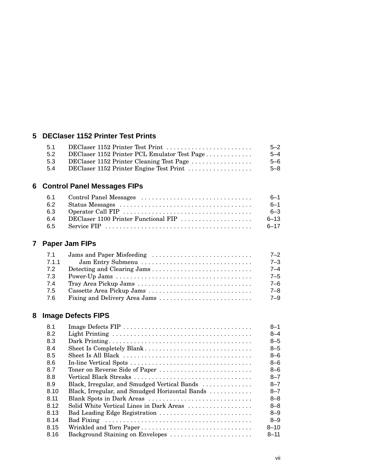## **5 DEClaser 1152 Printer Test Prints**

|                                              | $5 - 2$                          |
|----------------------------------------------|----------------------------------|
| DEClaser 1152 Printer PCL Emulator Test Page | $5 - 4$                          |
| DEClaser 1152 Printer Cleaning Test Page     | $5 - 6$                          |
| DEClaser 1152 Printer Engine Test Print      | $5 - 8$                          |
|                                              | DEClaser 1152 Printer Test Print |

# **6 Control Panel Messages FIPs**

| 6.1 |                                      | $6 - 1$  |
|-----|--------------------------------------|----------|
| 6.2 |                                      | $6 - 1$  |
| 6.3 |                                      | $6 - 3$  |
| 64  | DEClaser 1100 Printer Functional FIP | $6 - 13$ |
| 6.5 |                                      | $6 - 17$ |

# **7 Paper Jam FIPs**

| 7.1   |                   | $7 - 2$ |
|-------|-------------------|---------|
| 7.1.1 | Jam Entry Submenu | $7 - 3$ |
| 7.2   |                   | $7 - 4$ |
| 7.3   |                   | $7 - 5$ |
| 7.4   |                   | $7 - 6$ |
| 7.5   |                   | $7 - 8$ |
| 7.6   |                   | $7 - 9$ |

# **8 Image Defects FIPS**

| <b>8.1</b> |                                                | $8 - 1$  |
|------------|------------------------------------------------|----------|
| 8.2        |                                                | $8 - 4$  |
| 8.3        |                                                | $8 - 5$  |
| 8.4        |                                                | $8 - 5$  |
| 8.5        |                                                | $8 - 6$  |
| 8.6        |                                                | $8 - 6$  |
| 8.7        | Toner on Reverse Side of Paper                 | $8 - 6$  |
| 8.8        |                                                | $8 - 7$  |
| 8.9        | Black, Irregular, and Smudged Vertical Bands   | $8 - 7$  |
| 8.10       | Black, Irregular, and Smudged Horizontal Bands | $8 - 7$  |
| 8.11       | Blank Spots in Dark Areas                      | $8 - 8$  |
| 8.12       | Solid White Vertical Lines in Dark Areas       | $8 - 8$  |
| 8.13       |                                                | $8 - 9$  |
| 8.14       |                                                | $8 - 9$  |
| 8.15       |                                                | $8 - 10$ |
| 8.16       | Background Staining on Envelopes               | $8 - 11$ |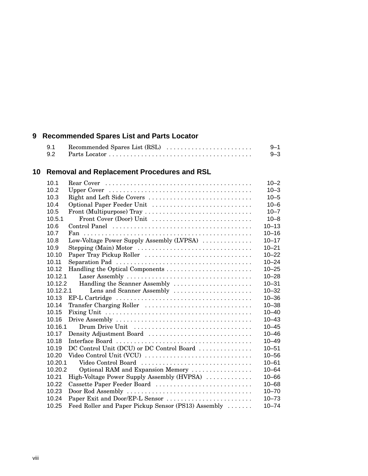# **9 Recommended Spares List and Parts Locator**

| 9.1 | $9 - 1$ |
|-----|---------|
|     | $9 - 3$ |

# **10 Removal and Replacement Procedures and RSL**

| 10.1                                                         | $10 - 2$  |
|--------------------------------------------------------------|-----------|
| 10.2                                                         | $10 - 3$  |
| Right and Left Side Covers<br>10.3                           | $10 - 5$  |
| 10.4<br>Optional Paper Feeder Unit                           | $10 - 6$  |
| 10.5<br>Front (Multipurpose) Tray                            | $10 - 7$  |
| 10.5.1<br>Front Cover (Door) Unit                            | $10 - 8$  |
| 10.6                                                         | $10 - 13$ |
| 10.7                                                         | $10 - 16$ |
| Low-Voltage Power Supply Assembly (LVPSA)<br>10.8            | $10 - 17$ |
| 10.9<br>Stepping (Main) Motor                                | $10 - 21$ |
| Paper Tray Pickup Roller<br>10.10                            | $10 - 22$ |
| 10.11                                                        | $10 - 24$ |
| 10.12                                                        | $10 - 25$ |
| 10.12.1                                                      | $10 - 28$ |
| Handling the Scanner Assembly<br>10.12.2                     | $10 - 31$ |
| 10.12.2.1<br>Lens and Scanner Assembly                       | $10 - 32$ |
| 10.13                                                        | $10 - 36$ |
| 10.14<br>Transfer Charging Roller                            | $10 - 38$ |
| 10.15                                                        | $10 - 40$ |
| 10.16                                                        | $10 - 43$ |
| Drum Drive Unit<br>10.16.1                                   | $10 - 45$ |
| Density Adjustment Board<br>10.17                            | $10 - 46$ |
| 10.18                                                        | $10 - 49$ |
| DC Control Unit (DCU) or DC Control Board<br>10.19           | $10 - 51$ |
| Video Control Unit (VCU)<br>10.20                            | $10 - 56$ |
| 10.20.1<br>Video Control Board                               | $10 - 61$ |
| Optional RAM and Expansion Memory<br>10.20.2                 | $10 - 64$ |
| High-Voltage Power Supply Assembly (HVPSA)<br>10.21          | $10 - 66$ |
| 10.22<br>Cassette Paper Feeder Board                         | $10 - 68$ |
| 10.23                                                        | $10 - 70$ |
| Paper Exit and Door/EP-L Sensor<br>10.24                     | $10 - 73$ |
| Feed Roller and Paper Pickup Sensor (PS13) Assembly<br>10.25 | $10 - 74$ |
|                                                              |           |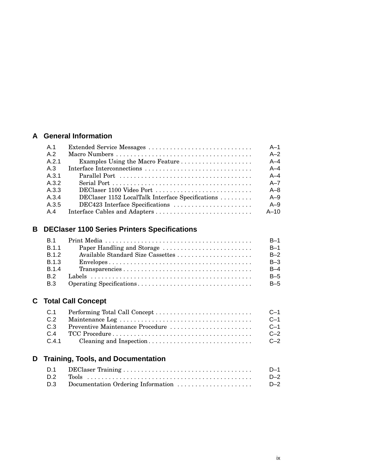### **A General Information**

| A.1   |                                                  | $A-1$   |
|-------|--------------------------------------------------|---------|
| A.2   |                                                  | $A-2$   |
| A.2.1 | Examples Using the Macro Feature                 | $A - 4$ |
| A.3   | Interface Interconnections                       | $A - 4$ |
| A.3.1 |                                                  | $A - 4$ |
| A.3.2 |                                                  | $A - 7$ |
| A.3.3 |                                                  | $A - 8$ |
| A 3.4 | DEClaser 1152 LocalTalk Interface Specifications | $A - 9$ |
| A.3.5 | DEC423 Interface Specifications                  | $A - 9$ |
| A.4   |                                                  | $A-10$  |

# **B DEClaser 1100 Series Printers Specifications**

| <b>B.1</b>   |                                                                                                 | $B-1$ |
|--------------|-------------------------------------------------------------------------------------------------|-------|
| <b>B.1.1</b> |                                                                                                 | $B-1$ |
| B.1.2        |                                                                                                 | $B-2$ |
| <b>B.1.3</b> | $Envelopes \ldots \ldots \ldots \ldots \ldots \ldots \ldots \ldots \ldots \ldots \ldots \ldots$ | $B-3$ |
| <b>B.1.4</b> |                                                                                                 | $B-4$ |
| <b>B</b> 2   |                                                                                                 | $B-5$ |
| B.3          |                                                                                                 | $B-5$ |

# **C Total Call Concept**

| C.1 |                                  | $C-1$   |
|-----|----------------------------------|---------|
| C.2 |                                  | $C-1$   |
| C.3 | Preventive Maintenance Procedure | $C-1$   |
| C.4 |                                  | $C - 2$ |
|     |                                  | $C - 2$ |

# **D Training, Tools, and Documentation**

|                                        | D-1   |
|----------------------------------------|-------|
|                                        | $D-2$ |
| D.3 Documentation Ordering Information | $D-2$ |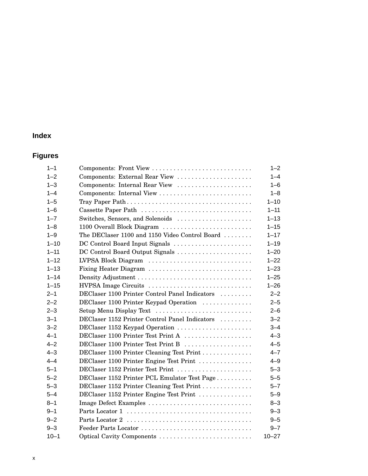# **Index**

# **Figures**

| $1 - 1$  | Components: Front View                         | $1 - 2$   |
|----------|------------------------------------------------|-----------|
| $1 - 2$  | Components: External Rear View                 | $1 - 4$   |
| $1 - 3$  | Components: Internal Rear View                 | $1 - 6$   |
| $1 - 4$  |                                                | $1 - 8$   |
| $1 - 5$  |                                                | $1 - 10$  |
| $1 - 6$  | Cassette Paper Path                            | $1 - 11$  |
| $1 - 7$  | Switches, Sensors, and Solenoids               | $1 - 13$  |
| $1 - 8$  | 1100 Overall Block Diagram                     | $1 - 15$  |
| $1 - 9$  | The DEClaser 1100 and 1150 Video Control Board | $1 - 17$  |
| $1 - 10$ | DC Control Board Input Signals                 | $1 - 19$  |
| $1 - 11$ | DC Control Board Output Signals                | $1 - 20$  |
| $1 - 12$ | LVPSA Block Diagram                            | $1 - 22$  |
| $1 - 13$ | Fixing Heater Diagram                          | $1 - 23$  |
| $1 - 14$ |                                                | $1 - 25$  |
| $1 - 15$ | HVPSA Image Circuits                           | $1 - 26$  |
| $2 - 1$  | DEClaser 1100 Printer Control Panel Indicators | $2 - 2$   |
| $2 - 2$  | DEClaser 1100 Printer Keypad Operation         | $2 - 5$   |
| $2 - 3$  | Setup Menu Display Text                        | $2 - 6$   |
| $3 - 1$  | DEClaser 1152 Printer Control Panel Indicators | $3 - 2$   |
| $3 - 2$  | DEClaser 1152 Keypad Operation                 | $3 - 4$   |
| $4 - 1$  | DEClaser 1100 Printer Test Print A             | $4 - 3$   |
| $4 - 2$  | DEClaser 1100 Printer Test Print B             | $4 - 5$   |
| $4 - 3$  | DEClaser 1100 Printer Cleaning Test Print      | $4 - 7$   |
| $4 - 4$  | DEClaser 1100 Printer Engine Test Print        | $4 - 9$   |
| $5 - 1$  | DEClaser 1152 Printer Test Print               | $5 - 3$   |
| $5 - 2$  | DEClaser 1152 Printer PCL Emulator Test Page   | $5 - 5$   |
| $5 - 3$  | DEClaser 1152 Printer Cleaning Test Print      | $5 - 7$   |
| $5 - 4$  | DEClaser 1152 Printer Engine Test Print        | $5 - 9$   |
| $8 - 1$  | Image Defect Examples                          | $8 - 3$   |
| $9 - 1$  |                                                | $9 - 3$   |
| $9 - 2$  |                                                | $9 - 5$   |
| $9 - 3$  |                                                | $9 - 7$   |
| $10 - 1$ | Optical Cavity Components                      | $10 - 27$ |
|          |                                                |           |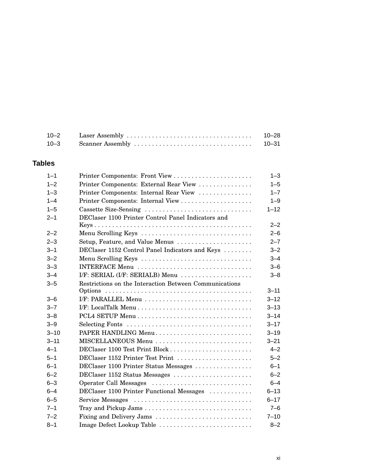| $10 - 2$ | $10 - 28$ |
|----------|-----------|
| $10 - 3$ | $10 - 31$ |

### **Tables**

| $1 - 1$  |                                                        | $1 - 3$  |  |  |
|----------|--------------------------------------------------------|----------|--|--|
| $1 - 2$  | Printer Components: External Rear View                 | $1 - 5$  |  |  |
| $1 - 3$  | Printer Components: Internal Rear View                 |          |  |  |
| $1 - 4$  |                                                        | $1 - 9$  |  |  |
| $1 - 5$  | Cassette Size-Sensing                                  | $1 - 12$ |  |  |
| $2 - 1$  | DEClaser 1100 Printer Control Panel Indicators and     |          |  |  |
|          |                                                        | $2 - 2$  |  |  |
| $2 - 2$  | Menu Scrolling Keys                                    | $2 - 6$  |  |  |
| $2 - 3$  | Setup, Feature, and Value Menus                        | $2 - 7$  |  |  |
| $3 - 1$  | DEClaser 1152 Control Panel Indicators and Keys        | $3 - 2$  |  |  |
| $3 - 2$  | Menu Scrolling Keys                                    | $3 - 4$  |  |  |
| $3 - 3$  | INTERFACE Menu                                         | $3 - 6$  |  |  |
| $3 - 4$  | I/F: SERIAL (I/F: SERIALB) Menu                        | $3 - 8$  |  |  |
| $3 - 5$  | Restrictions on the Interaction Between Communications |          |  |  |
|          |                                                        | $3 - 11$ |  |  |
| $3 - 6$  |                                                        | $3 - 12$ |  |  |
| $3 - 7$  |                                                        | $3 - 13$ |  |  |
| $3 - 8$  |                                                        | $3 - 14$ |  |  |
| $3 - 9$  | Selecting Fonts                                        | $3 - 17$ |  |  |
| $3 - 10$ | PAPER HANDLING Menu                                    | $3 - 19$ |  |  |
| $3 - 11$ | MISCELLANEOUS Menu                                     | $3 - 21$ |  |  |
| $4 - 1$  | DEClaser 1100 Test Print Block                         | $4 - 2$  |  |  |
| $5 - 1$  | DEClaser 1152 Printer Test Print                       | $5 - 2$  |  |  |
| $6 - 1$  | DEClaser 1100 Printer Status Messages                  | $6 - 1$  |  |  |
| $6 - 2$  | DEClaser 1152 Status Messages                          | $6 - 2$  |  |  |
| $6 - 3$  | Operator Call Messages                                 | $6 - 4$  |  |  |
| $6 - 4$  | DEClaser 1100 Printer Functional Messages              | $6 - 13$ |  |  |
| $6 - 5$  | Service Messages                                       | $6 - 17$ |  |  |
| $7 - 1$  |                                                        | $7 - 6$  |  |  |
| $7 - 2$  | Fixing and Delivery Jams                               | $7 - 10$ |  |  |
| $8 - 1$  | Image Defect Lookup Table                              | $8 - 2$  |  |  |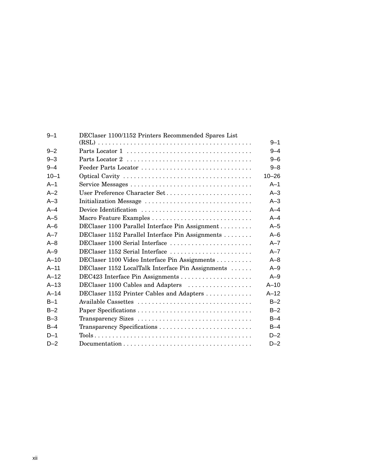| $9 - 1$  | DEClaser 1100/1152 Printers Recommended Spares List |           |  |  |
|----------|-----------------------------------------------------|-----------|--|--|
|          |                                                     | $9 - 1$   |  |  |
| $9 - 2$  |                                                     |           |  |  |
| $9 - 3$  |                                                     | $9 - 6$   |  |  |
| $9 - 4$  |                                                     | $9 - 8$   |  |  |
| $10 - 1$ |                                                     | $10 - 26$ |  |  |
| $A-1$    |                                                     | $A-1$     |  |  |
| $A-2$    | User Preference Character Set                       | $A-3$     |  |  |
| $A-3$    | Initialization Message                              | $A-3$     |  |  |
| $A - 4$  | Device Identification                               | $A - 4$   |  |  |
| $A-5$    | Macro Feature Examples                              | $A - 4$   |  |  |
| $A - 6$  | DEClaser 1100 Parallel Interface Pin Assignment     | $A-5$     |  |  |
| $A - 7$  | DEClaser 1152 Parallel Interface Pin Assignments    | $A - 6$   |  |  |
| $A - 8$  | DEClaser 1100 Serial Interface                      | $A - 7$   |  |  |
| $A-9$    | DEClaser 1152 Serial Interface                      | $A - 7$   |  |  |
| $A-10$   | DEClaser 1100 Video Interface Pin Assignments       | $A - 8$   |  |  |
| $A-11$   | DEClaser 1152 LocalTalk Interface Pin Assignments   | $A-9$     |  |  |
| $A-12$   |                                                     | $A-9$     |  |  |
| $A-13$   | DEClaser 1100 Cables and Adapters                   | $A-10$    |  |  |
| $A-14$   | DEClaser 1152 Printer Cables and Adapters           | $A-12$    |  |  |
| $B-1$    |                                                     | $B-2$     |  |  |
| $B-2$    |                                                     | $B-2$     |  |  |
| $B-3$    | Transparency Sizes                                  | $B-4$     |  |  |
| $B-4$    |                                                     | $B-4$     |  |  |
| $D-1$    |                                                     | $D-2$     |  |  |
| $D-2$    |                                                     | $D-2$     |  |  |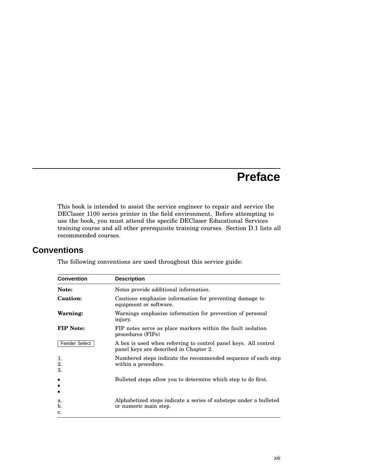# **Preface**

This book is intended to assist the service engineer to repair and service the DEClaser 1100 series printer in the field environment. Before attempting to use the book, you must attend the specific DEClaser Educational Services training course and all other prerequisite training courses. Section D.1 lists all recommended courses.

## **Conventions**

The following conventions are used throughout this service guide:

| <b>Convention</b>    | <b>Description</b>                                                                                        |  |
|----------------------|-----------------------------------------------------------------------------------------------------------|--|
| Note:                | Notes provide additional information.                                                                     |  |
| Caution:             | Cautions emphasize information for preventing damage to<br>equipment or software.                         |  |
| Warning:             | Warnings emphasize information for prevention of personal<br>injury.                                      |  |
| <b>FIP Note:</b>     | FIP notes serve as place markers within the fault isolation<br>procedures (FIPs)                          |  |
| <b>Feeder Select</b> | A box is used when referring to control panel keys. All control<br>panel keys are described in Chapter 2. |  |
| 1.<br>2.<br>3.       | Numbered steps indicate the recommended sequence of each step<br>within a procedure.                      |  |
| ٠<br>$\bullet$<br>٠  | Bulleted steps allow you to determine which step to do first.                                             |  |
| a.<br>b.<br>c.       | Alphabetized steps indicate a series of substeps under a bulleted<br>or numeric main step.                |  |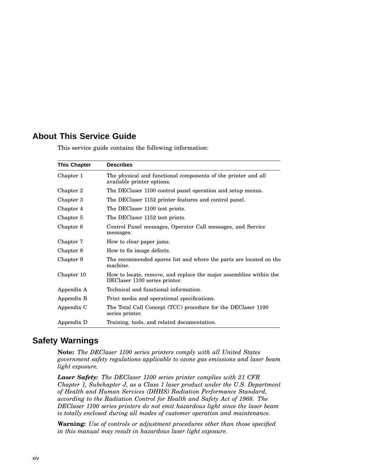# **About This Service Guide**

| <b>This Chapter</b> | <b>Describes</b>                                                                                    |
|---------------------|-----------------------------------------------------------------------------------------------------|
| Chapter 1           | The physical and functional components of the printer and all<br>available printer options.         |
| Chapter 2           | The DEClaser 1100 control panel operation and setup menus.                                          |
| Chapter 3           | The DEClaser 1152 printer features and control panel.                                               |
| Chapter 4           | The DEClaser 1100 test prints.                                                                      |
| Chapter 5           | The DEClaser 1152 test prints.                                                                      |
| Chapter 6           | Control Panel messages, Operator Call messages, and Service<br>messages.                            |
| Chapter 7           | How to clear paper jams.                                                                            |
| Chapter 8           | How to fix image defects.                                                                           |
| Chapter 9           | The recommended spares list and where the parts are located on the<br>machine.                      |
| Chapter 10          | How to locate, remove, and replace the major assemblies within the<br>DEClaser 1100 series printer. |
| Appendix A          | Technical and functional information.                                                               |
| Appendix B          | Print media and operational specifications.                                                         |
| Appendix C          | The Total Call Concept (TCC) procedure for the DEClaser 1100<br>series printer.                     |
| Appendix D          | Training, tools, and related documentation.                                                         |

This service guide contains the following information:

### **Safety Warnings**

**Note:** *The DEClaser 1100 series printers comply with all United States government safety regulations applicable to ozone gas emissions and laser beam light exposure.*

*Laser Safety: The DEClaser 1100 series printer complies with 21 CFR Chapter 1, Subchapter J, as a Class 1 laser product under the U.S. Department of Health and Human Services (DHHS) Radiation Performance Standard, according to the Radiation Control for Health and Safety Act of 1968. The DEClaser 1100 series printers do not emit hazardous light since the laser beam is totally enclosed during all modes of customer operation and maintenance.*

**Warning:** *Use of controls or adjustment procedures other than those specified in this manual may result in hazardous laser light exposure.*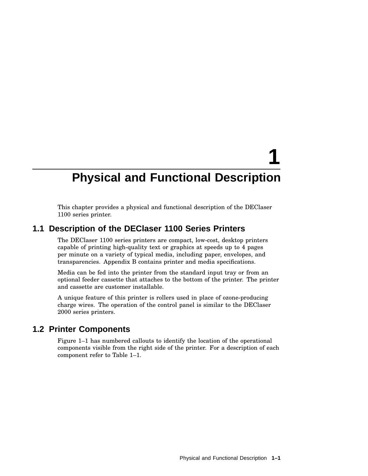# **Physical and Functional Description**

**1**

This chapter provides a physical and functional description of the DEClaser 1100 series printer.

### **1.1 Description of the DEClaser 1100 Series Printers**

The DEClaser 1100 series printers are compact, low-cost, desktop printers capable of printing high-quality text or graphics at speeds up to 4 pages per minute on a variety of typical media, including paper, envelopes, and transparencies. Appendix B contains printer and media specifications.

Media can be fed into the printer from the standard input tray or from an optional feeder cassette that attaches to the bottom of the printer. The printer and cassette are customer installable.

A unique feature of this printer is rollers used in place of ozone-producing charge wires. The operation of the control panel is similar to the DEClaser 2000 series printers.

### **1.2 Printer Components**

Figure 1–1 has numbered callouts to identify the location of the operational components visible from the right side of the printer. For a description of each component refer to Table 1–1.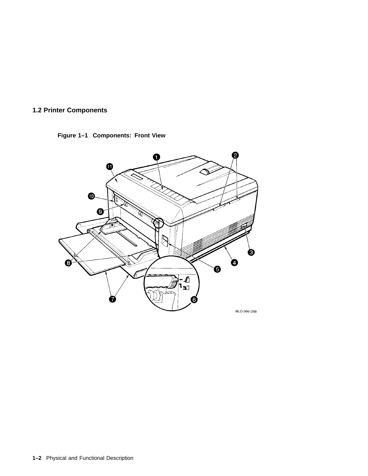

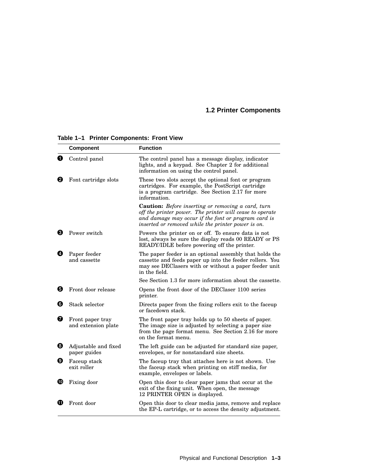|   | <b>Component</b>                        | <b>Function</b>                                                                                                                                                                                                                    |
|---|-----------------------------------------|------------------------------------------------------------------------------------------------------------------------------------------------------------------------------------------------------------------------------------|
| O | Control panel                           | The control panel has a message display, indicator<br>lights, and a keypad. See Chapter 2 for additional<br>information on using the control panel.                                                                                |
| Ø | Font cartridge slots                    | These two slots accept the optional font or program<br>cartridges. For example, the PostScript cartridge<br>is a program cartridge. See Section 2.17 for more<br>information.                                                      |
|   |                                         | <b>Caution:</b> Before inserting or removing a card, turn<br>off the printer power. The printer will cease to operate<br>and damage may occur if the font or program card is<br>inserted or removed while the printer power is on. |
| 0 | Power switch                            | Powers the printer on or off. To ensure data is not<br>lost, always be sure the display reads 00 READY or PS<br>READY/IDLE before powering off the printer.                                                                        |
| ø | Paper feeder<br>and cassette            | The paper feeder is an optional assembly that holds the<br>cassette and feeds paper up into the feeder rollers. You<br>may see DEClasers with or without a paper feeder unit<br>in the field.                                      |
|   |                                         | See Section 1.3 for more information about the cassette.                                                                                                                                                                           |
| 0 | Front door release                      | Opens the front door of the DEClaser 1100 series<br>printer.                                                                                                                                                                       |
| ❺ | Stack selector                          | Directs paper from the fixing rollers exit to the faceup<br>or facedown stack.                                                                                                                                                     |
| ❼ | Front paper tray<br>and extension plate | The front paper tray holds up to 50 sheets of paper.<br>The image size is adjusted by selecting a paper size<br>from the page format menu. See Section 2.16 for more<br>on the format menu.                                        |
| ❸ | Adjustable and fixed<br>paper guides    | The left guide can be adjusted for standard size paper,<br>envelopes, or for nonstandard size sheets.                                                                                                                              |
| Ø | Faceup stack<br>exit roller             | The faceup tray that attaches here is not shown. Use<br>the faceup stack when printing on stiff media, for<br>example, envelopes or labels.                                                                                        |
| ⑩ | Fixing door                             | Open this door to clear paper jams that occur at the<br>exit of the fixing unit. When open, the message<br>12 PRINTER OPEN is displayed.                                                                                           |
| Œ | Front door                              | Open this door to clear media jams, remove and replace<br>the EP-L cartridge, or to access the density adjustment.                                                                                                                 |

**Table 1–1 Printer Components: Front View**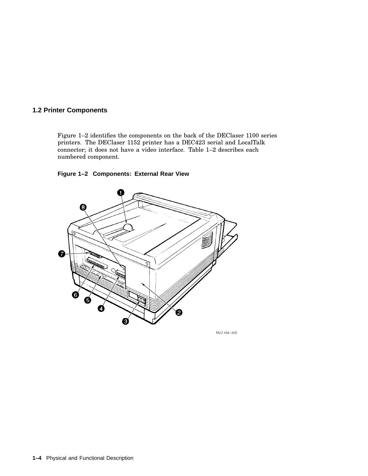Figure 1–2 identifies the components on the back of the DEClaser 1100 series printers. The DEClaser 1152 printer has a DEC423 serial and LocalTalk connector; it does not have a video interface. Table 1–2 describes each numbered component.

#### **Figure 1–2 Components: External Rear View**



MLO 0061205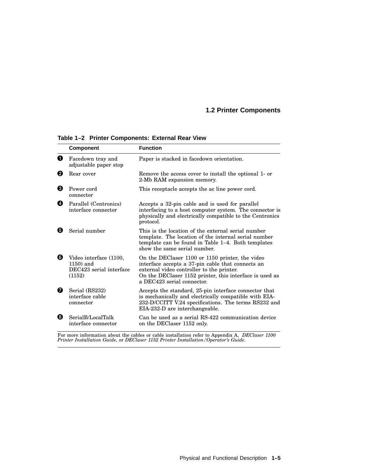|   | <b>Component</b>                                                            | <b>Function</b>                                                                                                                                                                                                                            |
|---|-----------------------------------------------------------------------------|--------------------------------------------------------------------------------------------------------------------------------------------------------------------------------------------------------------------------------------------|
| O | Facedown tray and<br>adjustable paper stop                                  | Paper is stacked in facedown orientation.                                                                                                                                                                                                  |
| 0 | Rear cover                                                                  | Remove the access cover to install the optional 1- or<br>2-Mb RAM expansion memory.                                                                                                                                                        |
| ❸ | Power cord<br>connector                                                     | This receptacle accepts the ac line power cord.                                                                                                                                                                                            |
| Ø | Parallel (Centronics)<br>interface connector                                | Accepts a 32-pin cable and is used for parallel<br>interfacing to a host computer system. The connector is<br>physically and electrically compatible to the Centronics<br>protocol.                                                        |
| 6 | Serial number                                                               | This is the location of the external serial number<br>template. The location of the internal serial number<br>template can be found in Table 1-4. Both templates<br>show the same serial number.                                           |
| 0 | Video interface (1100,<br>$1150$ ) and<br>DEC423 serial interface<br>(1152) | On the DEClaser 1100 or 1150 printer, the video<br>interface accepts a 37-pin cable that connects an<br>external video controller to the printer.<br>On the DEClaser 1152 printer, this interface is used as<br>a DEC423 serial connector. |
| ø | Serial (RS232)<br>interface cable<br>connector                              | Accepts the standard, 25-pin interface connector that<br>is mechanically and electrically compatible with EIA-<br>232-D/CCITT V.24 specifications. The terms RS232 and<br>EIA-232-D are interchangeable.                                   |
| Θ | SerialB/LocalTalk<br>interface connector                                    | Can be used as a serial RS-422 communication device<br>on the DEClaser 1152 only.                                                                                                                                                          |

**Table 1–2 Printer Components: External Rear View**

For more information about the cables or cable installation refer to Appendix A, *DEClaser 1100*<br>Printer Installation Guide, or DEClaser 1152 Printer Installation/Operator's Guide.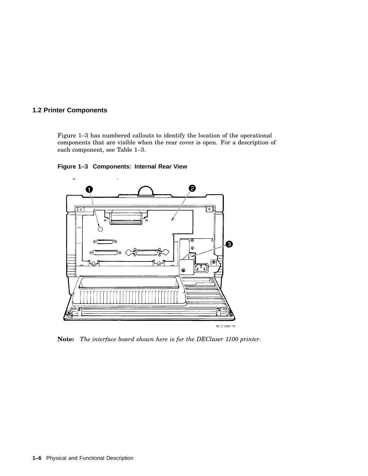Figure 1–3 has numbered callouts to identify the location of the operational components that are visible when the rear cover is open. For a description of each component, see Table 1–3.





**Note:** *The interface board shown here is for the DEClaser 1100 printer.*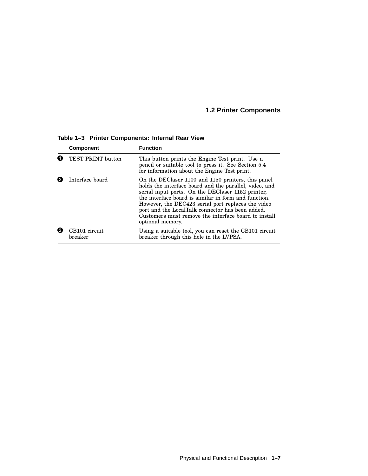|   | <b>Component</b>         | <b>Function</b>                                                                                                                                                                                                                                                                                                                                                                                                 |
|---|--------------------------|-----------------------------------------------------------------------------------------------------------------------------------------------------------------------------------------------------------------------------------------------------------------------------------------------------------------------------------------------------------------------------------------------------------------|
|   | TEST PRINT button        | This button prints the Engine Test print. Use a<br>pencil or suitable tool to press it. See Section 5.4<br>for information about the Engine Test print.                                                                                                                                                                                                                                                         |
|   | Interface board          | On the DEClaser 1100 and 1150 printers, this panel<br>holds the interface board and the parallel, video, and<br>serial input ports. On the DEClaser 1152 printer,<br>the interface board is similar in form and function.<br>However, the DEC423 serial port replaces the video<br>port and the LocalTalk connector has been added.<br>Customers must remove the interface board to install<br>optional memory. |
| € | CB101 circuit<br>breaker | Using a suitable tool, you can reset the CB101 circuit<br>breaker through this hole in the LVPSA.                                                                                                                                                                                                                                                                                                               |

**Table 1–3 Printer Components: Internal Rear View**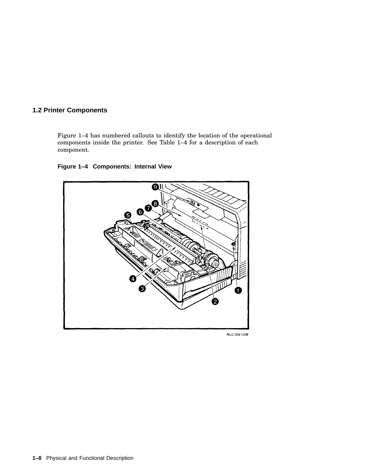Figure 1–4 has numbered callouts to identify the location of the operational components inside the printer. See Table 1–4 for a description of each component.

### **Figure 1–4 Components: Internal View**



MLO-006126B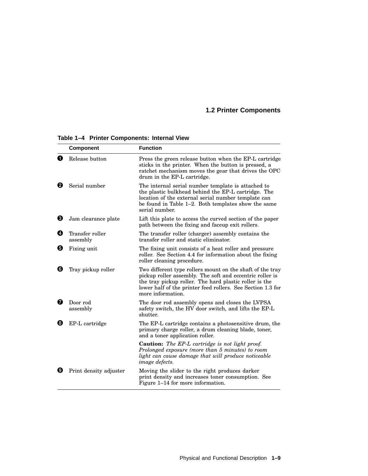|   | <b>Component</b>            | <b>Function</b>                                                                                                                                                                                                                                                     |
|---|-----------------------------|---------------------------------------------------------------------------------------------------------------------------------------------------------------------------------------------------------------------------------------------------------------------|
| O | Release button              | Press the green release button when the EP-L cartridge<br>sticks in the printer. When the button is pressed, a<br>ratchet mechanism moves the gear that drives the OPC<br>drum in the EP-L cartridge.                                                               |
| Ø | Serial number               | The internal serial number template is attached to<br>the plastic bulkhead behind the EP-L cartridge. The<br>location of the external serial number template can<br>be found in Table 1–2. Both templates show the same<br>serial number.                           |
| ❸ | Jam clearance plate         | Lift this plate to access the curved section of the paper<br>path between the fixing and faceup exit rollers.                                                                                                                                                       |
| Ø | Transfer roller<br>assembly | The transfer roller (charger) assembly contains the<br>transfer roller and static eliminator.                                                                                                                                                                       |
| 0 | Fixing unit                 | The fixing unit consists of a heat roller and pressure<br>roller. See Section 4.4 for information about the fixing<br>roller cleaning procedure.                                                                                                                    |
| 6 | Tray pickup roller          | Two different type rollers mount on the shaft of the tray<br>pickup roller assembly. The soft and eccentric roller is<br>the tray pickup roller. The hard plastic roller is the<br>lower half of the printer feed rollers. See Section 1.3 for<br>more information. |
| Ø | Door rod<br>assembly        | The door rod assembly opens and closes the LVPSA<br>safety switch, the HV door switch, and lifts the EP-L<br>shutter.                                                                                                                                               |
| 0 | EP-L cartridge              | The EP-L cartridge contains a photosensitive drum, the<br>primary charge roller, a drum cleaning blade, toner,<br>and a toner application roller.                                                                                                                   |
|   |                             | <b>Caution:</b> The EP-L cartridge is not light proof.<br>Prolonged exposure (more than 5 minutes) to room<br>light can cause damage that will produce noticeable<br><i>image defects.</i>                                                                          |
| o | Print density adjuster      | Moving the slider to the right produces darker<br>print density and increases toner consumption. See<br>Figure 1–14 for more information.                                                                                                                           |

**Table 1–4 Printer Components: Internal View**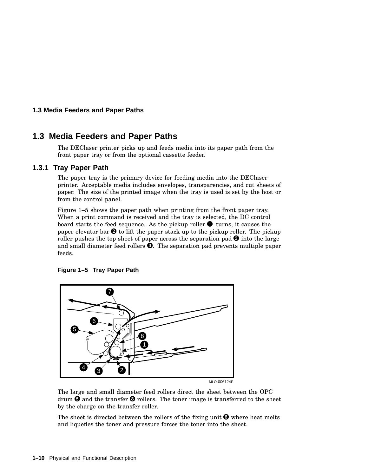#### **1.3 Media Feeders and Paper Paths**

### **1.3 Media Feeders and Paper Paths**

The DEClaser printer picks up and feeds media into its paper path from the front paper tray or from the optional cassette feeder.

#### **1.3.1 Tray Paper Path**

The paper tray is the primary device for feeding media into the DEClaser printer. Acceptable media includes envelopes, transparencies, and cut sheets of paper. The size of the printed image when the tray is used is set by the host or from the control panel.

Figure 1–5 shows the paper path when printing from the front paper tray. When a print command is received and the tray is selected, the DC control board starts the feed sequence. As the pickup roller  $\bullet$  turns, it causes the paper elevator bar  $\Theta$  to lift the paper stack up to the pickup roller. The pickup roller pushes the top sheet of paper across the separation pad  $\Theta$  into the large and small diameter feed rollers  $\bullet$ . The separation pad prevents multiple paper feeds.





The large and small diameter feed rollers direct the sheet between the OPC drum  $\boldsymbol{\Theta}$  and the transfer  $\boldsymbol{\Theta}$  rollers. The toner image is transferred to the sheet by the charge on the transfer roller.

The sheet is directed between the rollers of the fixing unit  $\Theta$  where heat melts and liquefies the toner and pressure forces the toner into the sheet.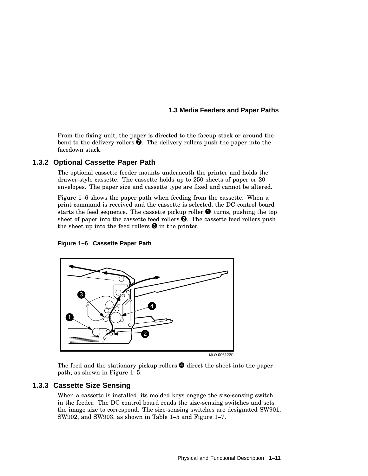#### **1.3 Media Feeders and Paper Paths**

From the fixing unit, the paper is directed to the faceup stack or around the bend to the delivery rollers  $\bullet$ . The delivery rollers push the paper into the facedown stack.

### **1.3.2 Optional Cassette Paper Path**

The optional cassette feeder mounts underneath the printer and holds the drawer-style cassette. The cassette holds up to 250 sheets of paper or 20 envelopes. The paper size and cassette type are fixed and cannot be altered.

Figure 1–6 shows the paper path when feeding from the cassette. When a print command is received and the cassette is selected, the DC control board starts the feed sequence. The cassette pickup roller  $\bullet$  turns, pushing the top sheet of paper into the cassette feed rollers  $\Theta$ . The cassette feed rollers push the sheet up into the feed rollers  $\Theta$  in the printer.





MLO-006122P

The feed and the stationary pickup rollers  $\bullet$  direct the sheet into the paper path, as shown in Figure 1–5.

#### **1.3.3 Cassette Size Sensing**

When a cassette is installed, its molded keys engage the size-sensing switch in the feeder. The DC control board reads the size-sensing switches and sets the image size to correspond. The size-sensing switches are designated SW901, SW902, and SW903, as shown in Table 1–5 and Figure 1–7.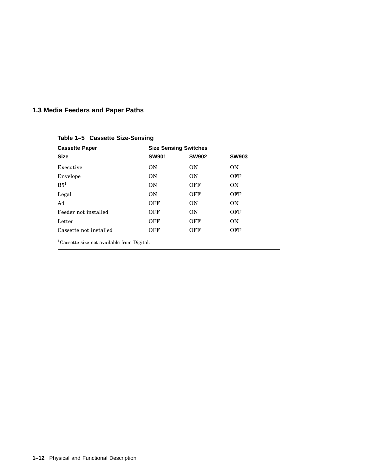# **1.3 Media Feeders and Paper Paths**

| <b>Cassette Paper</b><br><b>Size</b> | <b>Size Sensing Switches</b> |              |              |
|--------------------------------------|------------------------------|--------------|--------------|
|                                      | <b>SW901</b>                 | <b>SW902</b> | <b>SW903</b> |
| Executive                            | <b>ON</b>                    | <b>ON</b>    | <b>ON</b>    |
| Envelope                             | <b>ON</b>                    | <b>ON</b>    | OFF          |
| B5 <sup>1</sup>                      | <b>ON</b>                    | <b>OFF</b>   | <b>ON</b>    |
| Legal                                | ON                           | <b>OFF</b>   | <b>OFF</b>   |
| A4                                   | <b>OFF</b>                   | ON           | <b>ON</b>    |
| Feeder not installed                 | OFF                          | ON           | OFF          |
| Letter                               | OFF                          | <b>OFF</b>   | <b>ON</b>    |
| Cassette not installed               | OFF                          | OFF          | OFF          |

**Table 1–5 Cassette Size-Sensing**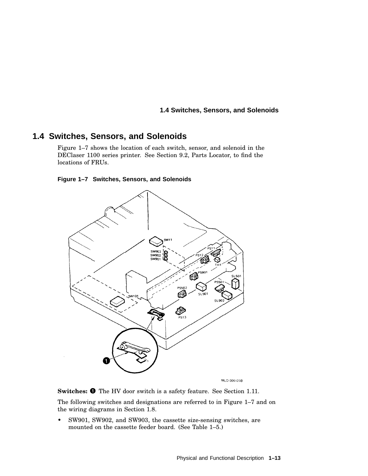#### **1.4 Switches, Sensors, and Solenoids**

### **1.4 Switches, Sensors, and Solenoids**

Figure 1–7 shows the location of each switch, sensor, and solenoid in the DEClaser 1100 series printer. See Section 9.2, Parts Locator, to find the locations of FRUs.

#### **Figure 1–7 Switches, Sensors, and Solenoids**



MLO-006123B

Switches:  $\bullet$  The HV door switch is a safety feature. See Section 1.11.

The following switches and designations are referred to in Figure 1–7 and on the wiring diagrams in Section 1.8.

• SW901, SW902, and SW903, the cassette size-sensing switches, are mounted on the cassette feeder board. (See Table 1–5.)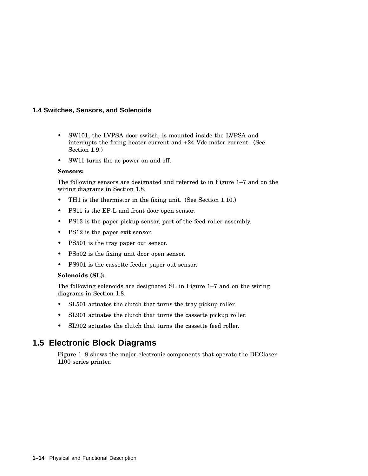#### **1.4 Switches, Sensors, and Solenoids**

- SW101, the LVPSA door switch, is mounted inside the LVPSA and interrupts the fixing heater current and +24 Vdc motor current. (See Section 1.9.)
- SW11 turns the ac power on and off.

#### **Sensors:**

The following sensors are designated and referred to in Figure 1–7 and on the wiring diagrams in Section 1.8.

- TH1 is the thermistor in the fixing unit. (See Section 1.10.)
- PS11 is the EP-L and front door open sensor.
- PS13 is the paper pickup sensor, part of the feed roller assembly.
- PS12 is the paper exit sensor.
- PS501 is the tray paper out sensor.
- PS502 is the fixing unit door open sensor.
- PS901 is the cassette feeder paper out sensor.

#### **Solenoids (SL):**

The following solenoids are designated SL in Figure 1–7 and on the wiring diagrams in Section 1.8.

- SL501 actuates the clutch that turns the tray pickup roller.
- SL901 actuates the clutch that turns the cassette pickup roller.
- SL902 actuates the clutch that turns the cassette feed roller.

### **1.5 Electronic Block Diagrams**

Figure 1–8 shows the major electronic components that operate the DEClaser 1100 series printer.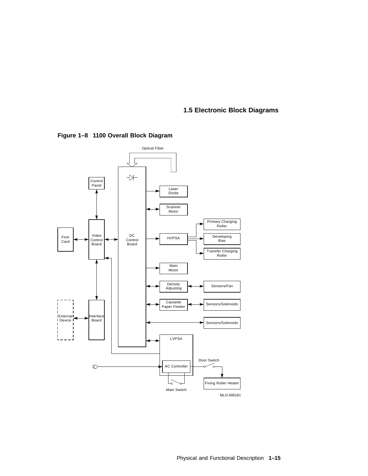### **1.5 Electronic Block Diagrams**



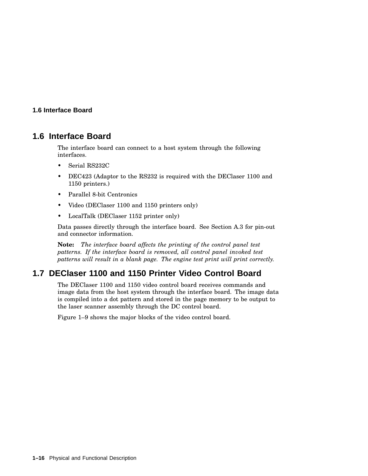### **1.6 Interface Board**

### **1.6 Interface Board**

The interface board can connect to a host system through the following interfaces.

- Serial RS232C
- DEC423 (Adaptor to the RS232 is required with the DEClaser 1100 and 1150 printers.)
- Parallel 8-bit Centronics
- Video (DEClaser 1100 and 1150 printers only)
- LocalTalk (DEClaser 1152 printer only)

Data passes directly through the interface board. See Section A.3 for pin-out and connector information.

**Note:** *The interface board affects the printing of the control panel test patterns. If the interface board is removed, all control panel invoked test patterns will result in a blank page. The engine test print will print correctly.*

# **1.7 DEClaser 1100 and 1150 Printer Video Control Board**

The DEClaser 1100 and 1150 video control board receives commands and image data from the host system through the interface board. The image data is compiled into a dot pattern and stored in the page memory to be output to the laser scanner assembly through the DC control board.

Figure 1–9 shows the major blocks of the video control board.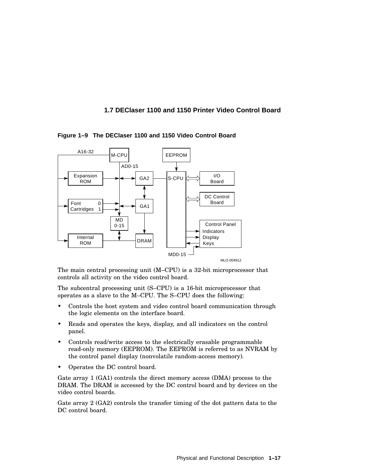### **1.7 DEClaser 1100 and 1150 Printer Video Control Board**



**Figure 1–9 The DEClaser 1100 and 1150 Video Control Board**

The main central processing unit (M–CPU) is a 32-bit microprocessor that controls all activity on the video control board.

The subcentral processing unit (S–CPU) is a 16-bit microprocessor that operates as a slave to the M–CPU. The S–CPU does the following:

- Controls the host system and video control board communication through the logic elements on the interface board.
- Reads and operates the keys, display, and all indicators on the control panel.
- Controls read/write access to the electrically erasable programmable read-only memory (EEPROM). The EEPROM is referred to as NVRAM by the control panel display (nonvolatile random-access memory).
- Operates the DC control board.

Gate array 1 (GA1) controls the direct memory access (DMA) process to the DRAM. The DRAM is accessed by the DC control board and by devices on the video control boards.

Gate array 2 (GA2) controls the transfer timing of the dot pattern data to the DC control board.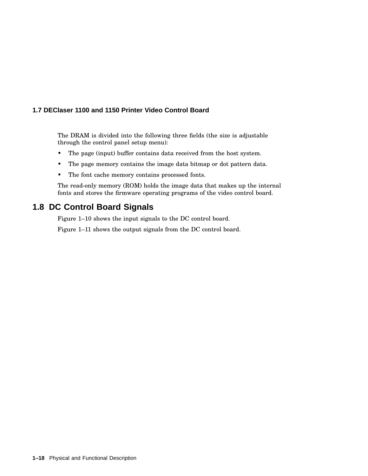### **1.7 DEClaser 1100 and 1150 Printer Video Control Board**

The DRAM is divided into the following three fields (the size is adjustable through the control panel setup menu):

- The page (input) buffer contains data received from the host system.
- The page memory contains the image data bitmap or dot pattern data.
- The font cache memory contains processed fonts.

The read-only memory (ROM) holds the image data that makes up the internal fonts and stores the firmware operating programs of the video control board.

## **1.8 DC Control Board Signals**

Figure 1–10 shows the input signals to the DC control board.

Figure 1–11 shows the output signals from the DC control board.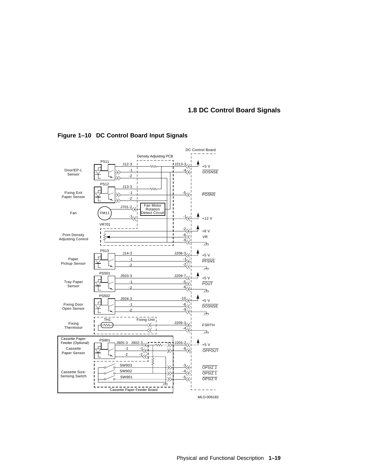### **1.8 DC Control Board Signals**



**Figure 1–10 DC Control Board Input Signals**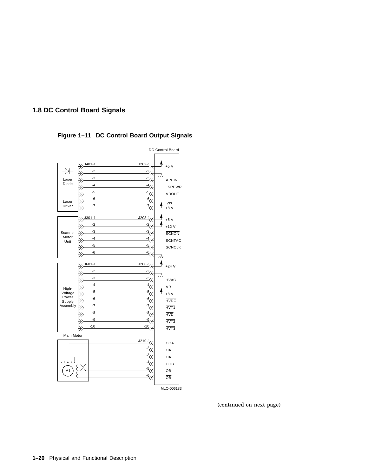### **1.8 DC Control Board Signals**



### **Figure 1–11 DC Control Board Output Signals**

MLO-006183

(continued on next page)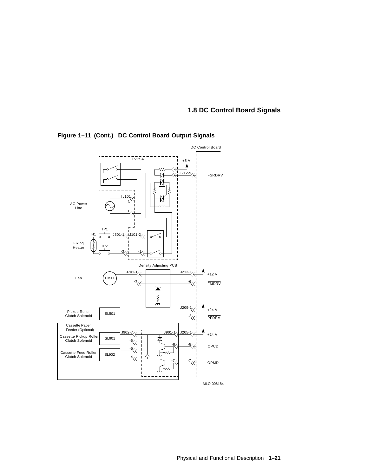### **1.8 DC Control Board Signals**



**Figure 1–11 (Cont.) DC Control Board Output Signals**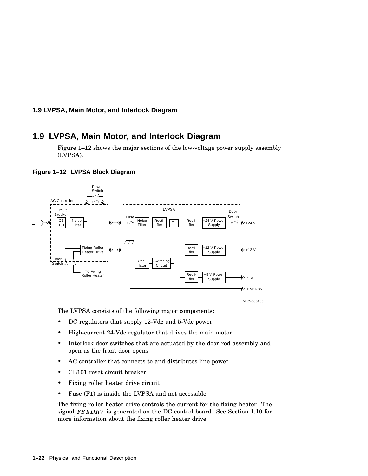#### **1.9 LVPSA, Main Motor, and Interlock Diagram**

## **1.9 LVPSA, Main Motor, and Interlock Diagram**

Figure 1–12 shows the major sections of the low-voltage power supply assembly (LVPSA).



#### **Figure 1–12 LVPSA Block Diagram**

The LVPSA consists of the following major components:

- DC regulators that supply 12-Vdc and 5-Vdc power
- High-current 24-Vdc regulator that drives the main motor
- Interlock door switches that are actuated by the door rod assembly and open as the front door opens
- AC controller that connects to and distributes line power
- CB101 reset circuit breaker
- Fixing roller heater drive circuit
- Fuse (F1) is inside the LVPSA and not accessible

The fixing roller heater drive controls the current for the fixing heater. The signal  $FSRDRV$  is generated on the DC control board. See Section 1.10 for more information about the fixing roller heater drive.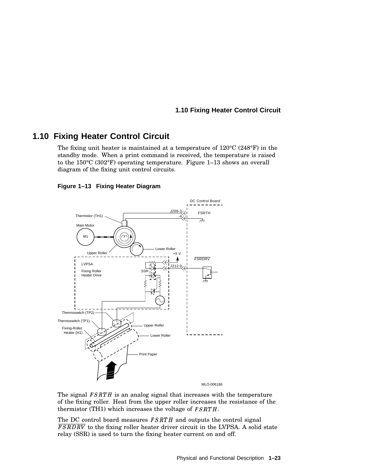#### **1.10 Fixing Heater Control Circuit**

## **1.10 Fixing Heater Control Circuit**

The fixing unit heater is maintained at a temperature of 120°C (248°F) in the standby mode. When a print command is received, the temperature is raised to the 150°C (302°F) operating temperature. Figure 1–13 shows an overall diagram of the fixing unit control circuits.

#### **Figure 1–13 Fixing Heater Diagram**



The signal  $FSRTH$  is an analog signal that increases with the temperature of the fixing roller. Heat from the upper roller increases the resistance of the thermistor (TH1) which increases the voltage of  $FSRTH$ .

The DC control board measures  $FSRTH$  and outputs the control signal FSRDRV to the fixing roller heater driver circuit in the LVPSA. A solid state relay (SSR) is used to turn the fixing heater current on and off.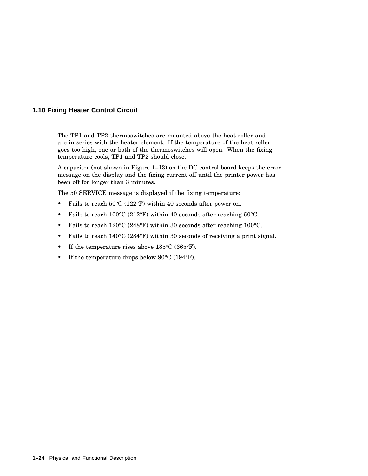#### **1.10 Fixing Heater Control Circuit**

The TP1 and TP2 thermoswitches are mounted above the heat roller and are in series with the heater element. If the temperature of the heat roller goes too high, one or both of the thermoswitches will open. When the fixing temperature cools, TP1 and TP2 should close.

A capacitor (not shown in Figure 1–13) on the DC control board keeps the error message on the display and the fixing current off until the printer power has been off for longer than 3 minutes.

The 50 SERVICE message is displayed if the fixing temperature:

- Fails to reach 50°C (122°F) within 40 seconds after power on.
- Fails to reach 100°C (212°F) within 40 seconds after reaching 50°C.
- Fails to reach 120°C (248°F) within 30 seconds after reaching 100°C.
- Fails to reach 140°C (284°F) within 30 seconds of receiving a print signal.
- If the temperature rises above 185°C (365°F).
- If the temperature drops below 90°C (194°F).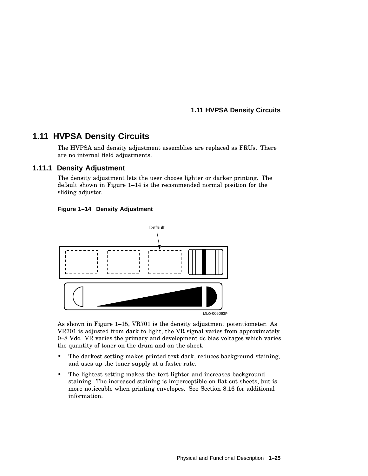**1.11 HVPSA Density Circuits**

## **1.11 HVPSA Density Circuits**

The HVPSA and density adjustment assemblies are replaced as FRUs. There are no internal field adjustments.

#### **1.11.1 Density Adjustment**

The density adjustment lets the user choose lighter or darker printing. The default shown in Figure 1–14 is the recommended normal position for the sliding adjuster.





As shown in Figure 1–15, VR701 is the density adjustment potentiometer. As VR701 is adjusted from dark to light, the VR signal varies from approximately 0–8 Vdc. VR varies the primary and development dc bias voltages which varies the quantity of toner on the drum and on the sheet.

- The darkest setting makes printed text dark, reduces background staining, and uses up the toner supply at a faster rate.
- The lightest setting makes the text lighter and increases background staining. The increased staining is imperceptible on flat cut sheets, but is more noticeable when printing envelopes. See Section 8.16 for additional information.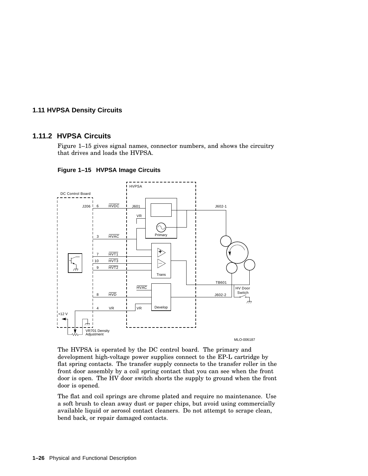#### **1.11 HVPSA Density Circuits**

#### **1.11.2 HVPSA Circuits**

Figure 1–15 gives signal names, connector numbers, and shows the circuitry that drives and loads the HVPSA.



**Figure 1–15 HVPSA Image Circuits**

The HVPSA is operated by the DC control board. The primary and development high-voltage power supplies connect to the EP-L cartridge by flat spring contacts. The transfer supply connects to the transfer roller in the front door assembly by a coil spring contact that you can see when the front door is open. The HV door switch shorts the supply to ground when the front door is opened.

The flat and coil springs are chrome plated and require no maintenance. Use a soft brush to clean away dust or paper chips, but avoid using commercially available liquid or aerosol contact cleaners. Do not attempt to scrape clean, bend back, or repair damaged contacts.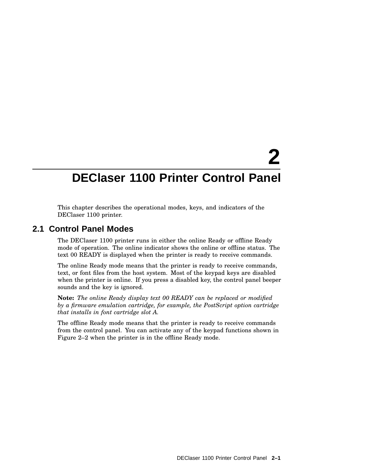# **2 DEClaser 1100 Printer Control Panel**

This chapter describes the operational modes, keys, and indicators of the DEClaser 1100 printer.

## **2.1 Control Panel Modes**

The DEClaser 1100 printer runs in either the online Ready or offline Ready mode of operation. The online indicator shows the online or offline status. The text 00 READY is displayed when the printer is ready to receive commands.

The online Ready mode means that the printer is ready to receive commands, text, or font files from the host system. Most of the keypad keys are disabled when the printer is online. If you press a disabled key, the control panel beeper sounds and the key is ignored.

**Note:** *The online Ready display text 00 READY can be replaced or modified by a firmware emulation cartridge, for example, the PostScript option cartridge that installs in font cartridge slot A.*

The offline Ready mode means that the printer is ready to receive commands from the control panel. You can activate any of the keypad functions shown in Figure 2–2 when the printer is in the offline Ready mode.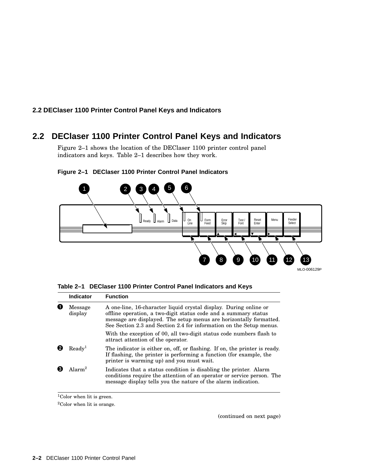## **2.2 DEClaser 1100 Printer Control Panel Keys and Indicators**

## **2.2 DEClaser 1100 Printer Control Panel Keys and Indicators**

Figure 2–1 shows the location of the DEClaser 1100 printer control panel indicators and keys. Table 2–1 describes how they work.



#### **Figure 2–1 DEClaser 1100 Printer Control Panel Indicators**

|  |  |  | Table 2-1 DEClaser 1100 Printer Control Panel Indicators and Keys |  |  |  |
|--|--|--|-------------------------------------------------------------------|--|--|--|
|--|--|--|-------------------------------------------------------------------|--|--|--|

|                    | <b>Indicator</b>   | <b>Function</b>                                                                                                                                                                                                                                                                   |
|--------------------|--------------------|-----------------------------------------------------------------------------------------------------------------------------------------------------------------------------------------------------------------------------------------------------------------------------------|
| Message<br>display |                    | A one-line, 16-character liquid crystal display. During online or<br>offline operation, a two-digit status code and a summary status<br>message are displayed. The setup menus are horizontally formatted.<br>See Section 2.3 and Section 2.4 for information on the Setup menus. |
|                    |                    | With the exception of 00, all two-digit status code numbers flash to<br>attract attention of the operator.                                                                                                                                                                        |
|                    | $\text{Ready}^1$   | The indicator is either on, off, or flashing. If on, the printer is ready.<br>If flashing, the printer is performing a function (for example, the<br>printer is warming up) and you must wait.                                                                                    |
|                    | Alarm <sup>2</sup> | Indicates that a status condition is disabling the printer. Alarm<br>conditions require the attention of an operator or service person. The<br>message display tells you the nature of the alarm indication.                                                                      |

<sup>&</sup>lt;sup>1</sup>Color when lit is green.

 $^2\mathrm{Color}$  when lit is orange.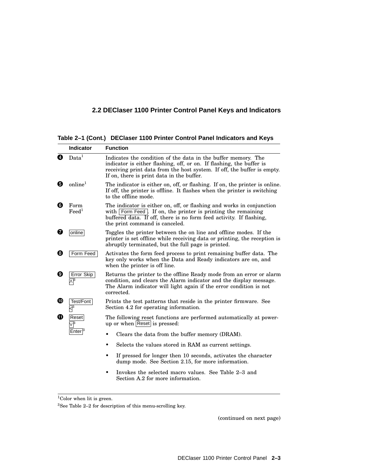## **2.2 DEClaser 1100 Printer Control Panel Keys and Indicators**

**Table 2–1 (Cont.) DEClaser 1100 Printer Control Panel Indicators and Keys**

|   | <b>Indicator</b>          | <b>Function</b>                                                                                                                                                                                                                                                 |  |  |  |
|---|---------------------------|-----------------------------------------------------------------------------------------------------------------------------------------------------------------------------------------------------------------------------------------------------------------|--|--|--|
| Ø | Data <sup>1</sup>         | Indicates the condition of the data in the buffer memory. The<br>indicator is either flashing, off, or on. If flashing, the buffer is<br>receiving print data from the host system. If off, the buffer is empty.<br>If on, there is print data in the buffer.   |  |  |  |
| О | online <sup>1</sup>       | The indicator is either on, off, or flashing. If on, the printer is online.<br>If off, the printer is offline. It flashes when the printer is switching<br>to the offline mode.                                                                                 |  |  |  |
| ❺ | Form<br>$\mathrm{Feed}^1$ | The indicator is either on, off, or flashing and works in conjunction<br>with $\vert$ Form Feed $\vert$ . If on, the printer is printing the remaining<br>buffered data. If off, there is no form feed activity. If flashing,<br>the print command is canceled. |  |  |  |
| Ø | online                    | Toggles the printer between the on line and offline modes. If the<br>printer is set offline while receiving data or printing, the reception is<br>abruptly terminated, but the full page is printed.                                                            |  |  |  |
| ❸ | Form Feed                 | Activates the form feed process to print remaining buffer data. The<br>key only works when the Data and Ready indicators are on, and<br>when the printer is off line.                                                                                           |  |  |  |
| ø | Error Skip                | Returns the printer to the offline Ready mode from an error or alarm<br>condition, and clears the Alarm indicator and the display message.<br>The Alarm indicator will light again if the error condition is not<br>corrected.                                  |  |  |  |
| ⊕ | Test/Font                 | Prints the test patterns that reside in the printer firmware. See<br>Section 4.2 for operating information.                                                                                                                                                     |  |  |  |
| ⊕ | Reset                     | The following reset functions are performed automatically at power-<br>up or when Reset is pressed:                                                                                                                                                             |  |  |  |
|   | Enter'                    | Clears the data from the buffer memory (DRAM).                                                                                                                                                                                                                  |  |  |  |
|   |                           | Selects the values stored in RAM as current settings.<br>$\bullet$                                                                                                                                                                                              |  |  |  |
|   |                           | If pressed for longer then 10 seconds, activates the character<br>٠<br>dump mode. See Section 2.15, for more information.                                                                                                                                       |  |  |  |
|   |                           | Invokes the selected macro values. See Table 2–3 and<br>Section A.2 for more information.                                                                                                                                                                       |  |  |  |

 $\frac{1}{1}$ Color when lit is green.

 $^3{\rm{See}}$  Table 2–2 for description of this menu-scrolling key.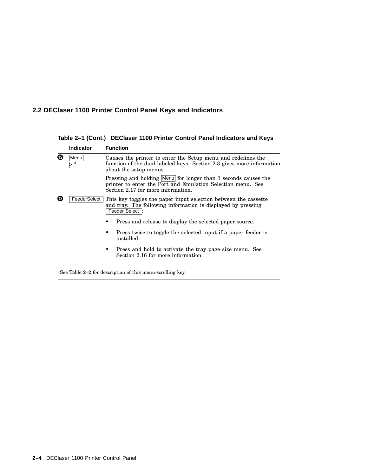## **2.2 DEClaser 1100 Printer Control Panel Keys and Indicators**

**Table 2–1 (Cont.) DEClaser 1100 Printer Control Panel Indicators and Keys**

|   | <b>Indicator</b> | <b>Function</b>                                                                                                                                                     |
|---|------------------|---------------------------------------------------------------------------------------------------------------------------------------------------------------------|
| ® | Menu<br>3        | Causes the printer to enter the Setup menu and redefines the<br>function of the dual-labeled keys. Section 2.3 gives more information<br>about the setup menus.     |
|   |                  | Pressing and holding Menu for longer than 3 seconds causes the<br>printer to enter the Port and Emulation Selection menu. See<br>Section 2.17 for more information. |
| ® | FeederSelect     | This key toggles the paper input selection between the cassette<br>and tray. The following information is displayed by pressing<br>Feeder Select  :                 |
|   |                  | Press and release to display the selected paper source.                                                                                                             |
|   |                  | Press twice to toggle the selected input if a paper feeder is<br>٠<br>installed.                                                                                    |
|   |                  | Press and hold to activate the tray page size menu. See<br>٠<br>Section 2.16 for more information.                                                                  |
|   |                  |                                                                                                                                                                     |

<sup>3</sup>See Table 2–2 for description of this menu-scrolling key.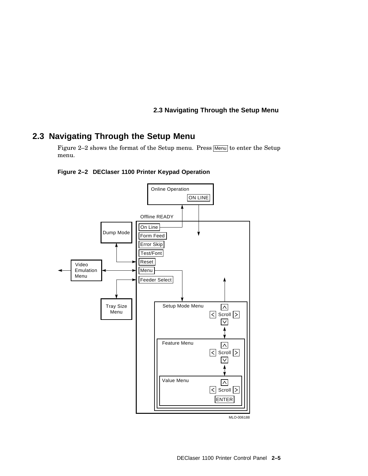## **2.3 Navigating Through the Setup Menu**

## **2.3 Navigating Through the Setup Menu**

Figure 2-2 shows the format of the Setup menu. Press Menu to enter the Setup menu.



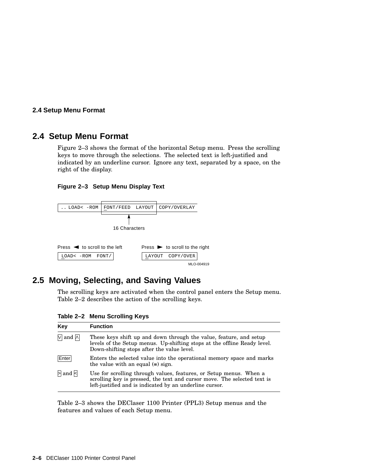#### **2.4 Setup Menu Format**

## **2.4 Setup Menu Format**

Figure 2–3 shows the format of the horizontal Setup menu. Press the scrolling keys to move through the selections. The selected text is left-justified and indicated by an underline cursor. Ignore any text, separated by a space, on the right of the display.





## **2.5 Moving, Selecting, and Saving Values**

The scrolling keys are activated when the control panel enters the Setup menu. Table 2–2 describes the action of the scrolling keys.

**Table 2–2 Menu Scrolling Keys**

| Key                       | <b>Function</b>                                                                                                                                                                                           |
|---------------------------|-----------------------------------------------------------------------------------------------------------------------------------------------------------------------------------------------------------|
| $\sqrt{ }$ and $\sqrt{ }$ | These keys shift up and down through the value, feature, and setup<br>levels of the Setup menus. Up-shifting stops at the offline Ready level.<br>Down-shifting stops after the value level.              |
| Enter                     | Enters the selected value into the operational memory space and marks<br>the value with an equal $(=)$ sign.                                                                                              |
| $>$ and $<$               | Use for scrolling through values, features, or Setup menus. When a<br>scrolling key is pressed, the text and cursor move. The selected text is<br>left-justified and is indicated by an underline cursor. |

Table 2–3 shows the DEClaser 1100 Printer (PPL3) Setup menus and the features and values of each Setup menu.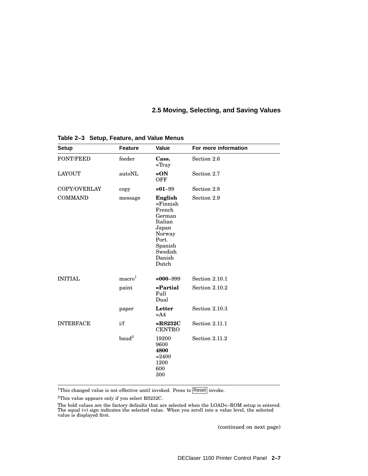## **2.5 Moving, Selecting, and Saving Values**

| <b>Setup</b>     | <b>Feature</b>     | <b>Value</b>                                                                                                               | For more information |
|------------------|--------------------|----------------------------------------------------------------------------------------------------------------------------|----------------------|
| <b>FONT/FEED</b> | feeder             | Cass.<br>$=$ Tray                                                                                                          | Section 2.6          |
| <b>LAYOUT</b>    | autoNL             | $=ON$<br><b>OFF</b>                                                                                                        | Section 2.7          |
| COPY/OVERLAY     | copy               | $= 01 - 99$                                                                                                                | Section 2.8          |
| <b>COMMAND</b>   | message            | English<br>$=$ Finnish<br>French<br>German<br>Italian<br>Japan<br>Norway<br>Port.<br>Spanish<br>Swedish<br>Danish<br>Dutch | Section 2.9          |
| <b>INITIAL</b>   | macro <sup>1</sup> | $=000 - 999$                                                                                                               | Section 2.10.1       |
|                  | paint              | =Partial<br>Full<br>Dual                                                                                                   | Section 2.10.2       |
|                  | paper              | Letter<br>$= A4$                                                                                                           | Section 2.10.3       |
| <b>INTERFACE</b> | i/f                | $=$ RS232C<br><b>CENTRO</b>                                                                                                | Section 2.11.1       |
|                  | baud <sup>2</sup>  | 19200<br>9600<br>4800<br>$= 2400$<br>1200<br>600<br>300                                                                    | Section 2.11.2       |

**Table 2–3 Setup, Feature, and Value Menus**

<sup>1</sup>This changed value is not effective until invoked. Press to  $\sqrt{\text{Reset}}$  invoke.

 $^2 \mathrm{This}$  value appears only if you select RS232C.

The bold values are the factory defaults that are selected when the LOAD<–ROM setup is entered. The equal (=) sign indicates the selected value. When you scroll into a value level, the selected value is displayed first.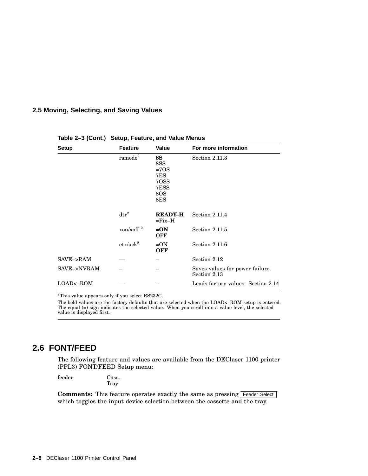## **2.5 Moving, Selecting, and Saving Values**

| <b>Setup</b>    | <b>Feature</b>                | <b>Value</b>                                             | For more information                            |
|-----------------|-------------------------------|----------------------------------------------------------|-------------------------------------------------|
|                 | rsmode <sup>2</sup>           | 8S<br>8SS<br>$=7OS$<br>7ES<br>70SS<br>7ESS<br>8OS<br>8ES | Section 2.11.3                                  |
|                 | $\mathrm{d}\mathrm{tr}^2$     | <b>READY-H</b><br>$=$ Fix $-H$                           | Section 2.11.4                                  |
|                 | xon/xoff $^2$                 | $= ON$<br>OFF                                            | Section 2.11.5                                  |
|                 | $\mathrm{etx}/\mathrm{ack}^2$ | $=ON$<br><b>OFF</b>                                      | Section 2.11.6                                  |
| $SAVE$ -> $RAM$ |                               |                                                          | Section 2.12                                    |
| SAVE->NVRAM     |                               |                                                          | Saves values for power failure.<br>Section 2.13 |
| LOAD<-ROM       |                               |                                                          | Loads factory values. Section 2.14              |

#### **Table 2–3 (Cont.) Setup, Feature, and Value Menus**

 $^2 \mathrm{This}$  value appears only if you select RS232C.

The bold values are the factory defaults that are selected when the LOAD<–ROM setup is entered. The equal (=) sign indicates the selected value. When you scroll into a value level, the selected value is displayed first.

## **2.6 FONT/FEED**

The following feature and values are available from the DEClaser 1100 printer (PPL3) FONT/FEED Setup menu:

feeder Cass. Tray

Comments: This feature operates exactly the same as pressing Feeder Select which toggles the input device selection between the cassette and the tray.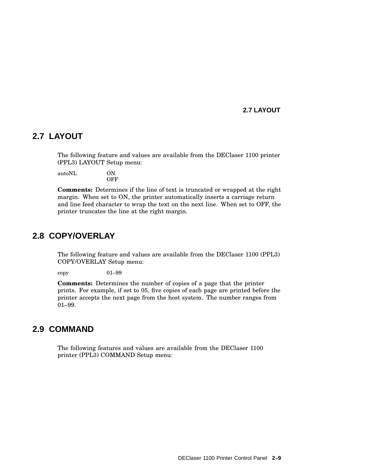#### **2.7 LAYOUT**

## **2.7 LAYOUT**

The following feature and values are available from the DEClaser 1100 printer (PPL3) LAYOUT Setup menu:

autoNL ON **OFF** 

**Comments:** Determines if the line of text is truncated or wrapped at the right margin. When set to ON, the printer automatically inserts a carriage return and line feed character to wrap the text on the next line. When set to OFF, the printer truncates the line at the right margin.

## **2.8 COPY/OVERLAY**

The following feature and values are available from the DEClaser 1100 (PPL3) COPY/OVERLAY Setup menu:

copy 01–99

**Comments:** Determines the number of copies of a page that the printer prints. For example, if set to 05, five copies of each page are printed before the printer accepts the next page from the host system. The number ranges from 01–99.

## **2.9 COMMAND**

The following features and values are available from the DEClaser 1100 printer (PPL3) COMMAND Setup menu: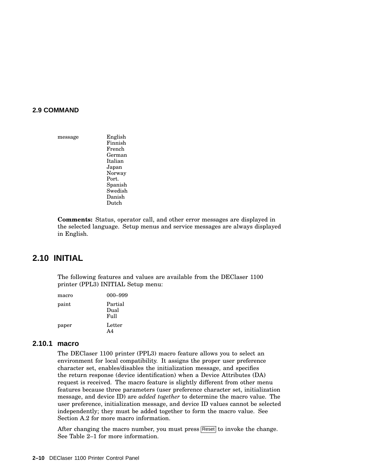#### **2.9 COMMAND**

message English Finnish French German Italian Japan Norway Port. Spanish Swedish Danish Dutch

**Comments:** Status, operator call, and other error messages are displayed in the selected language. Setup menus and service messages are always displayed in English.

## **2.10 INITIAL**

The following features and values are available from the DEClaser 1100 printer (PPL3) INITIAL Setup menu:

| macro | 000–999                    |
|-------|----------------------------|
| paint | Partial<br>Dual<br>$FU$ ll |
| paper | Letter<br>A4               |

#### **2.10.1 macro**

The DEClaser 1100 printer (PPL3) macro feature allows you to select an environment for local compatibility. It assigns the proper user preference character set, enables/disables the initialization message, and specifies the return response (device identification) when a Device Attributes (DA) request is received. The macro feature is slightly different from other menu features because three parameters (user preference character set, initialization message, and device ID) are *added together* to determine the macro value. The user preference, initialization message, and device ID values cannot be selected independently; they must be added together to form the macro value. See Section A.2 for more macro information.

After changing the macro number, you must press Reset to invoke the change. See Table 2–1 for more information.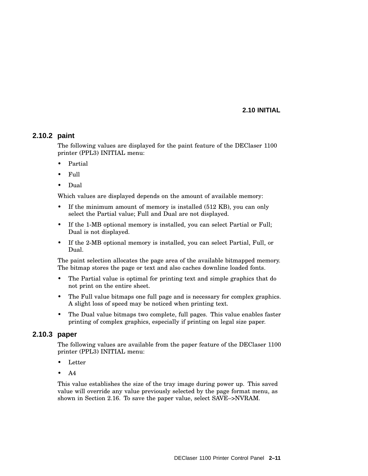#### **2.10 INITIAL**

## **2.10.2 paint**

The following values are displayed for the paint feature of the DEClaser 1100 printer (PPL3) INITIAL menu:

- Partial
- Full
- Dual

Which values are displayed depends on the amount of available memory:

- If the minimum amount of memory is installed (512 KB), you can only select the Partial value; Full and Dual are not displayed.
- If the 1-MB optional memory is installed, you can select Partial or Full; Dual is not displayed.
- If the 2-MB optional memory is installed, you can select Partial, Full, or Dual.

The paint selection allocates the page area of the available bitmapped memory. The bitmap stores the page or text and also caches downline loaded fonts.

- The Partial value is optimal for printing text and simple graphics that do not print on the entire sheet.
- The Full value bitmaps one full page and is necessary for complex graphics. A slight loss of speed may be noticed when printing text.
- The Dual value bitmaps two complete, full pages. This value enables faster printing of complex graphics, especially if printing on legal size paper.

#### **2.10.3 paper**

The following values are available from the paper feature of the DEClaser 1100 printer (PPL3) INITIAL menu:

- Letter
- A4

This value establishes the size of the tray image during power up. This saved value will override any value previously selected by the page format menu, as shown in Section 2.16. To save the paper value, select SAVE–>NVRAM.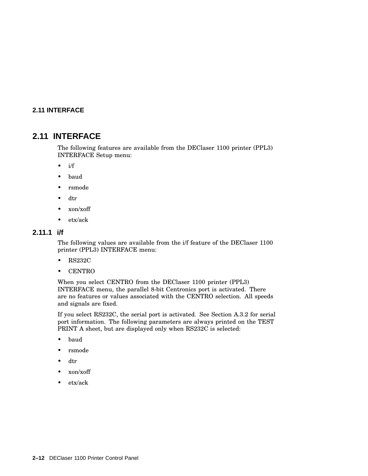## **2.11 INTERFACE**

## **2.11 INTERFACE**

The following features are available from the DEClaser 1100 printer (PPL3) INTERFACE Setup menu:

- i/f
- baud
- rsmode
- dtr
- xon/xoff
- etx/ack

## **2.11.1 i/f**

The following values are available from the i/f feature of the DEClaser 1100 printer (PPL3) INTERFACE menu:

- RS232C
- CENTRO

When you select CENTRO from the DEClaser 1100 printer (PPL3) INTERFACE menu, the parallel 8-bit Centronics port is activated. There are no features or values associated with the CENTRO selection. All speeds and signals are fixed.

If you select RS232C, the serial port is activated. See Section A.3.2 for serial port information. The following parameters are always printed on the TEST PRINT A sheet, but are displayed only when RS232C is selected:

- baud
- rsmode
- dtr
- xon/xoff
- etx/ack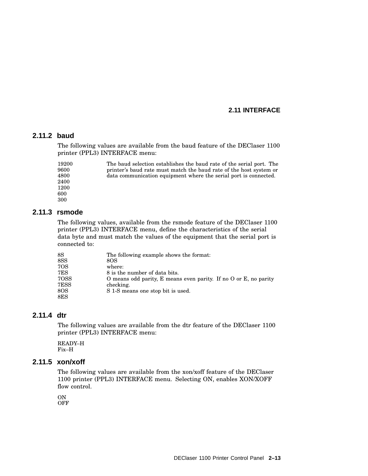#### **2.11 INTERFACE**

## **2.11.2 baud**

The following values are available from the baud feature of the DEClaser 1100 printer (PPL3) INTERFACE menu:

19200 9600 4800 2400 1200 600 300 The baud selection establishes the baud rate of the serial port. The printer's baud rate must match the baud rate of the host system or data communication equipment where the serial port is connected.

#### **2.11.3 rsmode**

The following values, available from the rsmode feature of the DEClaser 1100 printer (PPL3) INTERFACE menu, define the characteristics of the serial data byte and must match the values of the equipment that the serial port is connected to:

| 8S             | The following example shows the format:                          |
|----------------|------------------------------------------------------------------|
| 8SSS           | 8OS                                                              |
| 7OS            | where:                                                           |
| 7ES            | 8 is the number of data bits.                                    |
| 70SS           | O means odd parity, E means even parity. If no O or E, no parity |
| 7ESS           | checking.                                                        |
| 8OS            | S 1-S means one stop bit is used.                                |
| $8\mathrm{ES}$ |                                                                  |

#### **2.11.4 dtr**

The following values are available from the dtr feature of the DEClaser 1100 printer (PPL3) INTERFACE menu:

READY–H Fix–H

#### **2.11.5 xon/xoff**

The following values are available from the xon/xoff feature of the DEClaser 1100 printer (PPL3) INTERFACE menu. Selecting ON, enables XON/XOFF flow control.

ON **OFF**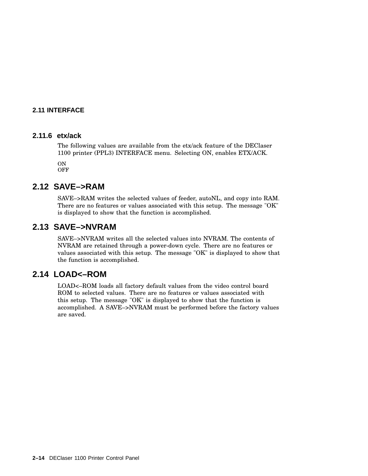## **2.11 INTERFACE**

#### **2.11.6 etx/ack**

The following values are available from the etx/ack feature of the DEClaser 1100 printer (PPL3) INTERFACE menu. Selecting ON, enables ETX/ACK.

ON **OFF** 

## **2.12 SAVE–>RAM**

SAVE–>RAM writes the selected values of feeder, autoNL, and copy into RAM. There are no features or values associated with this setup. The message "OK" is displayed to show that the function is accomplished.

## **2.13 SAVE–>NVRAM**

SAVE–>NVRAM writes all the selected values into NVRAM. The contents of NVRAM are retained through a power-down cycle. There are no features or values associated with this setup. The message "OK" is displayed to show that the function is accomplished.

## **2.14 LOAD<–ROM**

LOAD<–ROM loads all factory default values from the video control board ROM to selected values. There are no features or values associated with this setup. The message "OK" is displayed to show that the function is accomplished. A SAVE–>NVRAM must be performed before the factory values are saved.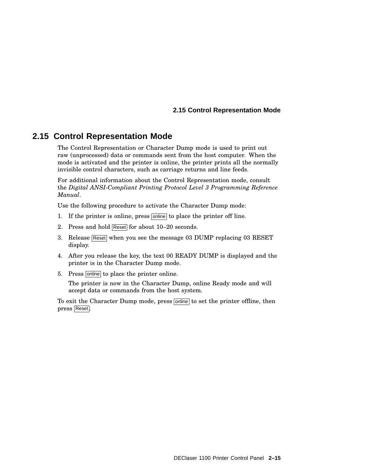#### **2.15 Control Representation Mode**

## **2.15 Control Representation Mode**

The Control Representation or Character Dump mode is used to print out raw (unprocessed) data or commands sent from the host computer. When the mode is activated and the printer is online, the printer prints all the normally invisible control characters, such as carriage returns and line feeds.

For additional information about the Control Representation mode, consult the *Digital ANSI-Compliant Printing Protocol Level 3 Programming Reference Manual*.

Use the following procedure to activate the Character Dump mode:

- 1. If the printer is online, press online to place the printer off line.
- 2. Press and hold Reset for about 10–20 seconds.
- 3. Release Reset when you see the message 03 DUMP replacing 03 RESET display.
- 4. After you release the key, the text 00 READY DUMP is displayed and the printer is in the Character Dump mode.
- 5. Press online to place the printer online.

The printer is now in the Character Dump, online Ready mode and will accept data or commands from the host system.

To exit the Character Dump mode, press <u>online</u> to set the printer offline, then press Reset .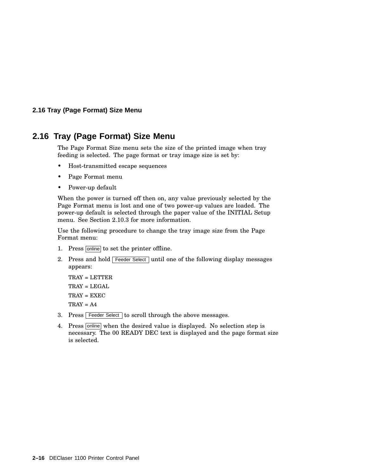#### **2.16 Tray (Page Format) Size Menu**

## **2.16 Tray (Page Format) Size Menu**

The Page Format Size menu sets the size of the printed image when tray feeding is selected. The page format or tray image size is set by:

- Host-transmitted escape sequences
- Page Format menu
- Power-up default

When the power is turned off then on, any value previously selected by the Page Format menu is lost and one of two power-up values are loaded. The power-up default is selected through the paper value of the INITIAL Setup menu. See Section 2.10.3 for more information.

Use the following procedure to change the tray image size from the Page Format menu:

- 1. Press online to set the printer offline.
- 2. Press and hold Feeder Select until one of the following display messages appears:

```
TRAY = LETTER
TRAY = LEGAL
TRAY = EXEC
TRAY = A4
```
- 3. Press Feeder Select to scroll through the above messages.
- 4. Press online when the desired value is displayed. No selection step is necessary. The 00 READY DEC text is displayed and the page format size is selected.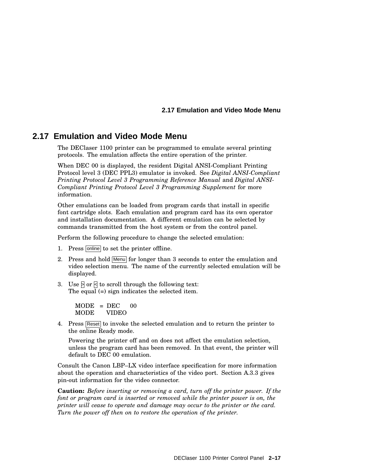#### **2.17 Emulation and Video Mode Menu**

## **2.17 Emulation and Video Mode Menu**

The DEClaser 1100 printer can be programmed to emulate several printing protocols. The emulation affects the entire operation of the printer.

When DEC 00 is displayed, the resident Digital ANSI-Compliant Printing Protocol level 3 (DEC PPL3) emulator is invoked. See *Digital ANSI-Compliant Printing Protocol Level 3 Programming Reference Manual* and *Digital ANSI-Compliant Printing Protocol Level 3 Programming Supplement* for more information.

Other emulations can be loaded from program cards that install in specific font cartridge slots. Each emulation and program card has its own operator and installation documentation. A different emulation can be selected by commands transmitted from the host system or from the control panel.

Perform the following procedure to change the selected emulation:

- 1. Press online to set the printer offline.
- 2. Press and hold Menu for longer than 3 seconds to enter the emulation and video selection menu. The name of the currently selected emulation will be displayed.
- 3. Use  $\triangleright$  or  $\triangleright$  to scroll through the following text: The equal (=) sign indicates the selected item.

 $MODE = DEC$  00 MODE VIDEO

4. Press Reset to invoke the selected emulation and to return the printer to the online Ready mode.

Powering the printer off and on does not affect the emulation selection, unless the program card has been removed. In that event, the printer will default to DEC 00 emulation.

Consult the Canon LBP–LX video interface specification for more information about the operation and characteristics of the video port. Section A.3.3 gives pin-out information for the video connector.

**Caution:** *Before inserting or removing a card, turn off the printer power. If the font or program card is inserted or removed while the printer power is on, the printer will cease to operate and damage may occur to the printer or the card. Turn the power off then on to restore the operation of the printer.*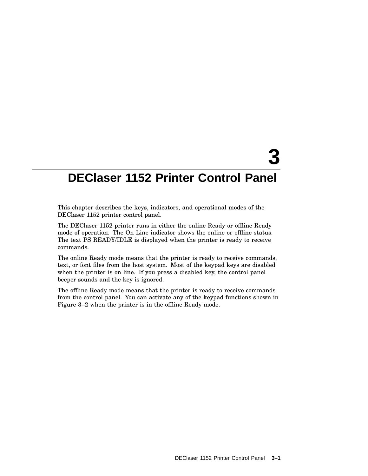# **3**

# **DEClaser 1152 Printer Control Panel**

This chapter describes the keys, indicators, and operational modes of the DEClaser 1152 printer control panel.

The DEClaser 1152 printer runs in either the online Ready or offline Ready mode of operation. The On Line indicator shows the online or offline status. The text PS READY/IDLE is displayed when the printer is ready to receive commands.

The online Ready mode means that the printer is ready to receive commands, text, or font files from the host system. Most of the keypad keys are disabled when the printer is on line. If you press a disabled key, the control panel beeper sounds and the key is ignored.

The offline Ready mode means that the printer is ready to receive commands from the control panel. You can activate any of the keypad functions shown in Figure 3–2 when the printer is in the offline Ready mode.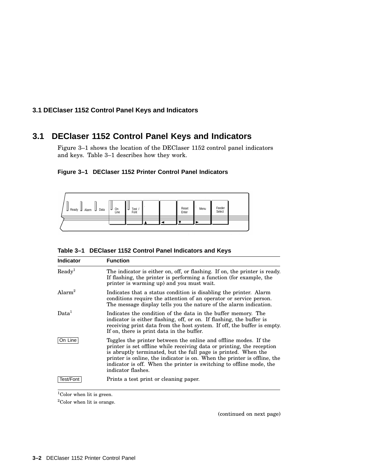## **3.1 DEClaser 1152 Control Panel Keys and Indicators**

## **3.1 DEClaser 1152 Control Panel Keys and Indicators**

Figure 3–1 shows the location of the DEClaser 1152 control panel indicators and keys. Table 3–1 describes how they work.

|                                             |                     |                   | and the company of the company of the |                | <b>CONTRACTOR</b> |                  |  |
|---------------------------------------------|---------------------|-------------------|---------------------------------------|----------------|-------------------|------------------|--|
| $\Box$ Data<br><b>⊔</b> Ready<br>Alarm<br>u | <b>U</b> On<br>Line | Test<br>u<br>Font |                                       | Reset<br>Enter | Menu              | Feeder<br>Select |  |
|                                             |                     |                   |                                       |                |                   |                  |  |
|                                             |                     |                   |                                       |                |                   |                  |  |

| Table 3-1 DEClaser 1152 Control Panel Indicators and Keys |  |
|-----------------------------------------------------------|--|
|-----------------------------------------------------------|--|

| <b>Indicator</b>  | <b>Function</b>                                                                                                                                                                                                                                                                                                                                                                        |  |
|-------------------|----------------------------------------------------------------------------------------------------------------------------------------------------------------------------------------------------------------------------------------------------------------------------------------------------------------------------------------------------------------------------------------|--|
| $\text{Ready}^1$  | The indicator is either on, off, or flashing. If on, the printer is ready.<br>If flashing, the printer is performing a function (for example, the<br>printer is warming up) and you must wait.                                                                                                                                                                                         |  |
| $\text{Alarm}^2$  | Indicates that a status condition is disabling the printer. Alarm<br>conditions require the attention of an operator or service person.<br>The message display tells you the nature of the alarm indication.                                                                                                                                                                           |  |
| Data <sup>1</sup> | Indicates the condition of the data in the buffer memory. The<br>indicator is either flashing, off, or on. If flashing, the buffer is<br>receiving print data from the host system. If off, the buffer is empty.<br>If on, there is print data in the buffer.                                                                                                                          |  |
| On Line           | Toggles the printer between the online and offline modes. If the<br>printer is set offline while receiving data or printing, the reception<br>is abruptly terminated, but the full page is printed. When the<br>printer is online, the indicator is on. When the printer is offline, the<br>indicator is off. When the printer is switching to offline mode, the<br>indicator flashes. |  |
| Test/Font         | Prints a test print or cleaning paper.                                                                                                                                                                                                                                                                                                                                                 |  |

 $^1\mathrm{Color}$  when lit is green.

 $^2\mathrm{Color}$  when lit is orange.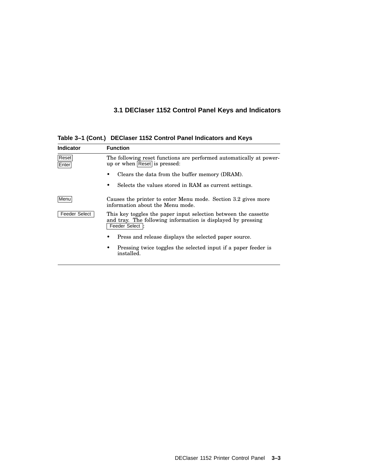# **3.1 DEClaser 1152 Control Panel Keys and Indicators**

**Table 3–1 (Cont.) DEClaser 1152 Control Panel Indicators and Keys**

| <b>Indicator</b>     | <b>Function</b>                                                                                                                                    |  |  |
|----------------------|----------------------------------------------------------------------------------------------------------------------------------------------------|--|--|
| Reset<br>Enter       | The following reset functions are performed automatically at power-<br>up or when Reset is pressed:                                                |  |  |
|                      | Clears the data from the buffer memory (DRAM).                                                                                                     |  |  |
|                      | Selects the values stored in RAM as current settings.                                                                                              |  |  |
| Menu                 | Causes the printer to enter Menu mode. Section 3.2 gives more<br>information about the Menu mode.                                                  |  |  |
| <b>Feeder Select</b> | This key toggles the paper input selection between the cassette<br>and tray. The following information is displayed by pressing<br>Feeder Select : |  |  |
|                      | Press and release displays the selected paper source.                                                                                              |  |  |
|                      | Pressing twice toggles the selected input if a paper feeder is<br>installed.                                                                       |  |  |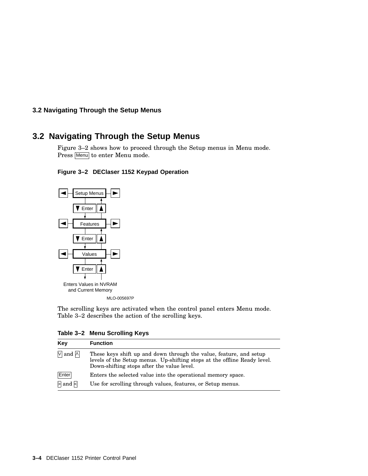## **3.2 Navigating Through the Setup Menus**

## **3.2 Navigating Through the Setup Menus**

Figure 3–2 shows how to proceed through the Setup menus in Menu mode. Press Menu to enter Menu mode.





The scrolling keys are activated when the control panel enters Menu mode. Table 3–2 describes the action of the scrolling keys.

**Table 3–2 Menu Scrolling Keys**

| Key                                   | <b>Function</b>                                                                                                                                                                              |
|---------------------------------------|----------------------------------------------------------------------------------------------------------------------------------------------------------------------------------------------|
| $\sqrt{ }$ and $\sqrt{ }$             | These keys shift up and down through the value, feature, and setup<br>levels of the Setup menus. Up-shifting stops at the offline Ready level.<br>Down-shifting stops after the value level. |
| Enter                                 | Enters the selected value into the operational memory space.                                                                                                                                 |
| $\triangleright$ and $\triangleright$ | Use for scrolling through values, features, or Setup menus.                                                                                                                                  |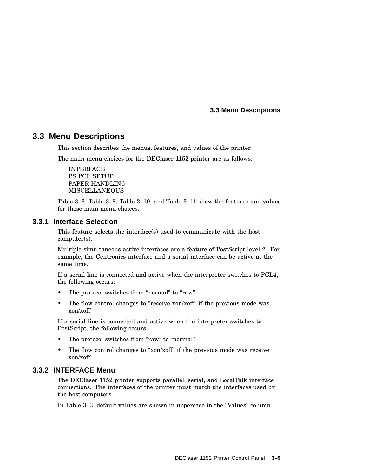## **3.3 Menu Descriptions**

This section describes the menus, features, and values of the printer.

The main menu choices for the DEClaser 1152 printer are as follows:

INTERFACE PS PCL SETUP PAPER HANDLING MISCELLANEOUS

Table 3–3, Table 3–8, Table 3–10, and Table 3–11 show the features and values for these main menu choices.

#### **3.3.1 Interface Selection**

This feature selects the interface(s) used to communicate with the host computer(s).

Multiple simultaneous active interfaces are a feature of PostScript level 2. For example, the Centronics interface and a serial interface can be active at the same time.

If a serial line is connected and active when the interpreter switches to PCL4, the following occurs:

- The protocol switches from "normal" to "raw".
- The flow control changes to "receive xon/xoff" if the previous mode was xon/xoff.

If a serial line is connected and active when the interpreter switches to PostScript, the following occurs:

- The protocol switches from "raw" to "normal".
- The flow control changes to "xon/xoff" if the previous mode was receive xon/xoff.

## **3.3.2 INTERFACE Menu**

The DEClaser 1152 printer supports parallel, serial, and LocalTalk interface connections. The interfaces of the printer must match the interfaces used by the host computers.

In Table 3–3, default values are shown in uppercase in the ''Values'' column.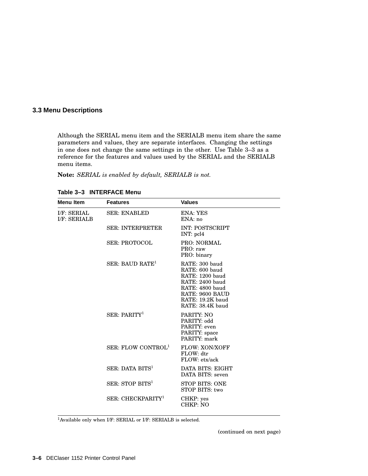Although the SERIAL menu item and the SERIALB menu item share the same parameters and values, they are separate interfaces. Changing the settings in one does not change the same settings in the other. Use Table 3–3 as a reference for the features and values used by the SERIAL and the SERIALB menu items.

**Note:** *SERIAL is enabled by default, SERIALB is not.*

| Menu Item                          | <b>Features</b>                | <b>Values</b>                                                                                                                                        |
|------------------------------------|--------------------------------|------------------------------------------------------------------------------------------------------------------------------------------------------|
| I/F: SERIAL<br><b>I/F: SERIALB</b> | <b>SER: ENABLED</b>            | ENA: YES<br>ENA:no                                                                                                                                   |
|                                    | <b>SER: INTERPRETER</b>        | <b>INT: POSTSCRIPT</b><br>INT: pcl4                                                                                                                  |
|                                    | <b>SER: PROTOCOL</b>           | <b>PRO: NORMAL</b><br>PRO: raw<br>PRO: binary                                                                                                        |
|                                    | $SER: BAUD$ $RATE1$            | RATE: 300 baud<br>RATE: 600 baud<br>RATE: 1200 baud<br>RATE: 2400 baud<br>RATE: 4800 baud<br>RATE: 9600 BAUD<br>RATE: 19.2K baud<br>RATE: 38.4K baud |
|                                    | SER: PARITY <sup>1</sup>       | PARITY: NO<br>PARITY: odd<br>PARITY: even<br>PARITY: space<br>PARITY: mark                                                                           |
|                                    | SER: FLOW CONTROL <sup>1</sup> | <b>FLOW: XON/XOFF</b><br>FLOW: dtr<br>FLOW: etx/ack                                                                                                  |
|                                    | SER: DATA BITS <sup>1</sup>    | DATA BITS: EIGHT<br>DATA BITS: seven                                                                                                                 |
|                                    | SER: STOP BITS <sup>1</sup>    | STOP BITS: ONE<br>STOP BITS: two                                                                                                                     |
|                                    | SER: CHECKPARITY <sup>1</sup>  | CHKP: yes<br>CHKP: NO                                                                                                                                |

**Table 3–3 INTERFACE Menu**

<sup>1</sup>Available only when I/F: SERIAL or I/F: SERIALB is selected.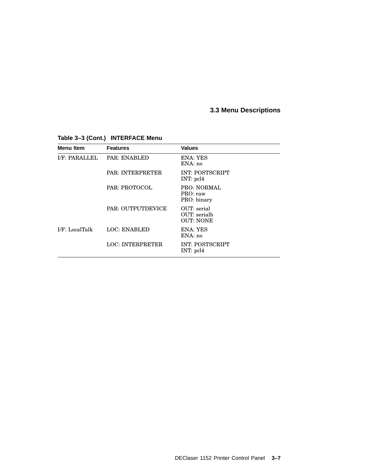| <b>Menu Item</b> | <b>Features</b>         | <b>Values</b>                                   |
|------------------|-------------------------|-------------------------------------------------|
| I/F: PARALLEL    | <b>PAR: ENABLED</b>     | ENA: YES<br>ENA: no                             |
|                  | <b>PAR: INTERPRETER</b> | <b>INT: POSTSCRIPT</b><br>$INT:$ pcl4           |
|                  | PAR: PROTOCOL           | <b>PRO: NORMAL</b><br>PRO: raw<br>PRO: binary   |
|                  | PAR: OUTPUTDEVICE       | OUT: serial<br>OUT: serialb<br><b>OUT: NONE</b> |
| I/F: LocalTalk   | <b>LOC: ENABLED</b>     | ENA: YES<br>ENA: no                             |
|                  | <b>LOC: INTERPRETER</b> | <b>INT: POSTSCRIPT</b><br>$INT:$ pcl4           |

## **Table 3–3 (Cont.) INTERFACE Menu**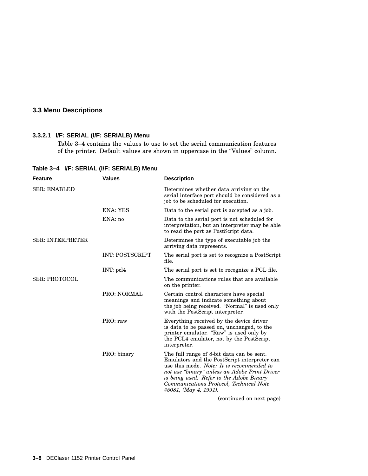#### **3.3.2.1 I/F: SERIAL (I/F: SERIALB) Menu**

Table 3–4 contains the values to use to set the serial communication features of the printer. Default values are shown in uppercase in the "Values" column.

| <b>Feature</b>          | <b>Values</b>          | <b>Description</b>                                                                                                                                                                                                                                                                                             |
|-------------------------|------------------------|----------------------------------------------------------------------------------------------------------------------------------------------------------------------------------------------------------------------------------------------------------------------------------------------------------------|
| <b>SER: ENABLED</b>     |                        | Determines whether data arriving on the<br>serial interface port should be considered as a<br>job to be scheduled for execution.                                                                                                                                                                               |
|                         | ENA: YES               | Data to the serial port is accepted as a job.                                                                                                                                                                                                                                                                  |
|                         | ENA: no                | Data to the serial port is not scheduled for<br>interpretation, but an interpreter may be able<br>to read the port as PostScript data.                                                                                                                                                                         |
| <b>SER: INTERPRETER</b> |                        | Determines the type of executable job the<br>arriving data represents.                                                                                                                                                                                                                                         |
|                         | <b>INT: POSTSCRIPT</b> | The serial port is set to recognize a PostScript<br>file.                                                                                                                                                                                                                                                      |
|                         | INT: pcl4              | The serial port is set to recognize a PCL file.                                                                                                                                                                                                                                                                |
| <b>SER: PROTOCOL</b>    |                        | The communications rules that are available<br>on the printer.                                                                                                                                                                                                                                                 |
|                         | <b>PRO: NORMAL</b>     | Certain control characters have special<br>meanings and indicate something about<br>the job being received. "Normal" is used only<br>with the PostScript interpreter.                                                                                                                                          |
|                         | PRO: raw               | Everything received by the device driver<br>is data to be passed on, unchanged, to the<br>printer emulator. "Raw" is used only by<br>the PCL4 emulator, not by the PostScript<br>interpreter.                                                                                                                  |
|                         | PRO: binary            | The full range of 8-bit data can be sent.<br>Emulators and the PostScript interpreter can<br>use this mode. <i>Note: It is recommended to</i><br>not use "binary" unless an Adobe Print Driver<br>is being used. Refer to the Adobe Binary<br>Communications Protocol, Technical Note<br>#5081, (May 4, 1991). |
|                         |                        | $\lambda$ at $\lambda$ and $\lambda$                                                                                                                                                                                                                                                                           |

**Table 3–4 I/F: SERIAL (I/F: SERIALB) Menu**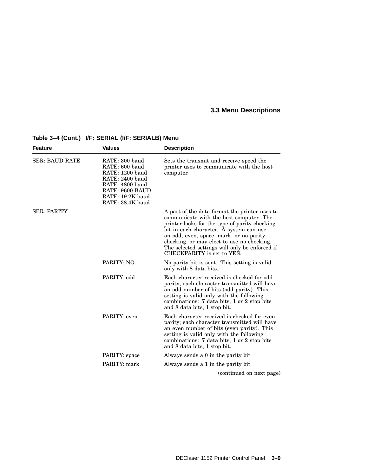| <b>Feature</b>        | <b>Values</b>                                                                                                                                        | <b>Description</b>                                                                                                                                                                                                                                                                                                                                            |
|-----------------------|------------------------------------------------------------------------------------------------------------------------------------------------------|---------------------------------------------------------------------------------------------------------------------------------------------------------------------------------------------------------------------------------------------------------------------------------------------------------------------------------------------------------------|
| <b>SER: BAUD RATE</b> | RATE: 300 baud<br>RATE: 600 baud<br>RATE: 1200 baud<br>RATE: 2400 baud<br>RATE: 4800 baud<br>RATE: 9600 BAUD<br>RATE: 19.2K baud<br>RATE: 38.4K baud | Sets the transmit and receive speed the<br>printer uses to communicate with the host<br>computer.                                                                                                                                                                                                                                                             |
| <b>SER: PARITY</b>    |                                                                                                                                                      | A part of the data format the printer uses to<br>communicate with the host computer. The<br>printer looks for the type of parity checking<br>bit in each character. A system can use<br>an odd, even, space, mark, or no parity<br>checking, or may elect to use no checking.<br>The selected settings will only be enforced if<br>CHECKPARITY is set to YES. |
|                       | PARITY: NO                                                                                                                                           | No parity bit is sent. This setting is valid<br>only with 8 data bits.                                                                                                                                                                                                                                                                                        |
|                       | PARITY: odd                                                                                                                                          | Each character received is checked for odd<br>parity; each character transmitted will have<br>an odd number of bits (odd parity). This<br>setting is valid only with the following<br>combinations: 7 data bits, 1 or 2 stop bits<br>and 8 data bits, 1 stop bit.                                                                                             |
|                       | PARITY: even                                                                                                                                         | Each character received is checked for even<br>parity; each character transmitted will have<br>an even number of bits (even parity). This<br>setting is valid only with the following<br>combinations: 7 data bits, 1 or 2 stop bits<br>and 8 data bits, 1 stop bit.                                                                                          |
|                       | PARITY: space                                                                                                                                        | Always sends a 0 in the parity bit.                                                                                                                                                                                                                                                                                                                           |
|                       | PARITY: mark                                                                                                                                         | Always sends a 1 in the parity bit.                                                                                                                                                                                                                                                                                                                           |
|                       |                                                                                                                                                      | (continued on next page)                                                                                                                                                                                                                                                                                                                                      |

## **Table 3–4 (Cont.) I/F: SERIAL (I/F: SERIALB) Menu**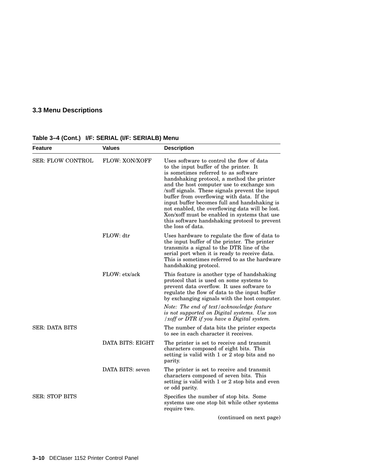| Feature               | <b>Values</b>    | <b>Description</b>                                                                                                                                                                                                                                                                                                                                                                                                                                                                                                                            |
|-----------------------|------------------|-----------------------------------------------------------------------------------------------------------------------------------------------------------------------------------------------------------------------------------------------------------------------------------------------------------------------------------------------------------------------------------------------------------------------------------------------------------------------------------------------------------------------------------------------|
| SER: FLOW CONTROL     | FLOW: XON/XOFF   | Uses software to control the flow of data<br>to the input buffer of the printer. It<br>is sometimes referred to as software<br>handshaking protocol, a method the printer<br>and the host computer use to exchange xon<br>xoff signals. These signals prevent the input<br>buffer from overflowing with data. If the<br>input buffer becomes full and handshaking is<br>not enabled, the overflowing data will be lost.<br>Xon/xoff must be enabled in systems that use<br>this software handshaking protocol to prevent<br>the loss of data. |
|                       | FLOW: dtr        | Uses hardware to regulate the flow of data to<br>the input buffer of the printer. The printer<br>transmits a signal to the DTR line of the<br>serial port when it is ready to receive data.<br>This is sometimes referred to as the hardware<br>handshaking protocol.                                                                                                                                                                                                                                                                         |
|                       | FLOW: etx/ack    | This feature is another type of handshaking<br>protocol that is used on some systems to<br>prevent data overflow. It uses software to<br>regulate the flow of data to the input buffer<br>by exchanging signals with the host computer.                                                                                                                                                                                                                                                                                                       |
|                       |                  | Note: The end of text/acknowledge feature<br>is not supported on Digital systems. Use xon<br>/xoff or DTR if you have a Digital system.                                                                                                                                                                                                                                                                                                                                                                                                       |
| SER: DATA BITS        |                  | The number of data bits the printer expects<br>to see in each character it receives.                                                                                                                                                                                                                                                                                                                                                                                                                                                          |
|                       | DATA BITS: EIGHT | The printer is set to receive and transmit<br>characters composed of eight bits. This<br>setting is valid with 1 or 2 stop bits and no<br>parity.                                                                                                                                                                                                                                                                                                                                                                                             |
|                       | DATA BITS: seven | The printer is set to receive and transmit<br>characters composed of seven bits. This<br>setting is valid with 1 or 2 stop bits and even<br>or odd parity.                                                                                                                                                                                                                                                                                                                                                                                    |
| <b>SER: STOP BITS</b> |                  | Specifies the number of stop bits. Some<br>systems use one stop bit while other systems<br>require two.                                                                                                                                                                                                                                                                                                                                                                                                                                       |
|                       |                  | (continued on next page)                                                                                                                                                                                                                                                                                                                                                                                                                                                                                                                      |

## **Table 3–4 (Cont.) I/F: SERIAL (I/F: SERIALB) Menu**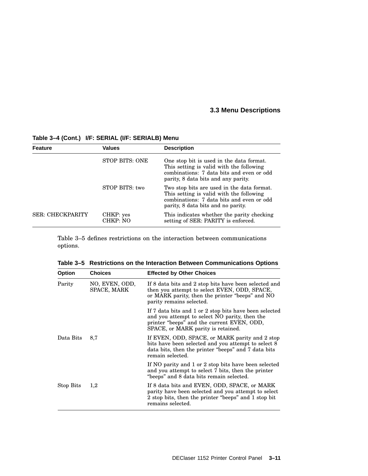| Feature          | <b>Values</b>         | <b>Description</b>                                                                                                                                                        |
|------------------|-----------------------|---------------------------------------------------------------------------------------------------------------------------------------------------------------------------|
|                  | STOP BITS: ONE        | One stop bit is used in the data format.<br>This setting is valid with the following<br>combinations: 7 data bits and even or odd<br>parity, 8 data bits and any parity.  |
|                  | STOP BITS: two        | Two stop bits are used in the data format.<br>This setting is valid with the following<br>combinations: 7 data bits and even or odd<br>parity, 8 data bits and no parity. |
| SER: CHECKPARITY | CHKP: yes<br>CHKP: NO | This indicates whether the parity checking<br>setting of SER: PARITY is enforced.                                                                                         |
|                  |                       |                                                                                                                                                                           |

#### **Table 3–4 (Cont.) I/F: SERIAL (I/F: SERIALB) Menu**

Table 3–5 defines restrictions on the interaction between communications options.

| <b>Option</b> | <b>Choices</b>                | <b>Effected by Other Choices</b>                                                                                                                                                            |
|---------------|-------------------------------|---------------------------------------------------------------------------------------------------------------------------------------------------------------------------------------------|
| Parity        | NO, EVEN, ODD,<br>SPACE, MARK | If 8 data bits and 2 stop bits have been selected and<br>then you attempt to select EVEN, ODD, SPACE,<br>or MARK parity, then the printer "beeps" and NO<br>parity remains selected.        |
|               |                               | If 7 data bits and 1 or 2 stop bits have been selected<br>and you attempt to select NO parity, then the<br>printer "beeps" and the current EVEN, ODD,<br>SPACE, or MARK parity is retained. |
| Data Bits     | 8,7                           | If EVEN, ODD, SPACE, or MARK parity and 2 stop<br>bits have been selected and you attempt to select 8<br>data bits, then the printer "beeps" and 7 data bits<br>remain selected.            |
|               |                               | If NO parity and 1 or 2 stop bits have been selected<br>and you attempt to select 7 bits, then the printer<br>"beeps" and 8 data bits remain selected.                                      |
| Stop Bits     | 1,2                           | If 8 data bits and EVEN, ODD, SPACE, or MARK<br>parity have been selected and you attempt to select<br>2 stop bits, then the printer "beeps" and 1 stop bit<br>remains selected.            |

**Table 3–5 Restrictions on the Interaction Between Communications Options**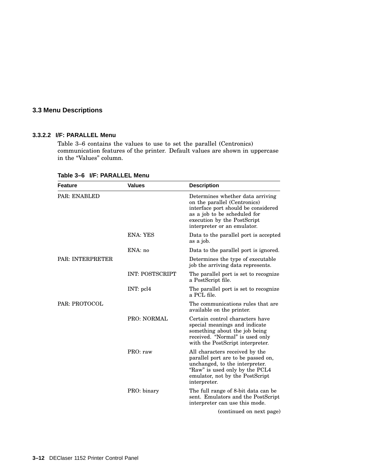#### **3.3.2.2 I/F: PARALLEL Menu**

Table 3–6 contains the values to use to set the parallel (Centronics) communication features of the printer. Default values are shown in uppercase in the "Values" column.

| <b>Feature</b>       | <b>Values</b>          | <b>Description</b>                                                                                                                                                                                    |
|----------------------|------------------------|-------------------------------------------------------------------------------------------------------------------------------------------------------------------------------------------------------|
| PAR: ENABLED         |                        | Determines whether data arriving<br>on the parallel (Centronics)<br>interface port should be considered<br>as a job to be scheduled for<br>execution by the PostScript<br>interpreter or an emulator. |
|                      | <b>ENA: YES</b>        | Data to the parallel port is accepted<br>as a job.                                                                                                                                                    |
|                      | ENA: no                | Data to the parallel port is ignored.                                                                                                                                                                 |
| PAR: INTERPRETER     |                        | Determines the type of executable<br>job the arriving data represents.                                                                                                                                |
|                      | <b>INT: POSTSCRIPT</b> | The parallel port is set to recognize<br>a PostScript file.                                                                                                                                           |
|                      | INT: pcl4              | The parallel port is set to recognize<br>a PCL file.                                                                                                                                                  |
| <b>PAR: PROTOCOL</b> |                        | The communications rules that are<br>available on the printer.                                                                                                                                        |
|                      | <b>PRO: NORMAL</b>     | Certain control characters have<br>special meanings and indicate<br>something about the job being<br>received. "Normal" is used only<br>with the PostScript interpreter.                              |
|                      | PRO: raw               | All characters received by the<br>parallel port are to be passed on,<br>unchanged, to the interpreter.<br>"Raw" is used only by the PCL4<br>emulator, not by the PostScript<br>interpreter.           |
|                      | PRO: binary            | The full range of 8-bit data can be<br>sent. Emulators and the PostScript<br>interpreter can use this mode.                                                                                           |
|                      |                        | (continued on next page)                                                                                                                                                                              |

**Table 3–6 I/F: PARALLEL Menu**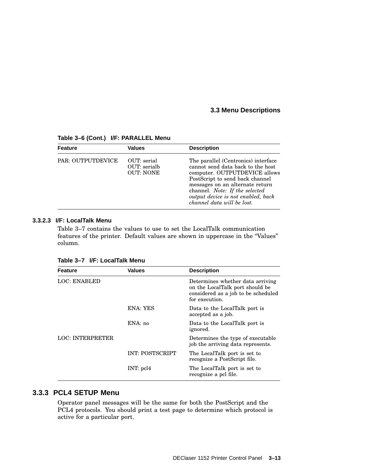| <b>Feature</b>           | <b>Values</b>                                   | <b>Description</b>                                                                                                                                                                                                                                                                    |
|--------------------------|-------------------------------------------------|---------------------------------------------------------------------------------------------------------------------------------------------------------------------------------------------------------------------------------------------------------------------------------------|
| <b>PAR: OUTPUTDEVICE</b> | OUT: serial<br>OUT: serialb<br><b>OUT: NONE</b> | The parallel (Centronics) interface<br>cannot send data back to the host<br>computer. OUTPUTDEVICE allows<br>PostScript to send back channel<br>messages on an alternate return<br>channel. Note: If the selected<br>output device is not enabled, back<br>channel data will be lost. |

**Table 3–6 (Cont.) I/F: PARALLEL Menu**

#### **3.3.2.3 I/F: LocalTalk Menu**

Table 3–7 contains the values to use to set the LocalTalk communication features of the printer. Default values are shown in uppercase in the ''Values'' column.

| <b>Feature</b>      | <b>Values</b>          | <b>Description</b>                                                                                                           |
|---------------------|------------------------|------------------------------------------------------------------------------------------------------------------------------|
| <b>LOC: ENABLED</b> |                        | Determines whether data arriving<br>on the LocalTalk port should be<br>considered as a job to be scheduled<br>for execution. |
|                     | ENA: YES               | Data to the LocalTalk port is<br>accepted as a job.                                                                          |
|                     | ENA:no                 | Data to the LocalTalk port is<br>ignored.                                                                                    |
| LOC: INTERPRETER    |                        | Determines the type of executable<br>job the arriving data represents.                                                       |
|                     | <b>INT: POSTSCRIPT</b> | The LocalTalk port is set to<br>recognize a PostScript file.                                                                 |
|                     | $INT:$ pcl4            | The LocalTalk port is set to<br>recognize a pcl file.                                                                        |

**Table 3–7 I/F: LocalTalk Menu**

## **3.3.3 PCL4 SETUP Menu**

Operator panel messages will be the same for both the PostScript and the PCL4 protocols. You should print a test page to determine which protocol is active for a particular port.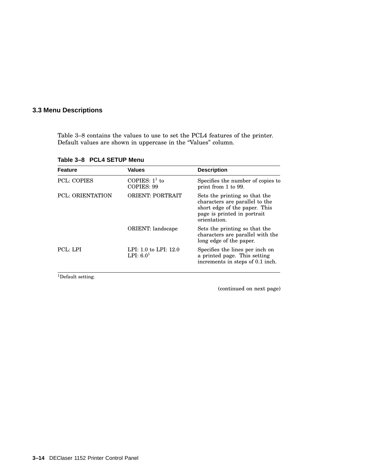Table 3–8 contains the values to use to set the PCL4 features of the printer. Default values are shown in uppercase in the "Values" column.

**Table 3–8 PCL4 SETUP Menu**

| <b>Feature</b>          | <b>Values</b>                        | <b>Description</b>                                                                                                                              |
|-------------------------|--------------------------------------|-------------------------------------------------------------------------------------------------------------------------------------------------|
| <b>PCL: COPIES</b>      | COPIES: $1^1$ to<br>COPIES: 99       | Specifies the number of copies to<br>print from 1 to 99.                                                                                        |
| <b>PCL: ORIENTATION</b> | <b>ORIENT: PORTRAIT</b>              | Sets the printing so that the<br>characters are parallel to the<br>short edge of the paper. This<br>page is printed in portrait<br>orientation. |
|                         | ORIENT: landscape                    | Sets the printing so that the<br>characters are parallel with the<br>long edge of the paper.                                                    |
| PCL: LPI                | LPI: 1.0 to LPI: 12.0<br>LPI: $6.01$ | Specifies the lines per inch on<br>a printed page. This setting<br>increments in steps of 0.1 inch.                                             |

 $^1\mathrm{Default}$  setting.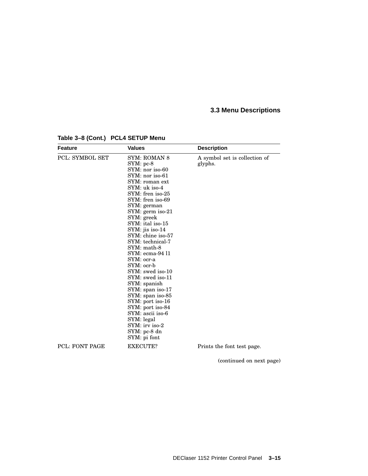| <b>Feature</b>         | <b>Values</b>                                                                                                                                                                                                                                                                                                                                                                                                                                                                                                                                                                      | <b>Description</b>                       |
|------------------------|------------------------------------------------------------------------------------------------------------------------------------------------------------------------------------------------------------------------------------------------------------------------------------------------------------------------------------------------------------------------------------------------------------------------------------------------------------------------------------------------------------------------------------------------------------------------------------|------------------------------------------|
| <b>PCL: SYMBOL SET</b> | <b>SYM: ROMAN 8</b><br>SYM: pc-8<br>SYM: nor iso-60<br>$SYM:$ nor iso-61<br>SYM: roman ext<br>SYM: uk iso-4<br>SYM: fren iso-25<br>SYM: fren iso-69<br>SYM: german<br>SYM: germ iso-21<br>SYM: greek<br>SYM: ital iso-15<br>SYM: jis iso-14<br>SYM: chine iso-57<br>SYM: technical-7<br>SYM: math-8<br>SYM: ecma-94 11<br>SYM: ocr-a<br>SYM: ocr-b<br>SYM: swed iso-10<br>SYM: swed iso-11<br>SYM: spanish<br>$SYM:$ span iso-17<br>SYM: span iso-85<br>SYM: port iso-16<br>SYM: port iso-84<br>SYM: ascii iso-6<br>SYM: legal<br>$SYM:$ irv iso-2<br>SYM: pc-8 dn<br>SYM: pi font | A symbol set is collection of<br>glyphs. |
| <b>PCL: FONT PAGE</b>  | EXECUTE?                                                                                                                                                                                                                                                                                                                                                                                                                                                                                                                                                                           | Prints the font test page.               |

**Table 3–8 (Cont.) PCL4 SETUP Menu**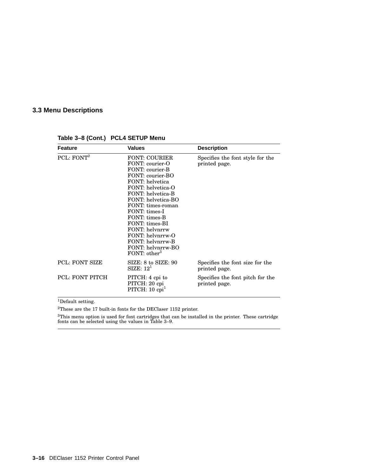| <b>Feature</b>         | <b>Values</b>                                                                                                                                                                                                                                                                                                                               | <b>Description</b>                                |
|------------------------|---------------------------------------------------------------------------------------------------------------------------------------------------------------------------------------------------------------------------------------------------------------------------------------------------------------------------------------------|---------------------------------------------------|
| PCL: $FONT2$           | <b>FONT: COURIER</b><br>FONT: courier-O<br>FONT: courier-B<br>FONT: courier-BO<br>FONT: helyetica<br>FONT: helvetica-O<br>FONT: helvetica-B<br>FONT: helvetica-BO<br>FONT: times-roman<br>FONT: times-I<br>FONT: times-B<br>FONT: times-BI<br>FONT: helynrrw<br>FONT: helynrrw-O<br>FONT: helynrrw-B<br>FONT: helynrrw-BO<br>FONT: $other3$ | Specifies the font style for the<br>printed page. |
| <b>PCL: FONT SIZE</b>  | $SIZE: 8$ to $SIZE: 90$<br>SIZE: 12 <sup>1</sup>                                                                                                                                                                                                                                                                                            | Specifies the font size for the<br>printed page.  |
| <b>PCL: FONT PITCH</b> | PITCH: 4 cpi to<br>PITCH: 20 cpi<br>PITCH: $10$ cpi <sup>1</sup>                                                                                                                                                                                                                                                                            | Specifies the font pitch for the<br>printed page. |

**Table 3–8 (Cont.) PCL4 SETUP Menu**

 $1$ Default setting.

 $^2 \mathrm{These}$  are the 17 built-in fonts for the DEClaser 1152 printer.

 ${}^{3}$ This menu option is used for font cartridges that can be installed in the printer. These cartridge fonts can be selected using the values in Table 3–9.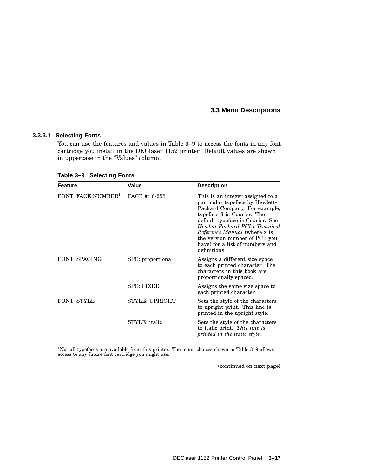#### **3.3.3.1 Selecting Fonts**

You can use the features and values in Table 3–9 to access the fonts in any font cartridge you install in the DEClaser 1152 printer. Default values are shown in uppercase in the "Values" column.

| <b>Feature</b>                 | <b>Value</b>          | <b>Description</b>                                                                                                                                                                                                                                                                                                                  |
|--------------------------------|-----------------------|-------------------------------------------------------------------------------------------------------------------------------------------------------------------------------------------------------------------------------------------------------------------------------------------------------------------------------------|
| FONT: FACE NUMBER <sup>1</sup> | FACE #: $0-255$       | This is an integer assigned to a<br>particular typeface by Hewlett-<br>Packard Company. For example,<br>typeface 3 is Courier. The<br>default typeface is Courier. See<br>Hewlett-Packard PCLx Technical<br><i>Reference Manual</i> (where x is<br>the version number of PCL you<br>have) for a list of numbers and<br>definitions. |
| <b>FONT: SPACING</b>           | SPC: proportional     | Assigns a different size space<br>to each printed character. The<br>characters in this book are<br>proportionally spaced.                                                                                                                                                                                                           |
|                                | <b>SPC: FIXED</b>     | Assigns the same size space to<br>each printed character.                                                                                                                                                                                                                                                                           |
| <b>FONT: STYLE</b>             | <b>STYLE: UPRIGHT</b> | Sets the style of the characters<br>to upright print. This line is<br>printed in the upright style.                                                                                                                                                                                                                                 |
|                                | STYLE: <i>italic</i>  | Sets the style of the characters<br>to italic print. This line is<br>printed in the italic style.                                                                                                                                                                                                                                   |

**Table 3–9 Selecting Fonts**

 $1$ Not all typefaces are available from this printer. The menu choices shown in Table 3–9 allows access to any future font cartridge you might use.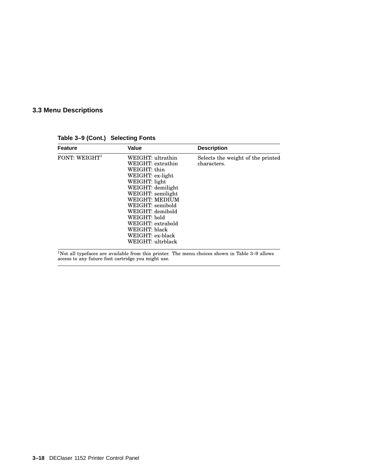**Feature Value Description** FONT:  $WEIGHT^1$  WEIGHT: ultrathin WEIGHT: extrathin WEIGHT: thin WEIGHT: ex-light WEIGHT: light WEIGHT: demilight WEIGHT: semilight WEIGHT: MEDIUM WEIGHT: semibold WEIGHT: demibold WEIGHT: bold WEIGHT: extrabold WEIGHT: black WEIGHT: ex-black WEIGHT: ultrblack Selects the weight of the printed characters.

**Table 3–9 (Cont.) Selecting Fonts**

<sup>1</sup>Not all typefaces are available from this printer. The menu choices shown in Table 3–9 allows access to any future font cartridge you might use.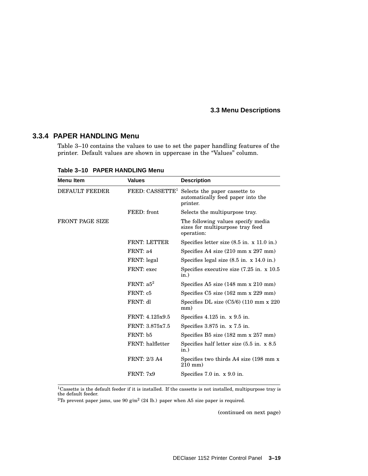#### **3.3.4 PAPER HANDLING Menu**

Table 3–10 contains the values to use to set the paper handling features of the printer. Default values are shown in uppercase in the "Values" column.

| <b>Menu Item</b>       | <b>Values</b>       | <b>Description</b>                                                                                         |
|------------------------|---------------------|------------------------------------------------------------------------------------------------------------|
| <b>DEFAULT FEEDER</b>  |                     | FEED: CASSETTE <sup>1</sup> Selects the paper cassette to<br>automatically feed paper into the<br>printer. |
|                        | FEED: front         | Selects the multipurpose tray.                                                                             |
| <b>FRONT PAGE SIZE</b> |                     | The following values specify media<br>sizes for multipurpose tray feed<br>operation:                       |
|                        | <b>FRNT: LETTER</b> | Specifies letter size $(8.5 \text{ in. } x 11.0 \text{ in.})$                                              |
|                        | FRNT: a4            | Specifies A4 size $(210 \text{ mm} \times 297 \text{ mm})$                                                 |
|                        | FRNT: legal         | Specifies legal size $(8.5 \text{ in. x } 14.0 \text{ in.})$                                               |
|                        | FRNT: exec          | Specifies executive size $(7.25 \text{ in. } x\ 10.5)$<br>in.)                                             |
|                        | FRNT: $a5^2$        | Specifies A5 size $(148 \text{ mm} \times 210 \text{ mm})$                                                 |
|                        | FRNT: c5            | Specifies $C5$ size $(162 \text{ mm} \times 229 \text{ mm})$                                               |
|                        | FRNT: dl            | Specifies DL size $(C5/6)$ (110 mm x 220)<br>mm)                                                           |
|                        | FRNT: 4.125x9.5     | Specifies $4.125$ in. x $9.5$ in.                                                                          |
|                        | FRNT: 3.875x7.5     | Specifies $3.875$ in. x $7.5$ in.                                                                          |
|                        | FRNT: b5            | Specifies B5 size (182 mm x 257 mm)                                                                        |
|                        | FRNT: halfletter    | Specifies half letter size $(5.5 \text{ in. } x 8.5)$<br>in.)                                              |
|                        | <b>FRNT: 2/3 A4</b> | Specifies two thirds A4 size (198 mm x)<br>$210$ mm)                                                       |
|                        | <b>FRNT: 7x9</b>    | Specifies 7.0 in. x 9.0 in.                                                                                |

**Table 3–10 PAPER HANDLING Menu**

 $1$ Cassette is the default feeder if it is installed. If the cassette is not installed, multipurpose tray is the default feeder.

<sup>2</sup>To prevent paper jams, use 90 g/m<sup>2</sup> (24 lb.) paper when A5 size paper is required.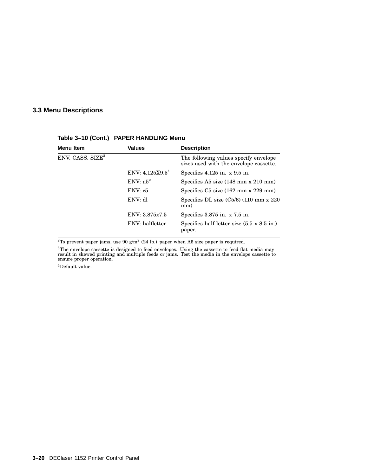| Menu Item                    | <b>Values</b>   | <b>Description</b>                                                              |
|------------------------------|-----------------|---------------------------------------------------------------------------------|
| ENV. CASS. SIZE <sup>3</sup> |                 | The following values specify envelope<br>sizes used with the envelope cassette. |
|                              | ENV: 4.125X9.54 | Specifies $4.125$ in. x $9.5$ in.                                               |
|                              | ENV: $a5^2$     | Specifies A5 size $(148 \text{ mm} \times 210 \text{ mm})$                      |
|                              | ENV: c5         | Specifies $C5$ size $(162 \text{ mm} \times 229 \text{ mm})$                    |
|                              | ENV: dl         | Specifies DL size $(C5/6)$ (110 mm x 220)<br>mm)                                |
|                              | ENV: 3.875x7.5  | Specifies $3.875$ in. x $7.5$ in.                                               |
|                              | ENV: halfletter | Specifies half letter size $(5.5 \times 8.5 \text{ in.})$<br>paper.             |

#### **Table 3–10 (Cont.) PAPER HANDLING Menu**

<sup>2</sup>To prevent paper jams, use 90 g/m<sup>2</sup> (24 lb.) paper when A5 size paper is required.

 ${}^{3}\text{The envelope cassette is designed to feed envelopes. Using the cassette to feed flat media may result in skewed printing and multiple feeds or jams. Test the media in the envelope cassette to ensure proper operation.$ 

<sup>4</sup>Default value.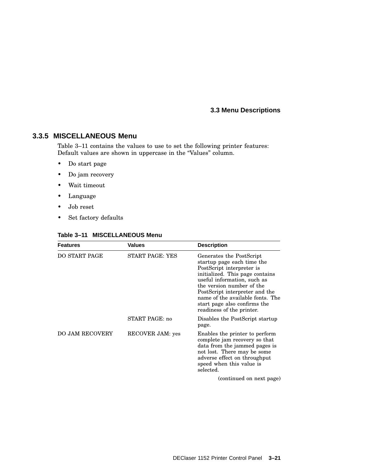#### **3.3.5 MISCELLANEOUS Menu**

Table 3–11 contains the values to use to set the following printer features: Default values are shown in uppercase in the "Values" column.

- Do start page
- Do jam recovery
- Wait timeout
- Language
- Job reset
- Set factory defaults

| <b>Features</b>        | <b>Values</b>    | <b>Description</b>                                                                                                                                                                                                                                                                                                    |
|------------------------|------------------|-----------------------------------------------------------------------------------------------------------------------------------------------------------------------------------------------------------------------------------------------------------------------------------------------------------------------|
| DO START PAGE          | START PAGE: YES  | Generates the PostScript<br>startup page each time the<br>PostScript interpreter is<br>initialized. This page contains<br>useful information, such as<br>the version number of the<br>PostScript interpreter and the<br>name of the available fonts. The<br>start page also confirms the<br>readiness of the printer. |
|                        | START PAGE: no   | Disables the PostScript startup<br>page.                                                                                                                                                                                                                                                                              |
| <b>DO JAM RECOVERY</b> | RECOVER JAM: yes | Enables the printer to perform<br>complete jam recovery so that<br>data from the jammed pages is<br>not lost. There may be some<br>adverse effect on throughput<br>speed when this value is<br>selected.                                                                                                              |
|                        |                  | (continued on nort noge)                                                                                                                                                                                                                                                                                              |

#### **Table 3–11 MISCELLANEOUS Menu**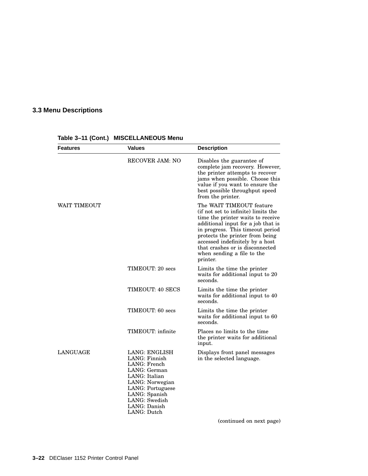| <b>Features</b> | <b>Values</b>                                                                                                                                                                           | <b>Description</b>                                                                                                                                                                                                                                                                                                                |
|-----------------|-----------------------------------------------------------------------------------------------------------------------------------------------------------------------------------------|-----------------------------------------------------------------------------------------------------------------------------------------------------------------------------------------------------------------------------------------------------------------------------------------------------------------------------------|
|                 | <b>RECOVER JAM: NO</b>                                                                                                                                                                  | Disables the guarantee of<br>complete jam recovery. However,<br>the printer attempts to recover<br>jams when possible. Choose this<br>value if you want to ensure the<br>best possible throughput speed<br>from the printer.                                                                                                      |
| WAIT TIMEOUT    |                                                                                                                                                                                         | The WAIT TIMEOUT feature<br>(if not set to infinite) limits the<br>time the printer waits to receive<br>additional input for a job that is<br>in progress. This timeout period<br>protects the printer from being<br>accessed indefinitely by a host<br>that crashes or is disconnected<br>when sending a file to the<br>printer. |
|                 | TIMEOUT: 20 secs                                                                                                                                                                        | Limits the time the printer<br>waits for additional input to 20<br>seconds.                                                                                                                                                                                                                                                       |
|                 | TIMEOUT: 40 SECS                                                                                                                                                                        | Limits the time the printer<br>waits for additional input to 40<br>seconds.                                                                                                                                                                                                                                                       |
|                 | TIMEOUT: 60 secs                                                                                                                                                                        | Limits the time the printer<br>waits for additional input to 60<br>seconds.                                                                                                                                                                                                                                                       |
|                 | TIMEOUT: infinite                                                                                                                                                                       | Places no limits to the time<br>the printer waits for additional<br>input.                                                                                                                                                                                                                                                        |
| <b>LANGUAGE</b> | LANG: ENGLISH<br>LANG: Finnish<br>LANG: French<br>LANG: German<br>LANG: Italian<br>LANG: Norwegian<br>LANG: Portuguese<br>LANG: Spanish<br>LANG: Swedish<br>LANG: Danish<br>LANG: Dutch | Displays front panel messages<br>in the selected language.                                                                                                                                                                                                                                                                        |
|                 |                                                                                                                                                                                         | (continued on next page)                                                                                                                                                                                                                                                                                                          |

**Table 3–11 (Cont.) MISCELLANEOUS Menu**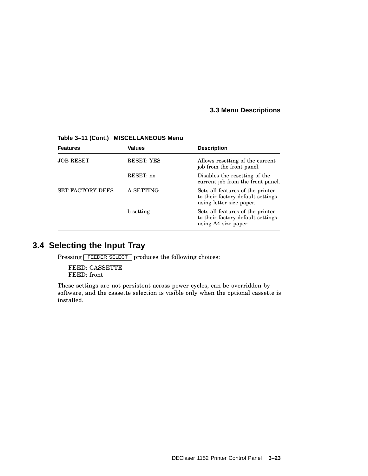| <b>Features</b>         | <b>Values</b>     | <b>Description</b>                                                                                |
|-------------------------|-------------------|---------------------------------------------------------------------------------------------------|
| <b>JOB RESET</b>        | <b>RESET: YES</b> | Allows resetting of the current<br>job from the front panel.                                      |
|                         | RESET: no         | Disables the resetting of the<br>current job from the front panel.                                |
| <b>SET FACTORY DEFS</b> | A SETTING         | Sets all features of the printer<br>to their factory default settings<br>using letter size paper. |
|                         | b setting         | Sets all features of the printer<br>to their factory default settings<br>using A4 size paper.     |

**Table 3–11 (Cont.) MISCELLANEOUS Menu**

# **3.4 Selecting the Input Tray**

Pressing FEEDER SELECT produces the following choices:

FEED: CASSETTE FEED: front

These settings are not persistent across power cycles, can be overridden by software, and the cassette selection is visible only when the optional cassette is installed.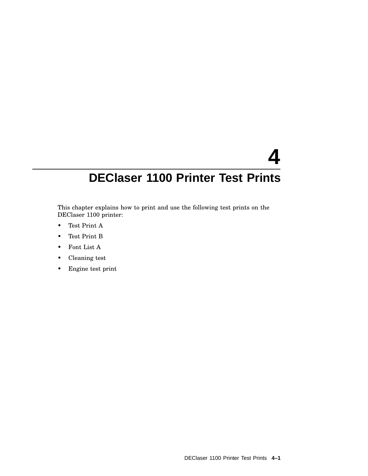# **4 DEClaser 1100 Printer Test Prints**

This chapter explains how to print and use the following test prints on the DEClaser 1100 printer:

- Test Print A
- Test Print B
- Font List A
- Cleaning test
- Engine test print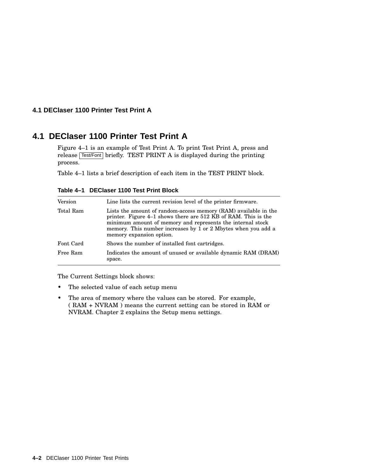#### **4.1 DEClaser 1100 Printer Test Print A**

# **4.1 DEClaser 1100 Printer Test Print A**

Figure 4–1 is an example of Test Print A. To print Test Print A, press and release [Test/Font] briefly. TEST PRINT A is displayed during the printing process.

Table 4–1 lists a brief description of each item in the TEST PRINT block.

| Version   | Line lists the current revision level of the printer firmware.                                                                                                                                                                                                                               |
|-----------|----------------------------------------------------------------------------------------------------------------------------------------------------------------------------------------------------------------------------------------------------------------------------------------------|
| Total Ram | Lists the amount of random-access memory (RAM) available in the<br>printer. Figure 4–1 shows there are 512 KB of RAM. This is the<br>minimum amount of memory and represents the internal stock<br>memory. This number increases by 1 or 2 Mbytes when you add a<br>memory expansion option. |
| Font Card | Shows the number of installed font cartridges.                                                                                                                                                                                                                                               |
| Free Ram  | Indicates the amount of unused or available dynamic RAM (DRAM)<br>space.                                                                                                                                                                                                                     |

**Table 4–1 DEClaser 1100 Test Print Block**

The Current Settings block shows:

- The selected value of each setup menu
- The area of memory where the values can be stored. For example, ( RAM + NVRAM ) means the current setting can be stored in RAM or NVRAM. Chapter 2 explains the Setup menu settings.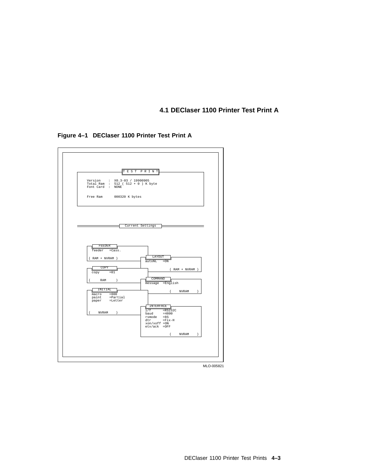**4.1 DEClaser 1100 Printer Test Print A**





MLO-005821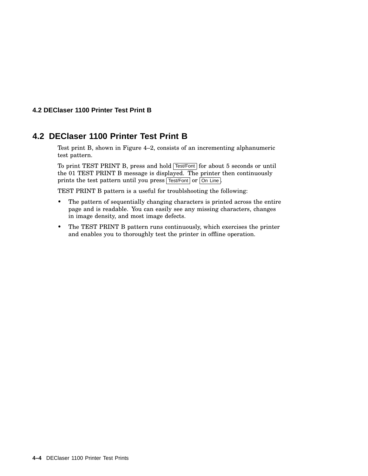#### **4.2 DEClaser 1100 Printer Test Print B**

# **4.2 DEClaser 1100 Printer Test Print B**

Test print B, shown in Figure 4–2, consists of an incrementing alphanumeric test pattern.

To print TEST PRINT B, press and hold **Test/Font** for about 5 seconds or until the 01 TEST PRINT B message is displayed. The printer then continuously prints the test pattern until you press Test/Font or On Line.

TEST PRINT B pattern is a useful for troublshooting the following:

- The pattern of sequentially changing characters is printed across the entire page and is readable. You can easily see any missing characters, changes in image density, and most image defects.
- The TEST PRINT B pattern runs continuously, which exercises the printer and enables you to thoroughly test the printer in offline operation.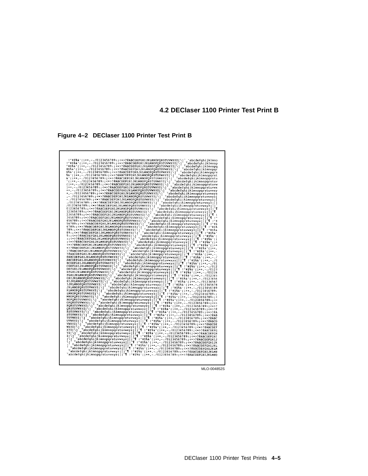**4.2 DEClaser 1100 Printer Test Print B**

**Figure 4–2 DEClaser 1100 Printer Test Print B**

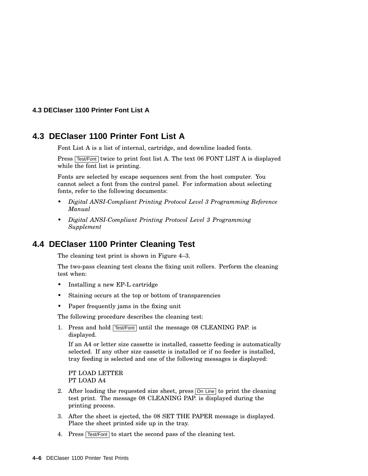#### **4.3 DEClaser 1100 Printer Font List A**

## **4.3 DEClaser 1100 Printer Font List A**

Font List A is a list of internal, cartridge, and downline loaded fonts.

Press Test/Font twice to print font list A. The text 06 FONT LIST A is displayed while the font list is printing.

Fonts are selected by escape sequences sent from the host computer. You cannot select a font from the control panel. For information about selecting fonts, refer to the following documents:

- *Digital ANSI-Compliant Printing Protocol Level 3 Programming Reference Manual*
- *Digital ANSI-Compliant Printing Protocol Level 3 Programming Supplement*

# **4.4 DEClaser 1100 Printer Cleaning Test**

The cleaning test print is shown in Figure 4–3.

The two-pass cleaning test cleans the fixing unit rollers. Perform the cleaning test when:

- Installing a new EP-L cartridge
- Staining occurs at the top or bottom of transparencies
- Paper frequently jams in the fixing unit

The following procedure describes the cleaning test:

1. Press and hold **Test/Font** until the message 08 CLEANING PAP. is displayed.

If an A4 or letter size cassette is installed, cassette feeding is automatically selected. If any other size cassette is installed or if no feeder is installed, tray feeding is selected and one of the following messages is displayed:

PT LOAD LETTER PT LOAD A4

- 2. After loading the requested size sheet, press  $\overline{On Line}$  to print the cleaning test print. The message 08 CLEANING PAP. is displayed during the printing process.
- 3. After the sheet is ejected, the 08 SET THE PAPER message is displayed. Place the sheet printed side up in the tray.
- 4. Press Test/Font to start the second pass of the cleaning test.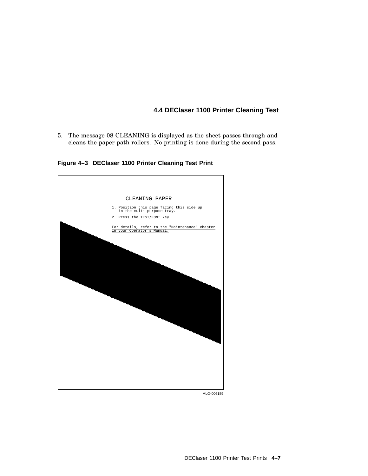#### **4.4 DEClaser 1100 Printer Cleaning Test**

5. The message 08 CLEANING is displayed as the sheet passes through and cleans the paper path rollers. No printing is done during the second pass.

**Figure 4–3 DEClaser 1100 Printer Cleaning Test Print**



MLO-006189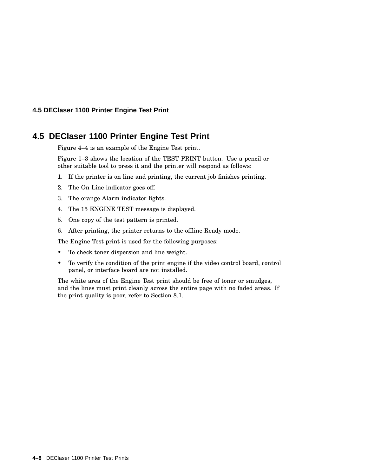#### **4.5 DEClaser 1100 Printer Engine Test Print**

# **4.5 DEClaser 1100 Printer Engine Test Print**

Figure 4–4 is an example of the Engine Test print.

Figure 1–3 shows the location of the TEST PRINT button. Use a pencil or other suitable tool to press it and the printer will respond as follows:

- 1. If the printer is on line and printing, the current job finishes printing.
- 2. The On Line indicator goes off.
- 3. The orange Alarm indicator lights.
- 4. The 15 ENGINE TEST message is displayed.
- 5. One copy of the test pattern is printed.
- 6. After printing, the printer returns to the offline Ready mode.

The Engine Test print is used for the following purposes:

- To check toner dispersion and line weight.
- To verify the condition of the print engine if the video control board, control panel, or interface board are not installed.

The white area of the Engine Test print should be free of toner or smudges, and the lines must print cleanly across the entire page with no faded areas. If the print quality is poor, refer to Section 8.1.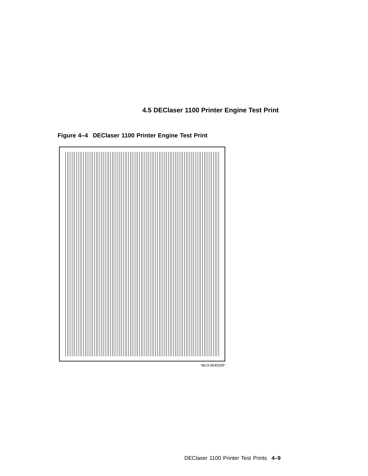**4.5 DEClaser 1100 Printer Engine Test Print**



**Figure 4–4 DEClaser 1100 Printer Engine Test Print**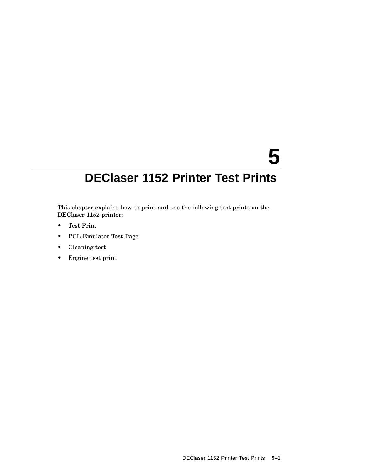# **5**

# **DEClaser 1152 Printer Test Prints**

This chapter explains how to print and use the following test prints on the DEClaser 1152 printer:

- Test Print
- PCL Emulator Test Page
- Cleaning test
- Engine test print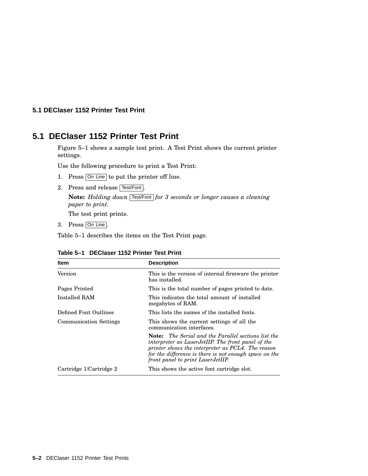#### **5.1 DEClaser 1152 Printer Test Print**

# **5.1 DEClaser 1152 Printer Test Print**

Figure 5–1 shows a sample test print. A Test Print shows the current printer settings.

Use the following procedure to print a Test Print:

- 1. Press On Line to put the printer off line.
- 2. Press and release Test/Font.

**Note:** *Holding down* Test/Font *for 3 seconds or longer causes a cleaning paper to print.*

The test print prints.

3. Press On Line.

Table 5–1 describes the items on the Test Print page.

| <b>Item</b>                   | <b>Description</b>                                                                                                                                                                                                                                                   |
|-------------------------------|----------------------------------------------------------------------------------------------------------------------------------------------------------------------------------------------------------------------------------------------------------------------|
| Version                       | This is the version of internal firmware the printer<br>has installed.                                                                                                                                                                                               |
| Pages Printed                 | This is the total number of pages printed to date.                                                                                                                                                                                                                   |
| Installed RAM                 | This indicates the total amount of installed<br>megabytes of RAM.                                                                                                                                                                                                    |
| Defined Font Outlines         | This lists the names of the installed fonts.                                                                                                                                                                                                                         |
| <b>Communication Settings</b> | This shows the current settings of all the<br>communication interfaces.                                                                                                                                                                                              |
|                               | <b>Note:</b> The Serial and the Parallel sections list the<br>interpreter as LaserJetIIP. The front panel of the<br>printer shows the interpreter as PCL4. The reason<br>for the difference is there is not enough space on the<br>front panel to print LaserJetIIP. |
| Cartridge 1/Cartridge 2       | This shows the active font cartridge slot.                                                                                                                                                                                                                           |

#### **Table 5–1 DEClaser 1152 Printer Test Print**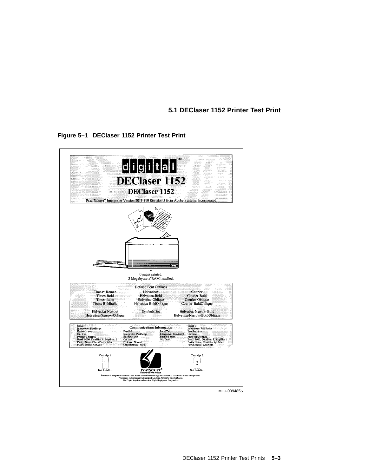**5.1 DEClaser 1152 Printer Test Print**



**Figure 5–1 DEClaser 1152 Printer Test Print**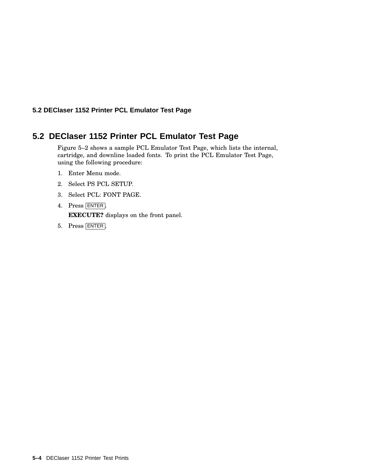#### **5.2 DEClaser 1152 Printer PCL Emulator Test Page**

# **5.2 DEClaser 1152 Printer PCL Emulator Test Page**

Figure 5–2 shows a sample PCL Emulator Test Page, which lists the internal, cartridge, and downline loaded fonts. To print the PCL Emulator Test Page, using the following procedure:

- 1. Enter Menu mode.
- 2. Select PS PCL SETUP.
- 3. Select PCL: FONT PAGE.
- 4. Press ENTER. **EXECUTE?** displays on the front panel.
- 5. Press ENTER .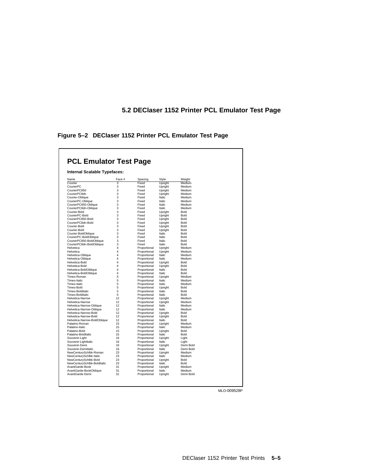# **5.2 DEClaser 1152 Printer PCL Emulator Test Page**

**Figure 5–2 DEClaser 1152 Printer PCL Emulator Test Page**

| Internal Scalable Typefaces:                   |                         |                              |                           |                     |
|------------------------------------------------|-------------------------|------------------------------|---------------------------|---------------------|
|                                                |                         |                              |                           |                     |
|                                                |                         |                              |                           |                     |
| Name<br>Courier                                | Face #                  | Spacing<br>Fixed             | Style<br><b>Upright</b>   | Weight<br>Medium    |
| CourierPC                                      | 3<br>3                  | Fixed                        | Upright                   | Medium              |
| CourierPC850                                   | 3                       | Fixed                        | Upright                   | Medium              |
| CourierPC8dn                                   | 3                       | Fixed                        | Upright                   | Medium              |
| Courier-Oblique                                | 3                       | Fixed                        | Italic                    | Medium              |
| CourierPC-Oblique                              | 3                       | Fixed                        | Italic                    | Medium              |
| CourierPC850-Oblique                           | 3                       | Fixed                        | Italic                    | Medium              |
| CourierPC8dn-Oblique                           | 3                       | Fixed                        | Italic                    | Medium              |
| Courier-Bold                                   | 3                       | Fixed                        | Upright                   | Bold                |
| CourierPC-Bold                                 | 3                       | Fixed                        | Upright                   | Bold                |
| CourierPC850-Bold                              | 3                       | Fixed                        | Upright                   | Bold                |
| CourierPC8dn-Bold                              | 3                       | Fixed                        | Upright                   | <b>Bold</b>         |
| Courier-Bold                                   | 3                       | Fixed                        | Upright                   | Bold                |
| Courier-Bold                                   | 3                       | Fixed                        | Upright                   | Bold                |
| Courier-BoldOblique                            | 3                       | Fixed                        | <b>Italic</b>             | Bold                |
| CourierPC-BoldOblique                          | 3                       | Fixed                        | Italic                    | Bold                |
| CourierPC850-BoldOblique                       | 3                       | Fixed                        | <b>Italic</b>             | Bold                |
| CourierPC8dn-BoldOblique                       | 3                       | Fixed                        | Italic                    | Bold                |
| Helvetica                                      | 4                       | Proportional                 | Upright                   | Medium              |
| Helvetica                                      | 4                       | Proportional                 | Upright                   | Medium              |
| Helvetica-Oblique                              | $\overline{\mathbf{4}}$ | Proportional                 | Italic                    | Medium              |
| Helvetica-Oblique                              | 4                       | Proportional                 | Italic                    | Medium              |
| Helvetica-Bold                                 | 4                       | Proportional                 | Upright                   | Bold                |
| Helvetica-Bold                                 | 4                       | Proportional                 | Upright                   | Bold                |
| Helvetica-BoldOblique                          | 4                       | Proportional                 | Italic                    | Bold                |
| Helvetica-BoldOblique                          | 4                       | Proportional                 | Italic                    | Bold                |
| Times-Roman                                    | 5                       | Proportional                 | Upright                   | Medium              |
| Times-Italic                                   | 5                       | Proportional                 | Italic                    | Medium              |
| Times-Italic                                   | 5                       | Proportional                 | Italic                    | Medium              |
| Times-Bold                                     | 5                       | Proportional                 | Upright                   | Bold                |
| Times-BoldItalic                               | 5                       | Proportional                 | Italic                    | Bold                |
| Times-BoldItalic                               | 5                       | Proportional                 | Italic                    | Bold                |
| Helvetica-Narrow                               | 12                      | Proportional                 | Upright                   | Medium              |
| Helvetica-Narrow                               | 12<br>12                | Proportional                 | Upright                   | Medium              |
| Helvetica-Narrow-Oblique                       | 12                      | Proportional                 | Italic                    | Medium              |
| Helvetica-Narrow-Oblique                       | 12                      | Proportional                 | Italic                    | Medium              |
| Helvetica-Narrow-Bold<br>Helvetica-Narrow-Bold | 12                      | Proportional<br>Proportional | <b>Upright</b><br>Upright | <b>Bold</b><br>Bold |
| Helvetica-Narrow-BoldOblique                   | 12                      | Proportional                 | Italic                    | Bold                |
| Palatino-Roman                                 | 15                      | Proportional                 | <b>Upright</b>            | Medium              |
| Palatino-Italic                                | 15                      | Proportional                 | Italic                    | Medium              |
| Palatino-Bold                                  | 15                      | Proportional                 | Upright                   | Bold                |
| Palatino-BoldItalic                            | 15                      | Proportional                 | Italic                    | Bold                |
| Souvenir-Light                                 | 16                      | Proportional                 | Upright                   | Light               |
| Souvenir-LightItalic                           | 16                      | Proportional                 | Italic                    | Light               |
| Souvenir-Demi                                  | 16                      | Proportional                 | Upright                   | Demi Bold           |
| Souvenir-Demiltalic                            | 16                      | Proportional                 | Italic                    | Demi Bold           |
| NewCenturySchlbk-Roman                         | 23                      | Proportional                 | <b>Upright</b>            | Medium              |
| NewCenturySchlbk-Italic                        | 23                      | Proportional                 | Italic                    | Medium              |
| NewCenturySchlbk-Bold                          | 23                      | Proportional                 | Upright                   | Bold                |
| NewCenturySchlbk-BoldItalic                    | 23                      | Proportional                 | Italic                    | Bold                |
| AvantGarde-Book                                | 31                      | Proportional                 | Upright                   | Medium              |
| AvantGarde-BookOblique                         | 31                      | Proportional                 | Italic                    | Medium              |
| AvantGarde-Demi                                | 31                      | Proportional                 | Upright                   | Demi Bold           |

MLO-009528P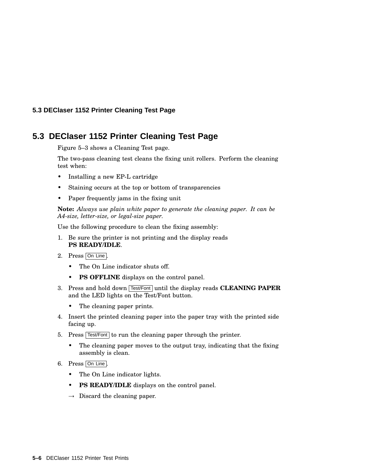#### **5.3 DEClaser 1152 Printer Cleaning Test Page**

# **5.3 DEClaser 1152 Printer Cleaning Test Page**

Figure 5–3 shows a Cleaning Test page.

The two-pass cleaning test cleans the fixing unit rollers. Perform the cleaning test when:

- Installing a new EP-L cartridge
- Staining occurs at the top or bottom of transparencies
- Paper frequently jams in the fixing unit

**Note:** *Always use plain white paper to generate the cleaning paper. It can be A4-size, letter-size, or legal-size paper.*

Use the following procedure to clean the fixing assembly:

- 1. Be sure the printer is not printing and the display reads **PS READY/IDLE**.
- 2. Press On Line.
	- The On Line indicator shuts off.
	- **PS OFFLINE** displays on the control panel.
- 3. Press and hold down Test/Font until the display reads **CLEANING PAPER** and the LED lights on the Test/Font button.
	- The cleaning paper prints.
- 4. Insert the printed cleaning paper into the paper tray with the printed side facing up.
- 5. Press  $\sqrt{\frac{F_{\text{est}}}{F_{\text{out}}}}$  to run the cleaning paper through the printer.
	- The cleaning paper moves to the output tray, indicating that the fixing assembly is clean.
- 6. Press On Line .
	- The On Line indicator lights.
	- **PS READY/IDLE** displays on the control panel.
	- $\rightarrow$  Discard the cleaning paper.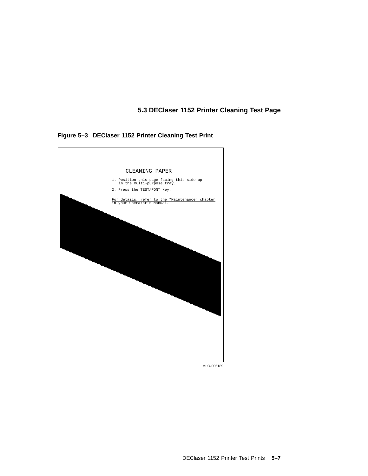# **5.3 DEClaser 1152 Printer Cleaning Test Page**

**Figure 5–3 DEClaser 1152 Printer Cleaning Test Print**



MLO-006189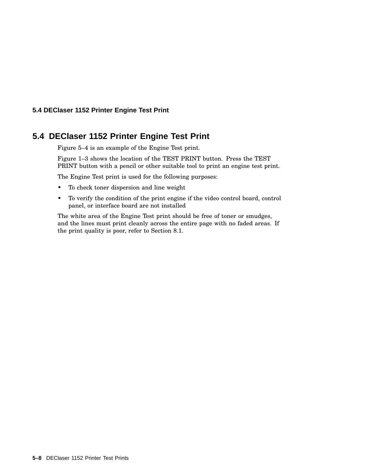#### **5.4 DEClaser 1152 Printer Engine Test Print**

# **5.4 DEClaser 1152 Printer Engine Test Print**

Figure 5–4 is an example of the Engine Test print.

Figure 1–3 shows the location of the TEST PRINT button. Press the TEST PRINT button with a pencil or other suitable tool to print an engine test print.

The Engine Test print is used for the following purposes:

- To check toner dispersion and line weight
- To verify the condition of the print engine if the video control board, control panel, or interface board are not installed

The white area of the Engine Test print should be free of toner or smudges, and the lines must print cleanly across the entire page with no faded areas. If the print quality is poor, refer to Section 8.1.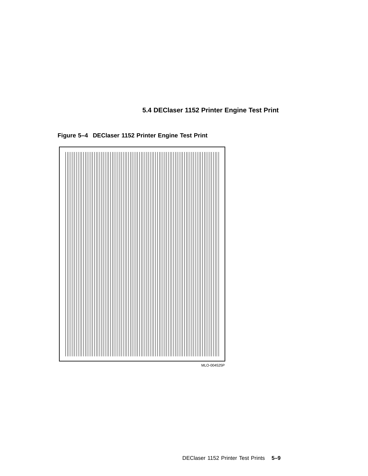**5.4 DEClaser 1152 Printer Engine Test Print**



**Figure 5–4 DEClaser 1152 Printer Engine Test Print**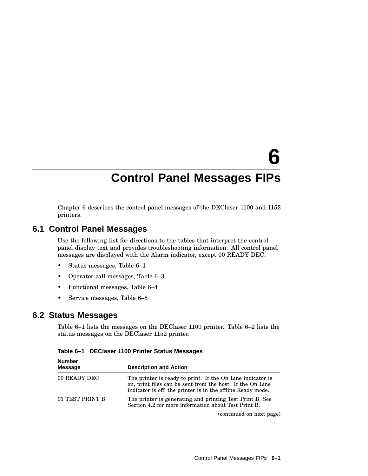# **6 Control Panel Messages FIPs**

Chapter 6 describes the control panel messages of the DEClaser 1100 and 1152 printers.

# **6.1 Control Panel Messages**

Use the following list for directions to the tables that interpret the control panel display text and provides troubleshooting information. All control panel messages are displayed with the Alarm indicator, except 00 READY DEC.

- Status messages, Table 6–1
- Operator call messages, Table 6–3
- Functional messages, Table 6–4
- Service messages, Table 6–5

#### **6.2 Status Messages**

Table 6–1 lists the messages on the DEClaser 1100 printer. Table 6–2 lists the status messages on the DEClaser 1152 printer.

| <b>Number</b><br><b>Message</b> | <b>Description and Action</b>                                                                                                                                                          |
|---------------------------------|----------------------------------------------------------------------------------------------------------------------------------------------------------------------------------------|
| 00 READY DEC                    | The printer is ready to print. If the On Line indicator is<br>on, print files can be sent from the host. If the On Line<br>indicator is off, the printer is in the offline Ready mode. |
| 01 TEST PRINT B                 | The printer is generating and printing Test Print B. See<br>Section 4.2 for more information about Test Print B.                                                                       |
|                                 | (continued on next page)                                                                                                                                                               |

**Table 6–1 DEClaser 1100 Printer Status Messages**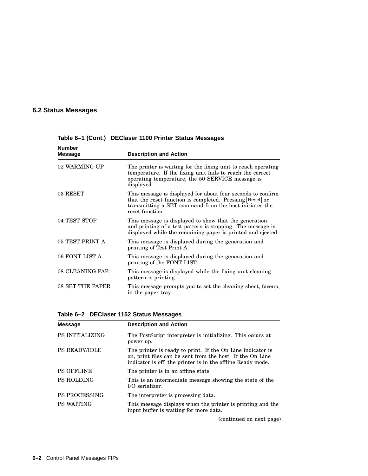# **6.2 Status Messages**

| <b>Number</b><br><b>Message</b> | <b>Description and Action</b>                                                                                                                                                                       |
|---------------------------------|-----------------------------------------------------------------------------------------------------------------------------------------------------------------------------------------------------|
| 02 WARMING UP                   | The printer is waiting for the fixing unit to reach operating<br>temperature. If the fixing unit fails to reach the correct<br>operating temperature, the 50 SERVICE message is<br>displayed.       |
| 03 RESET                        | This message is displayed for about four seconds to confirm<br>that the reset function is completed. Pressing Reset or<br>transmitting a SET command from the host initiates the<br>reset function. |
| 04 TEST STOP                    | This message is displayed to show that the generation<br>and printing of a test pattern is stopping. The message is<br>displayed while the remaining paper is printed and ejected.                  |
| 05 TEST PRINT A                 | This message is displayed during the generation and<br>printing of Test Print A.                                                                                                                    |
| 06 FONT LIST A                  | This message is displayed during the generation and<br>printing of the FONT LIST.                                                                                                                   |
| 08 CLEANING PAP.                | This message is displayed while the fixing unit cleaning<br>pattern is printing.                                                                                                                    |
| 08 SET THE PAPER                | This message prompts you to set the cleaning sheet, faceup,<br>in the paper tray.                                                                                                                   |

**Table 6–1 (Cont.) DEClaser 1100 Printer Status Messages**

| Table 6–2 DEClaser 1152 Status Messages |  |
|-----------------------------------------|--|
|-----------------------------------------|--|

| <b>Message</b>         | <b>Description and Action</b>                                                                                                                                                          |
|------------------------|----------------------------------------------------------------------------------------------------------------------------------------------------------------------------------------|
| <b>PS INITIALIZING</b> | The PostScript interpreter is initializing. This occurs at<br>power up.                                                                                                                |
| <b>PS READY/IDLE</b>   | The printer is ready to print. If the On Line indicator is<br>on, print files can be sent from the host. If the On Line<br>indicator is off, the printer is in the offline Ready mode. |
| <b>PS OFFLINE</b>      | The printer is in an offline state.                                                                                                                                                    |
| <b>PS HOLDING</b>      | This is an intermediate message showing the state of the<br>$I/O$ serializer.                                                                                                          |
| <b>PS PROCESSING</b>   | The interpreter is processing data.                                                                                                                                                    |
| <b>PS WAITING</b>      | This message displays when the printer is printing and the<br>input buffer is waiting for more data.                                                                                   |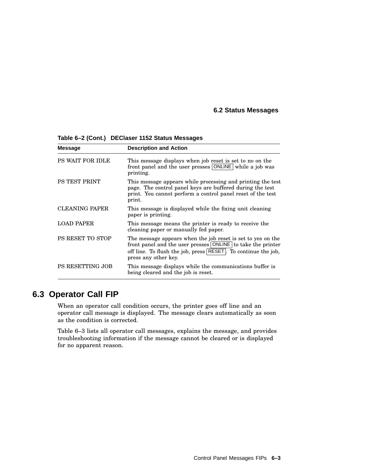#### **6.2 Status Messages**

| <b>Message</b>          | <b>Description and Action</b>                                                                                                                                                                                       |
|-------------------------|---------------------------------------------------------------------------------------------------------------------------------------------------------------------------------------------------------------------|
| PS WAIT FOR IDLE        | This message displays when job reset is set to no on the<br>front panel and the user presses ONLINE while a job was<br>printing.                                                                                    |
| <b>PS TEST PRINT</b>    | This message appears while processing and printing the test<br>page. The control panel keys are buffered during the test<br>print. You cannot perform a control panel reset of the test<br>print.                   |
| <b>CLEANING PAPER</b>   | This message is displayed while the fixing unit cleaning<br>paper is printing.                                                                                                                                      |
| <b>LOAD PAPER</b>       | This message means the printer is ready to receive the<br>cleaning paper or manually fed paper.                                                                                                                     |
| <b>PS RESET TO STOP</b> | The message appears when the job reset is set to yes on the<br>front panel and the user presses ONLINE to take the printer<br>off line. To flush the job, press RESET. To continue the job,<br>press any other key. |
| <b>PS RESETTING JOB</b> | This message displays while the communications buffer is<br>being cleared and the job is reset.                                                                                                                     |

**Table 6–2 (Cont.) DEClaser 1152 Status Messages**

## **6.3 Operator Call FIP**

When an operator call condition occurs, the printer goes off line and an operator call message is displayed. The message clears automatically as soon as the condition is corrected.

Table 6–3 lists all operator call messages, explains the message, and provides troubleshooting information if the message cannot be cleared or is displayed for no apparent reason.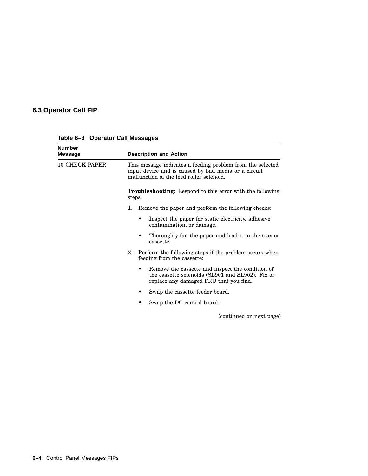| <b>Number</b><br><b>Message</b> | <b>Description and Action</b>                                                                                                                                  |
|---------------------------------|----------------------------------------------------------------------------------------------------------------------------------------------------------------|
| <b>10 CHECK PAPER</b>           | This message indicates a feeding problem from the selected<br>input device and is caused by bad media or a circuit<br>malfunction of the feed roller solenoid. |
|                                 | Troubleshooting: Respond to this error with the following<br>steps.                                                                                            |
|                                 | 1.<br>Remove the paper and perform the following checks:                                                                                                       |
|                                 | Inspect the paper for static electricity, adhesive<br>٠<br>contamination, or damage.                                                                           |
|                                 | Thoroughly fan the paper and load it in the tray or<br>٠<br>cassette.                                                                                          |
|                                 | 2. Perform the following steps if the problem occurs when<br>feeding from the cassette:                                                                        |
|                                 | Remove the cassette and inspect the condition of<br>the cassette solenoids (SL901 and SL902). Fix or<br>replace any damaged FRU that you find.                 |
|                                 | Swap the cassette feeder board.                                                                                                                                |
|                                 | Swap the DC control board.                                                                                                                                     |
|                                 | (continued on next page)                                                                                                                                       |

**Table 6–3 Operator Call Messages**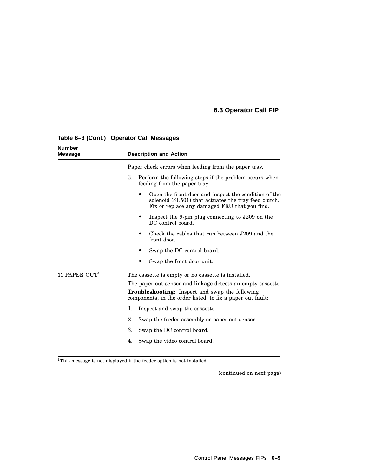| <b>Number</b><br><b>Message</b> | <b>Description and Action</b>                                                                                                                                 |  |  |  |
|---------------------------------|---------------------------------------------------------------------------------------------------------------------------------------------------------------|--|--|--|
|                                 | Paper check errors when feeding from the paper tray.                                                                                                          |  |  |  |
|                                 | 3.<br>Perform the following steps if the problem occurs when<br>feeding from the paper tray:                                                                  |  |  |  |
|                                 | Open the front door and inspect the condition of the<br>solenoid (SL501) that actuates the tray feed clutch.<br>Fix or replace any damaged FRU that you find. |  |  |  |
|                                 | Inspect the 9-pin plug connecting to J209 on the<br>DC control board.                                                                                         |  |  |  |
|                                 | Check the cables that run between J209 and the<br>front door.                                                                                                 |  |  |  |
|                                 | Swap the DC control board.                                                                                                                                    |  |  |  |
|                                 | Swap the front door unit.                                                                                                                                     |  |  |  |
| 11 PAPER OUT <sup>1</sup>       | The cassette is empty or no cassette is installed.                                                                                                            |  |  |  |
|                                 | The paper out sensor and linkage detects an empty cassette.                                                                                                   |  |  |  |
|                                 | <b>Troubleshooting:</b> Inspect and swap the following<br>components, in the order listed, to fix a paper out fault:                                          |  |  |  |
|                                 | 1.<br>Inspect and swap the cassette.                                                                                                                          |  |  |  |
|                                 | 2.<br>Swap the feeder assembly or paper out sensor.                                                                                                           |  |  |  |
|                                 | 3.<br>Swap the DC control board.                                                                                                                              |  |  |  |
|                                 | Swap the video control board.<br>4.                                                                                                                           |  |  |  |

## **Table 6–3 (Cont.) Operator Call Messages**

 $^1\!$  This message is not displayed if the feeder option is not installed.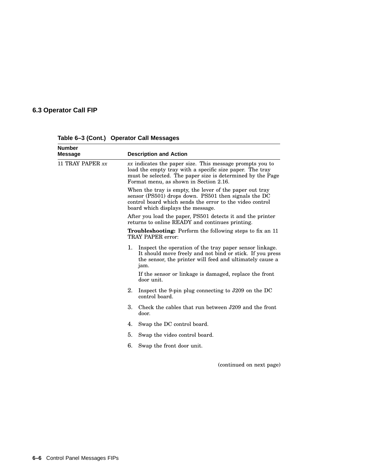| <b>Number</b><br><b>Message</b> | <b>Description and Action</b>                                                                                                                                                                                                  |                                                                                                                                                                                                                                                                  |  |  |
|---------------------------------|--------------------------------------------------------------------------------------------------------------------------------------------------------------------------------------------------------------------------------|------------------------------------------------------------------------------------------------------------------------------------------------------------------------------------------------------------------------------------------------------------------|--|--|
| 11 TRAY PAPER xx                | $xx$ indicates the paper size. This message prompts you to<br>load the empty tray with a specific size paper. The tray<br>must be selected. The paper size is determined by the Page<br>Format menu, as shown in Section 2.16. |                                                                                                                                                                                                                                                                  |  |  |
|                                 | When the tray is empty, the lever of the paper out tray<br>sensor (PS501) drops down. PS501 then signals the DC<br>control board which sends the error to the video control<br>board which displays the message.               |                                                                                                                                                                                                                                                                  |  |  |
|                                 | After you load the paper, PS501 detects it and the printer<br>returns to online READY and continues printing.                                                                                                                  |                                                                                                                                                                                                                                                                  |  |  |
|                                 | <b>Troubleshooting:</b> Perform the following steps to fix an 11<br>TRAY PAPER error:                                                                                                                                          |                                                                                                                                                                                                                                                                  |  |  |
|                                 | 1.                                                                                                                                                                                                                             | Inspect the operation of the tray paper sensor linkage.<br>It should move freely and not bind or stick. If you press<br>the sensor, the printer will feed and ultimately cause a<br>jam.<br>If the sensor or linkage is damaged, replace the front<br>door unit. |  |  |
|                                 | 2.                                                                                                                                                                                                                             | Inspect the 9-pin plug connecting to J209 on the DC<br>control board.                                                                                                                                                                                            |  |  |
|                                 | 3.                                                                                                                                                                                                                             | Check the cables that run between J209 and the front<br>door.                                                                                                                                                                                                    |  |  |
|                                 | 4.                                                                                                                                                                                                                             | Swap the DC control board.                                                                                                                                                                                                                                       |  |  |
|                                 | 5.                                                                                                                                                                                                                             | Swap the video control board.                                                                                                                                                                                                                                    |  |  |
|                                 | 6.                                                                                                                                                                                                                             | Swap the front door unit.                                                                                                                                                                                                                                        |  |  |
|                                 |                                                                                                                                                                                                                                | (continued on next page)                                                                                                                                                                                                                                         |  |  |

**Table 6–3 (Cont.) Operator Call Messages**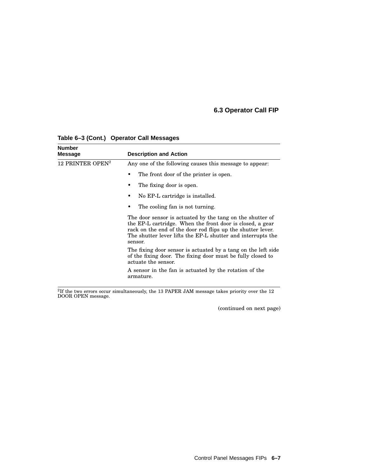| <b>Number</b><br><b>Message</b> | <b>Description and Action</b>                                                                                                                                                                                                                                   |  |  |
|---------------------------------|-----------------------------------------------------------------------------------------------------------------------------------------------------------------------------------------------------------------------------------------------------------------|--|--|
| 12 PRINTER OPEN <sup>2</sup>    | Any one of the following causes this message to appear.                                                                                                                                                                                                         |  |  |
|                                 | The front door of the printer is open.                                                                                                                                                                                                                          |  |  |
|                                 | The fixing door is open.                                                                                                                                                                                                                                        |  |  |
|                                 | No EP-L cartridge is installed.                                                                                                                                                                                                                                 |  |  |
|                                 | The cooling fan is not turning.                                                                                                                                                                                                                                 |  |  |
|                                 | The door sensor is actuated by the tang on the shutter of<br>the EP-L cartridge. When the front door is closed, a gear<br>rack on the end of the door rod flips up the shutter lever.<br>The shutter lever lifts the EP-L shutter and interrupts the<br>sensor. |  |  |
|                                 | The fixing door sensor is actuated by a tang on the left side<br>of the fixing door. The fixing door must be fully closed to<br>actuate the sensor.                                                                                                             |  |  |
|                                 | A sensor in the fan is actuated by the rotation of the<br>armature.                                                                                                                                                                                             |  |  |

#### **Table 6–3 (Cont.) Operator Call Messages**

 $^{2}$ If the two errors occur simultaneously, the 13 PAPER JAM message takes priority over the 12 DOOR OPEN message.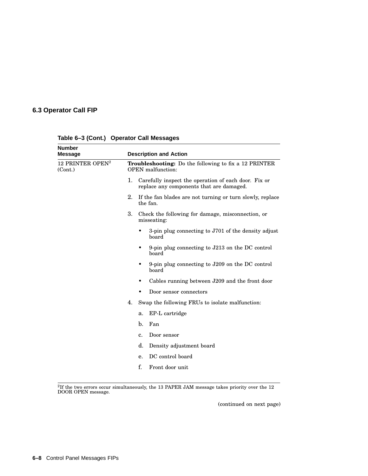| <b>Number</b><br><b>Message</b>         |    | <b>Description and Action</b>                                                                    |
|-----------------------------------------|----|--------------------------------------------------------------------------------------------------|
| 12 PRINTER OPEN <sup>2</sup><br>(Cont.) |    | <b>Troubleshooting:</b> Do the following to fix a 12 PRINTER<br><b>OPEN</b> malfunction:         |
|                                         | 1. | Carefully inspect the operation of each door. Fix or<br>replace any components that are damaged. |
|                                         | 2. | If the fan blades are not turning or turn slowly, replace<br>the fan.                            |
|                                         | 3. | Check the following for damage, misconnection, or<br>misseating:                                 |
|                                         |    | 3-pin plug connecting to J701 of the density adjust<br>board                                     |
|                                         |    | 9-pin plug connecting to $J213$ on the DC control<br>board                                       |
|                                         |    | 9-pin plug connecting to J209 on the DC control<br>board                                         |
|                                         |    | Cables running between J209 and the front door<br>٠                                              |
|                                         |    | Door sensor connectors                                                                           |
|                                         | 4. | Swap the following FRUs to isolate malfunction:                                                  |
|                                         |    | EP-L cartridge<br>a.                                                                             |
|                                         |    | $b$<br>Fan                                                                                       |
|                                         |    | Door sensor<br>c.                                                                                |
|                                         |    | d.<br>Density adjustment board                                                                   |
|                                         |    | DC control board<br>е.                                                                           |
|                                         |    | f.<br>Front door unit                                                                            |

**Table 6–3 (Cont.) Operator Call Messages**

 $^{2}$ If the two errors occur simultaneously, the 13 PAPER JAM message takes priority over the 12 DOOR OPEN message.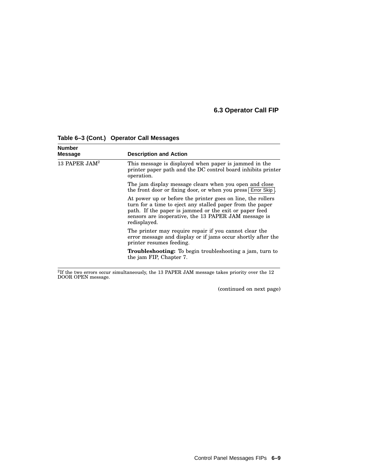| <b>Number</b><br><b>Message</b> | <b>Description and Action</b>                                                                                                                                                                                                                              |  |  |
|---------------------------------|------------------------------------------------------------------------------------------------------------------------------------------------------------------------------------------------------------------------------------------------------------|--|--|
| 13 PAPER $JAM^2$                | This message is displayed when paper is jammed in the<br>printer paper path and the DC control board inhibits printer<br>operation.                                                                                                                        |  |  |
|                                 | The jam display message clears when you open and close<br>the front door or fixing door, or when you press Error Skip                                                                                                                                      |  |  |
|                                 | At power up or before the printer goes on line, the rollers<br>turn for a time to eject any stalled paper from the paper<br>path. If the paper is jammed or the exit or paper feed<br>sensors are inoperative, the 13 PAPER JAM message is<br>redisplayed. |  |  |
|                                 | The printer may require repair if you cannot clear the<br>error message and display or if jams occur shortly after the<br>printer resumes feeding.                                                                                                         |  |  |
|                                 | <b>Troubleshooting:</b> To begin troubleshooting a jam, turn to<br>the jam FIP, Chapter 7.                                                                                                                                                                 |  |  |

**Table 6–3 (Cont.) Operator Call Messages**

 $^{2}$ If the two errors occur simultaneously, the 13 PAPER JAM message takes priority over the 12 DOOR OPEN message.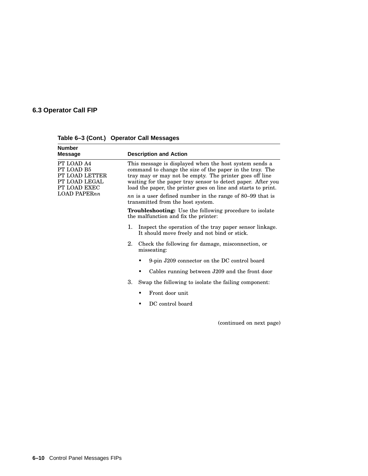| <b>Number</b><br>Message                                                    | <b>Description and Action</b>                                                                                                                                                                                                                                                                                  |                                                                                                         |  |  |
|-----------------------------------------------------------------------------|----------------------------------------------------------------------------------------------------------------------------------------------------------------------------------------------------------------------------------------------------------------------------------------------------------------|---------------------------------------------------------------------------------------------------------|--|--|
| PT LOAD A4<br>PT LOAD B5<br>PT LOAD LETTER<br>PT LOAD LEGAL<br>PT LOAD EXEC | This message is displayed when the host system sends a<br>command to change the size of the paper in the tray. The<br>tray may or may not be empty. The printer goes off line<br>waiting for the paper tray sensor to detect paper. After you<br>load the paper, the printer goes on line and starts to print. |                                                                                                         |  |  |
| LOAD PAPERnn                                                                | <i>nn</i> is a user defined number in the range of 80–99 that is<br>transmitted from the host system.                                                                                                                                                                                                          |                                                                                                         |  |  |
|                                                                             | <b>Troubleshooting:</b> Use the following procedure to isolate<br>the malfunction and fix the printer:                                                                                                                                                                                                         |                                                                                                         |  |  |
|                                                                             | 1.                                                                                                                                                                                                                                                                                                             | Inspect the operation of the tray paper sensor linkage.<br>It should move freely and not bind or stick. |  |  |
|                                                                             | $2_{-}$                                                                                                                                                                                                                                                                                                        | Check the following for damage, misconnection, or<br>misseating:                                        |  |  |
|                                                                             |                                                                                                                                                                                                                                                                                                                | 9-pin J209 connector on the DC control board                                                            |  |  |
|                                                                             |                                                                                                                                                                                                                                                                                                                | Cables running between J209 and the front door                                                          |  |  |
|                                                                             | 3.                                                                                                                                                                                                                                                                                                             | Swap the following to isolate the failing component:                                                    |  |  |
|                                                                             |                                                                                                                                                                                                                                                                                                                | Front door unit                                                                                         |  |  |
|                                                                             |                                                                                                                                                                                                                                                                                                                | DC control board                                                                                        |  |  |

**Table 6–3 (Cont.) Operator Call Messages**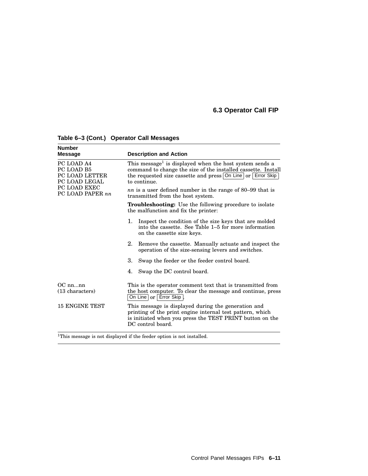| <b>Number</b><br><b>Message</b>                                                                        | <b>Description and Action</b>                                                                                                                                                                                                                                                                                                                                 |  |  |
|--------------------------------------------------------------------------------------------------------|---------------------------------------------------------------------------------------------------------------------------------------------------------------------------------------------------------------------------------------------------------------------------------------------------------------------------------------------------------------|--|--|
| PC LOAD A4<br>PC LOAD B5<br><b>PC LOAD LETTER</b><br>PC LOAD LEGAL<br>PC LOAD EXEC<br>PC LOAD PAPER nn | This message <sup>1</sup> is displayed when the host system sends a<br>command to change the size of the installed cassette. Install<br>the requested size cassette and press On Line or Error Skip<br>to continue.                                                                                                                                           |  |  |
|                                                                                                        | <i>nn</i> is a user defined number in the range of 80–99 that is<br>transmitted from the host system.                                                                                                                                                                                                                                                         |  |  |
|                                                                                                        | Troubleshooting: Use the following procedure to isolate<br>the malfunction and fix the printer:                                                                                                                                                                                                                                                               |  |  |
|                                                                                                        | 1.<br>Inspect the condition of the size keys that are molded<br>into the cassette. See Table 1–5 for more information<br>on the cassette size keys.                                                                                                                                                                                                           |  |  |
|                                                                                                        | 2.<br>Remove the cassette. Manually actuate and inspect the<br>operation of the size-sensing levers and switches.                                                                                                                                                                                                                                             |  |  |
|                                                                                                        | 3.<br>Swap the feeder or the feeder control board.                                                                                                                                                                                                                                                                                                            |  |  |
|                                                                                                        | 4.<br>Swap the DC control board.                                                                                                                                                                                                                                                                                                                              |  |  |
| $OC$ nnnn<br>(13 characters)                                                                           | This is the operator comment text that is transmitted from<br>the host computer. To clear the message and continue, press<br>On Line   or   Error Skip  <br>This message is displayed during the generation and<br>printing of the print engine internal test pattern, which<br>is initiated when you press the TEST PRINT button on the<br>DC control board. |  |  |
| <b>15 ENGINE TEST</b>                                                                                  |                                                                                                                                                                                                                                                                                                                                                               |  |  |
|                                                                                                        | <sup>1</sup> This message is not displayed if the feeder ontion is not installed                                                                                                                                                                                                                                                                              |  |  |

**Table 6–3 (Cont.) Operator Call Messages**

<sup>1</sup>This message is not displayed if the feeder option is not installed.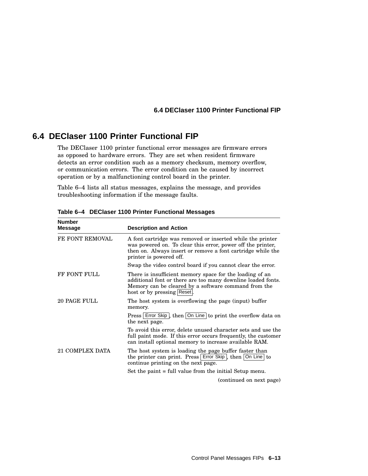#### **6.4 DEClaser 1100 Printer Functional FIP**

## **6.4 DEClaser 1100 Printer Functional FIP**

The DEClaser 1100 printer functional error messages are firmware errors as opposed to hardware errors. They are set when resident firmware detects an error condition such as a memory checksum, memory overflow, or communication errors. The error condition can be caused by incorrect operation or by a malfunctioning control board in the printer.

Table 6–4 lists all status messages, explains the message, and provides troubleshooting information if the message faults.

| <b>Description and Action</b>                                                                                                                                                                                       |
|---------------------------------------------------------------------------------------------------------------------------------------------------------------------------------------------------------------------|
| A font cartridge was removed or inserted while the printer<br>was powered on. To clear this error, power off the printer,<br>then on. Always insert or remove a font cartridge while the<br>printer is powered off. |
| Swap the video control board if you cannot clear the error.                                                                                                                                                         |
| There is insufficient memory space for the loading of an<br>additional font or there are too many downline loaded fonts.<br>Memory can be cleared by a software command from the<br>host or by pressing Reset.      |
| The host system is overflowing the page (input) buffer<br>memory.                                                                                                                                                   |
| Press   Error Skip  , then   On Line   to print the overflow data on<br>the next page.                                                                                                                              |
| To avoid this error, delete unused character sets and use the<br>full paint mode. If this error occurs frequently, the customer<br>can install optional memory to increase available RAM.                           |
| The host system is loading the page buffer faster than<br>the printer can print. Press Error Skip, then   On Line   to<br>continue printing on the next page.                                                       |
| Set the paint = full value from the initial Setup menu.                                                                                                                                                             |
| (continued on next page)                                                                                                                                                                                            |
|                                                                                                                                                                                                                     |

**Table 6–4 DEClaser 1100 Printer Functional Messages**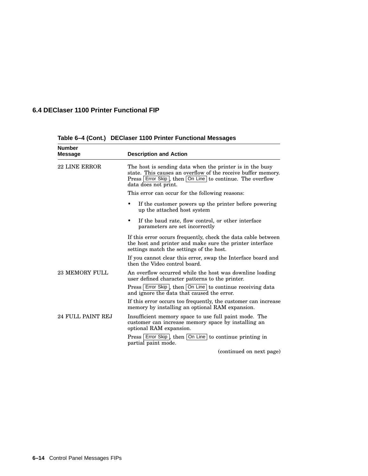## **6.4 DEClaser 1100 Printer Functional FIP**

| <b>Number</b><br>Message | <b>Description and Action</b>                                                                                                                                                                                |  |  |
|--------------------------|--------------------------------------------------------------------------------------------------------------------------------------------------------------------------------------------------------------|--|--|
| <b>22 LINE ERROR</b>     | The host is sending data when the printer is in the busy<br>state. This causes an overflow of the receive buffer memory.<br>Press Error Skip, then On Line to continue. The overflow<br>data does not print. |  |  |
|                          | This error can occur for the following reasons:                                                                                                                                                              |  |  |
|                          | If the customer powers up the printer before powering<br>٠<br>up the attached host system                                                                                                                    |  |  |
|                          | If the baud rate, flow control, or other interface<br>$\bullet$<br>parameters are set incorrectly                                                                                                            |  |  |
|                          | If this error occurs frequently, check the data cable between<br>the host and printer and make sure the printer interface<br>settings match the settings of the host.                                        |  |  |
|                          | If you cannot clear this error, swap the Interface board and<br>then the Video control board.                                                                                                                |  |  |
| <b>23 MEMORY FULL</b>    | An overflow occurred while the host was downline loading<br>user defined character patterns to the printer.                                                                                                  |  |  |
|                          | Press   Error Skip  , then   On Line   to continue receiving data<br>and ignore the data that caused the error.                                                                                              |  |  |
|                          | If this error occurs too frequently, the customer can increase<br>memory by installing an optional RAM expansion.                                                                                            |  |  |
| 24 FULL PAINT REJ        | Insufficient memory space to use full paint mode. The<br>customer can increase memory space by installing an<br>optional RAM expansion.                                                                      |  |  |
|                          | Press Error Skip, then On Line to continue printing in<br>partial paint mode.                                                                                                                                |  |  |
|                          | (continued on next page)                                                                                                                                                                                     |  |  |

**Table 6–4 (Cont.) DEClaser 1100 Printer Functional Messages**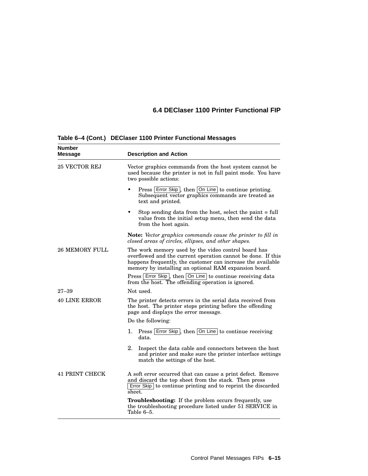## **6.4 DEClaser 1100 Printer Functional FIP**

| Number<br>Message     | <b>Description and Action</b>                                                                                                                                                                                                               |  |  |
|-----------------------|---------------------------------------------------------------------------------------------------------------------------------------------------------------------------------------------------------------------------------------------|--|--|
| 25 VECTOR REJ         | Vector graphics commands from the host system cannot be<br>used because the printer is not in full paint mode. You have<br>two possible actions:                                                                                            |  |  |
|                       | Press Error Skip, then On Line to continue printing.<br>$\bullet$<br>Subsequent vector graphics commands are treated as<br>text and printed.                                                                                                |  |  |
|                       | Stop sending data from the host, select the paint = full<br>$\bullet$<br>value from the initial setup menu, then send the data<br>from the host again.                                                                                      |  |  |
|                       | Note: Vector graphics commands cause the printer to fill in<br>closed areas of circles, ellipses, and other shapes.                                                                                                                         |  |  |
| <b>26 MEMORY FULL</b> | The work memory used by the video control board has<br>overflowed and the current operation cannot be done. If this<br>happens frequently, the customer can increase the available<br>memory by installing an optional RAM expansion board. |  |  |
|                       | Press Error Skip, then On Line to continue receiving data<br>from the host. The offending operation is ignored.                                                                                                                             |  |  |
| $27 - 39$             | Not used.                                                                                                                                                                                                                                   |  |  |
| <b>40 LINE ERROR</b>  | The printer detects errors in the serial data received from<br>the host. The printer stops printing before the offending<br>page and displays the error message.                                                                            |  |  |
|                       | Do the following:                                                                                                                                                                                                                           |  |  |
|                       | 1. Press Error Skip, then On Line to continue receiving<br>data.                                                                                                                                                                            |  |  |
|                       | 2.<br>Inspect the data cable and connectors between the host<br>and printer and make sure the printer interface settings<br>match the settings of the host.                                                                                 |  |  |
| <b>41 PRINT CHECK</b> | A soft error occurred that can cause a print defect. Remove<br>and discard the top sheet from the stack. Then press<br>Error Skip to continue printing and to reprint the discarded<br>sheet.                                               |  |  |
|                       | Troubleshooting: If the problem occurs frequently, use<br>the troubleshooting procedure listed under 51 SERVICE in<br>Table 6–5.                                                                                                            |  |  |

**Table 6–4 (Cont.) DEClaser 1100 Printer Functional Messages**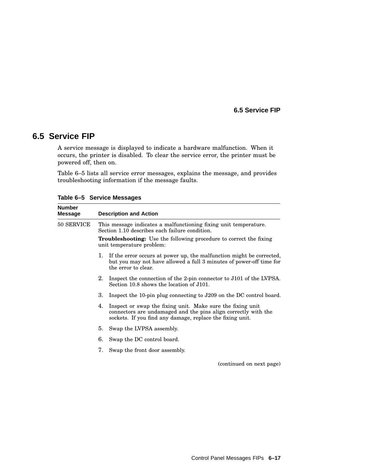#### **6.5 Service FIP**

A service message is displayed to indicate a hardware malfunction. When it occurs, the printer is disabled. To clear the service error, the printer must be powered off, then on.

Table 6–5 lists all service error messages, explains the message, and provides troubleshooting information if the message faults.

**Number Message Description and Action** 50 SERVICE This message indicates a malfunctioning fixing unit temperature. Section 1.10 describes each failure condition. **Troubleshooting:** Use the following procedure to correct the fixing unit temperature problem: 1. If the error occurs at power up, the malfunction might be corrected, but you may not have allowed a full 3 minutes of power-off time for the error to clear. 2. Inspect the connection of the 2-pin connector to J101 of the LVPSA. Section 10.8 shows the location of J101. 3. Inspect the 10-pin plug connecting to J209 on the DC control board. 4. Inspect or swap the fixing unit. Make sure the fixing unit connectors are undamaged and the pins align correctly with the sockets. If you find any damage, replace the fixing unit. 5. Swap the LVPSA assembly. 6. Swap the DC control board. 7. Swap the front door assembly.

**Table 6–5 Service Messages**

(continued on next page)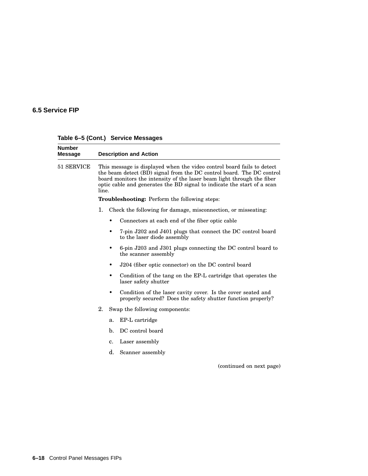| <b>Number</b><br><b>Message</b> | <b>Description and Action</b> |    |                                                                                                                                                                                                                                                                                                      |
|---------------------------------|-------------------------------|----|------------------------------------------------------------------------------------------------------------------------------------------------------------------------------------------------------------------------------------------------------------------------------------------------------|
| 51 SERVICE                      | line.                         |    | This message is displayed when the video control board fails to detect<br>the beam detect (BD) signal from the DC control board. The DC control<br>board monitors the intensity of the laser beam light through the fiber<br>optic cable and generates the BD signal to indicate the start of a scan |
|                                 |                               |    | <b>Troubleshooting:</b> Perform the following steps:                                                                                                                                                                                                                                                 |
|                                 | 1.                            |    | Check the following for damage, misconnection, or misseating:                                                                                                                                                                                                                                        |
|                                 |                               |    | Connectors at each end of the fiber optic cable                                                                                                                                                                                                                                                      |
|                                 |                               |    | 7-pin J202 and J401 plugs that connect the DC control board<br>to the laser diode assembly                                                                                                                                                                                                           |
|                                 |                               |    | 6-pin J203 and J301 plugs connecting the DC control board to<br>the scanner assembly                                                                                                                                                                                                                 |
|                                 |                               |    | J204 (fiber optic connector) on the DC control board                                                                                                                                                                                                                                                 |
|                                 |                               |    | Condition of the tang on the EP-L cartridge that operates the<br>laser safety shutter                                                                                                                                                                                                                |
|                                 |                               | ٠  | Condition of the laser cavity cover. Is the cover seated and<br>properly secured? Does the safety shutter function properly?                                                                                                                                                                         |
|                                 | 2.                            |    | Swap the following components:                                                                                                                                                                                                                                                                       |
|                                 |                               | a. | EP-L cartridge                                                                                                                                                                                                                                                                                       |
|                                 |                               | b. | DC control board                                                                                                                                                                                                                                                                                     |
|                                 |                               | c. | Laser assembly                                                                                                                                                                                                                                                                                       |
|                                 |                               | d. | Scanner assembly                                                                                                                                                                                                                                                                                     |
|                                 |                               |    | (continued on next page)                                                                                                                                                                                                                                                                             |

**Table 6–5 (Cont.) Service Messages**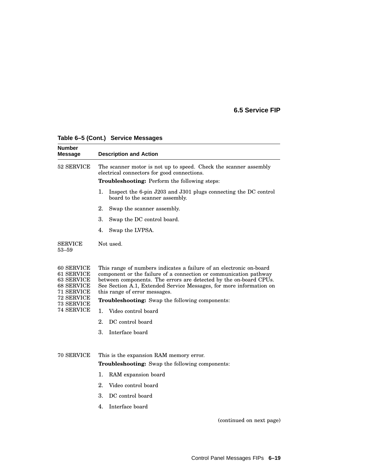| Number<br>Message                                                                | <b>Description and Action</b>                                                                                                                                                                                                                                                                                         |  |  |  |
|----------------------------------------------------------------------------------|-----------------------------------------------------------------------------------------------------------------------------------------------------------------------------------------------------------------------------------------------------------------------------------------------------------------------|--|--|--|
| 52 SERVICE                                                                       | The scanner motor is not up to speed. Check the scanner assembly<br>electrical connectors for good connections.                                                                                                                                                                                                       |  |  |  |
|                                                                                  | <b>Troubleshooting:</b> Perform the following steps:                                                                                                                                                                                                                                                                  |  |  |  |
|                                                                                  | 1.<br>Inspect the 6-pin J203 and J301 plugs connecting the DC control<br>board to the scanner assembly.                                                                                                                                                                                                               |  |  |  |
|                                                                                  | 2.<br>Swap the scanner assembly.                                                                                                                                                                                                                                                                                      |  |  |  |
|                                                                                  | 3.<br>Swap the DC control board.                                                                                                                                                                                                                                                                                      |  |  |  |
|                                                                                  | 4.<br>Swap the LVPSA.                                                                                                                                                                                                                                                                                                 |  |  |  |
| SERVICE<br>53–59                                                                 | Not used.                                                                                                                                                                                                                                                                                                             |  |  |  |
| 60 SERVICE<br><b>61 SERVICE</b><br>63 SERVICE<br><b>68 SERVICE</b><br>71 SERVICE | This range of numbers indicates a failure of an electronic on-board<br>component or the failure of a connection or communication pathway<br>between components. The errors are detected by the on-board CPUs.<br>See Section A.1, Extended Service Messages, for more information on<br>this range of error messages. |  |  |  |
| 72 SERVICE<br>73 SERVICE                                                         | <b>Troubleshooting:</b> Swap the following components:                                                                                                                                                                                                                                                                |  |  |  |
| <b>74 SERVICE</b>                                                                | 1.<br>Video control board                                                                                                                                                                                                                                                                                             |  |  |  |
|                                                                                  | 2.<br>DC control board                                                                                                                                                                                                                                                                                                |  |  |  |
|                                                                                  | 3.<br>Interface board                                                                                                                                                                                                                                                                                                 |  |  |  |
| 70 SERVICE                                                                       | This is the expansion RAM memory error.<br><b>Troubleshooting:</b> Swap the following components:                                                                                                                                                                                                                     |  |  |  |
|                                                                                  | 1.<br>RAM expansion board                                                                                                                                                                                                                                                                                             |  |  |  |
|                                                                                  | 2.<br>Video control board                                                                                                                                                                                                                                                                                             |  |  |  |
|                                                                                  | 3.<br>DC control board                                                                                                                                                                                                                                                                                                |  |  |  |
|                                                                                  | $\mathbf{4}$ .<br>Interface board                                                                                                                                                                                                                                                                                     |  |  |  |
|                                                                                  |                                                                                                                                                                                                                                                                                                                       |  |  |  |

#### **Table 6–5 (Cont.) Service Messages**

(continued on next page)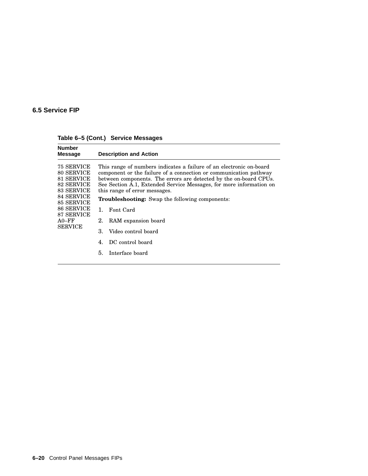| <b>Number</b><br><b>Message</b>                                                                                                                                | <b>Description and Action</b>                                                                                                                                                                                                                                                                                                                                                                                                                                                                                   |
|----------------------------------------------------------------------------------------------------------------------------------------------------------------|-----------------------------------------------------------------------------------------------------------------------------------------------------------------------------------------------------------------------------------------------------------------------------------------------------------------------------------------------------------------------------------------------------------------------------------------------------------------------------------------------------------------|
| 75 SERVICE<br>80 SERVICE<br>81 SERVICE<br><b>82 SERVICE</b><br>83 SERVICE<br>84 SERVICE<br>85 SERVICE<br>86 SERVICE<br>87 SERVICE<br>$A0-FF$<br><b>SERVICE</b> | This range of numbers indicates a failure of an electronic on-board<br>component or the failure of a connection or communication pathway<br>between components. The errors are detected by the on-board CPUs.<br>See Section A.1, Extended Service Messages, for more information on<br>this range of error messages.<br><b>Troubleshooting:</b> Swap the following components:<br>Font Card<br>1.<br>RAM expansion board<br>2.<br>3.<br>Video control board<br>DC control board<br>4.<br>5.<br>Interface board |
|                                                                                                                                                                |                                                                                                                                                                                                                                                                                                                                                                                                                                                                                                                 |

**Table 6–5 (Cont.) Service Messages**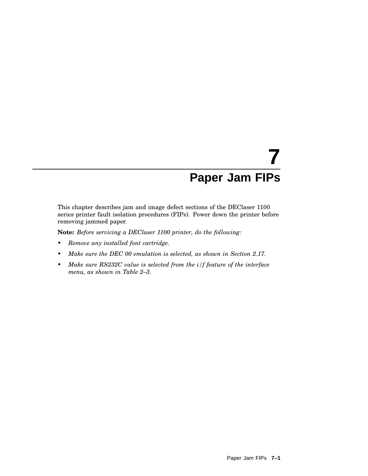# **7 Paper Jam FIPs**

This chapter describes jam and image defect sections of the DEClaser 1100 series printer fault isolation procedures (FIPs). Power down the printer before removing jammed paper.

**Note:** *Before servicing a DEClaser 1100 printer, do the following:*

- *• Remove any installed font cartridge.*
- *• Make sure the DEC 00 emulation is selected, as shown in Section 2.17.*
- *• Make sure RS232C value is selected from the i/f feature of the interface menu, as shown in Table 2–3.*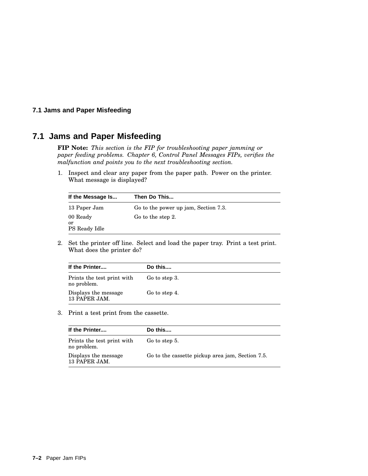#### **7.1 Jams and Paper Misfeeding**

## **7.1 Jams and Paper Misfeeding**

**FIP Note:** *This section is the FIP for troubleshooting paper jamming or paper feeding problems. Chapter 6, Control Panel Messages FIPs, verifies the malfunction and points you to the next troubleshooting section.*

1. Inspect and clear any paper from the paper path. Power on the printer. What message is displayed?

| If the Message Is               | Then Do This                         |
|---------------------------------|--------------------------------------|
| 13 Paper Jam                    | Go to the power up jam, Section 7.3. |
| 00 Ready<br>or<br>PS Ready Idle | Go to the step 2.                    |

2. Set the printer off line. Select and load the paper tray. Print a test print. What does the printer do?

| If the Printer                            | Do this       |
|-------------------------------------------|---------------|
| Prints the test print with<br>no problem. | Go to step 3. |
| Displays the message<br>13 PAPER JAM.     | Go to step 4. |

3. Print a test print from the cassette.

| If the Printer                            | Do this                                          |
|-------------------------------------------|--------------------------------------------------|
| Prints the test print with<br>no problem. | Go to step 5.                                    |
| Displays the message<br>13 PAPER JAM.     | Go to the cassette pickup area jam, Section 7.5. |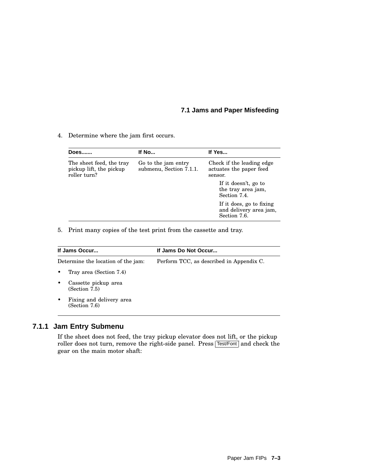#### **7.1 Jams and Paper Misfeeding**

4. Determine where the jam first occurs.

| Does                                                                | If No                                          | If Yes                                                             |  |
|---------------------------------------------------------------------|------------------------------------------------|--------------------------------------------------------------------|--|
| The sheet feed, the tray<br>pickup lift, the pickup<br>roller turn? | Go to the jam entry<br>submenu, Section 7.1.1. | Check if the leading edge<br>actuates the paper feed<br>sensor.    |  |
|                                                                     |                                                | If it doesn't, go to<br>the tray area jam,<br>Section 7.4.         |  |
|                                                                     |                                                | If it does, go to fixing<br>and delivery area jam,<br>Section 7.6. |  |

5. Print many copies of the test print from the cassette and tray.

| If Jams Occur                                  | If Jams Do Not Occur                     |  |
|------------------------------------------------|------------------------------------------|--|
| Determine the location of the jam:             | Perform TCC, as described in Appendix C. |  |
| Tray area (Section 7.4)<br>$\bullet$           |                                          |  |
| Cassette pickup area<br>٠<br>(Section 7.5)     |                                          |  |
| Fixing and delivery area<br>٠<br>(Section 7.6) |                                          |  |

#### **7.1.1 Jam Entry Submenu**

If the sheet does not feed, the tray pickup elevator does not lift, or the pickup roller does not turn, remove the right-side panel. Press Test/Font and check the gear on the main motor shaft: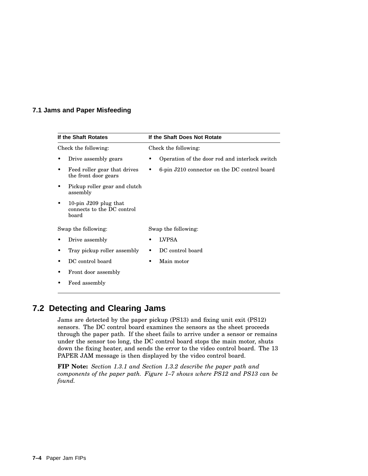#### **7.1 Jams and Paper Misfeeding**

|                      | If the Shaft Rotates                                           | If the Shaft Does Not Rotate                   |  |  |  |
|----------------------|----------------------------------------------------------------|------------------------------------------------|--|--|--|
| Check the following: |                                                                | Check the following:                           |  |  |  |
|                      | Drive assembly gears                                           | Operation of the door rod and interlock switch |  |  |  |
|                      | Feed roller gear that drives<br>the front door gears           | 6-pin J210 connector on the DC control board   |  |  |  |
|                      | Pickup roller gear and clutch<br>assembly                      |                                                |  |  |  |
|                      | 10-pin $J209$ plug that<br>connects to the DC control<br>board |                                                |  |  |  |
| Swap the following:  |                                                                | Swap the following:                            |  |  |  |
|                      | Drive assembly                                                 | <b>LVPSA</b>                                   |  |  |  |
|                      | Tray pickup roller assembly                                    | DC control board                               |  |  |  |
|                      | DC control board                                               | Main motor                                     |  |  |  |
|                      | Front door assembly                                            |                                                |  |  |  |
|                      | Feed assembly                                                  |                                                |  |  |  |

## **7.2 Detecting and Clearing Jams**

Jams are detected by the paper pickup (PS13) and fixing unit exit (PS12) sensors. The DC control board examines the sensors as the sheet proceeds through the paper path. If the sheet fails to arrive under a sensor or remains under the sensor too long, the DC control board stops the main motor, shuts down the fixing heater, and sends the error to the video control board. The 13 PAPER JAM message is then displayed by the video control board.

**FIP Note:** *Section 1.3.1 and Section 1.3.2 describe the paper path and components of the paper path. Figure 1–7 shows where PS12 and PS13 can be found.*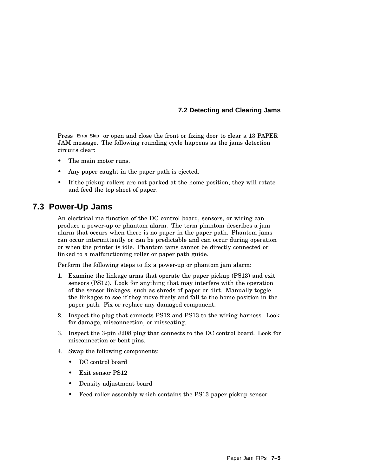#### **7.2 Detecting and Clearing Jams**

Press **Error Skip** or open and close the front or fixing door to clear a 13 PAPER JAM message. The following rounding cycle happens as the jams detection circuits clear:

- The main motor runs.
- Any paper caught in the paper path is ejected.
- If the pickup rollers are not parked at the home position, they will rotate and feed the top sheet of paper.

## **7.3 Power-Up Jams**

An electrical malfunction of the DC control board, sensors, or wiring can produce a power-up or phantom alarm. The term phantom describes a jam alarm that occurs when there is no paper in the paper path. Phantom jams can occur intermittently or can be predictable and can occur during operation or when the printer is idle. Phantom jams cannot be directly connected or linked to a malfunctioning roller or paper path guide.

Perform the following steps to fix a power-up or phantom jam alarm:

- 1. Examine the linkage arms that operate the paper pickup (PS13) and exit sensors (PS12). Look for anything that may interfere with the operation of the sensor linkages, such as shreds of paper or dirt. Manually toggle the linkages to see if they move freely and fall to the home position in the paper path. Fix or replace any damaged component.
- 2. Inspect the plug that connects PS12 and PS13 to the wiring harness. Look for damage, misconnection, or misseating.
- 3. Inspect the 3-pin J208 plug that connects to the DC control board. Look for misconnection or bent pins.
- 4. Swap the following components:
	- DC control board
	- Exit sensor PS12
	- Density adjustment board
	- Feed roller assembly which contains the PS13 paper pickup sensor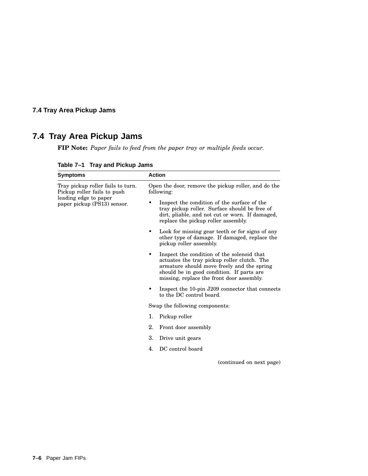## **7.4 Tray Area Pickup Jams**

## **7.4 Tray Area Pickup Jams**

**FIP Note:** *Paper fails to feed from the paper tray or multiple feeds occur.*

| <b>Symptoms</b>                                                                                                          | <b>Action</b>                                                                                                                                                                                                                     |
|--------------------------------------------------------------------------------------------------------------------------|-----------------------------------------------------------------------------------------------------------------------------------------------------------------------------------------------------------------------------------|
| Tray pickup roller fails to turn.<br>Pickup roller fails to push<br>leading edge to paper<br>paper pickup (PS13) sensor. | Open the door, remove the pickup roller, and do the<br>following:                                                                                                                                                                 |
|                                                                                                                          | Inspect the condition of the surface of the<br>tray pickup roller. Surface should be free of<br>dirt, pliable, and not cut or worn. If damaged,<br>replace the pickup roller assembly.                                            |
|                                                                                                                          | Look for missing gear teeth or for signs of any<br>other type of damage. If damaged, replace the<br>pickup roller assembly.                                                                                                       |
|                                                                                                                          | Inspect the condition of the solenoid that<br>actuates the tray pickup roller clutch. The<br>armature should move freely and the spring<br>should be in good condition. If parts are<br>missing, replace the front door assembly. |
|                                                                                                                          | Inspect the 10-pin J209 connector that connects<br>to the DC control board.                                                                                                                                                       |
|                                                                                                                          | Swap the following components:                                                                                                                                                                                                    |
|                                                                                                                          | Pickup roller<br>1.                                                                                                                                                                                                               |
|                                                                                                                          | 2.<br>Front door assembly                                                                                                                                                                                                         |
|                                                                                                                          | 3.<br>Drive unit gears                                                                                                                                                                                                            |
|                                                                                                                          | DC control board<br>4.                                                                                                                                                                                                            |

**Table 7–1 Tray and Pickup Jams**

(continued on next page)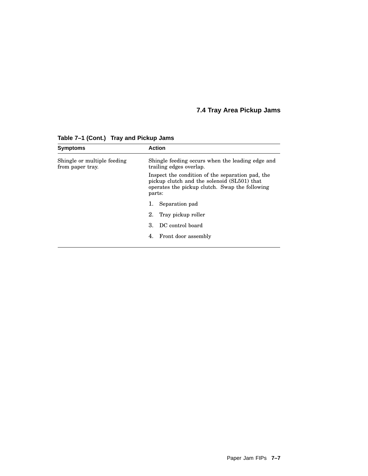## **7.4 Tray Area Pickup Jams**

| <b>Symptoms</b>                                 | <b>Action</b>                                                                                                                                               |
|-------------------------------------------------|-------------------------------------------------------------------------------------------------------------------------------------------------------------|
| Shingle or multiple feeding<br>from paper tray. | Shingle feeding occurs when the leading edge and<br>trailing edges overlap.                                                                                 |
|                                                 | Inspect the condition of the separation pad, the<br>pickup clutch and the solenoid (SL501) that<br>operates the pickup clutch. Swap the following<br>parts: |
|                                                 | Separation pad<br>ı.                                                                                                                                        |
|                                                 | 2.<br>Tray pickup roller                                                                                                                                    |
|                                                 | DC control board<br>З.                                                                                                                                      |
|                                                 | Front door assembly<br>4.                                                                                                                                   |

**Table 7–1 (Cont.) Tray and Pickup Jams**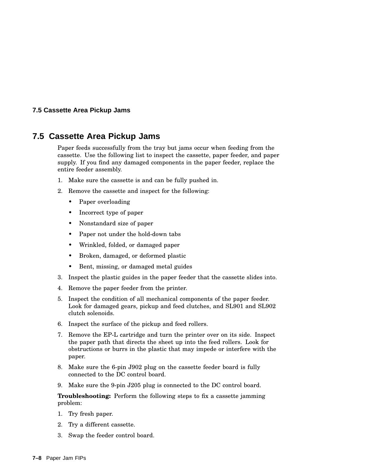#### **7.5 Cassette Area Pickup Jams**

## **7.5 Cassette Area Pickup Jams**

Paper feeds successfully from the tray but jams occur when feeding from the cassette. Use the following list to inspect the cassette, paper feeder, and paper supply. If you find any damaged components in the paper feeder, replace the entire feeder assembly.

- 1. Make sure the cassette is and can be fully pushed in.
- 2. Remove the cassette and inspect for the following:
	- Paper overloading
	- Incorrect type of paper
	- Nonstandard size of paper
	- Paper not under the hold-down tabs
	- Wrinkled, folded, or damaged paper
	- Broken, damaged, or deformed plastic
	- Bent, missing, or damaged metal guides
- 3. Inspect the plastic guides in the paper feeder that the cassette slides into.
- 4. Remove the paper feeder from the printer.
- 5. Inspect the condition of all mechanical components of the paper feeder. Look for damaged gears, pickup and feed clutches, and SL901 and SL902 clutch solenoids.
- 6. Inspect the surface of the pickup and feed rollers.
- 7. Remove the EP-L cartridge and turn the printer over on its side. Inspect the paper path that directs the sheet up into the feed rollers. Look for obstructions or burrs in the plastic that may impede or interfere with the paper.
- 8. Make sure the 6-pin J902 plug on the cassette feeder board is fully connected to the DC control board.
- 9. Make sure the 9-pin J205 plug is connected to the DC control board.

**Troubleshooting:** Perform the following steps to fix a cassette jamming problem:

- 1. Try fresh paper.
- 2. Try a different cassette.
- 3. Swap the feeder control board.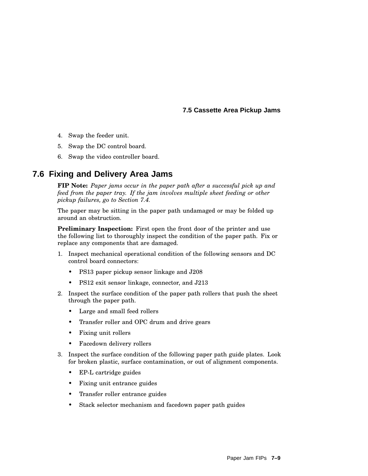**7.5 Cassette Area Pickup Jams**

- 4. Swap the feeder unit.
- 5. Swap the DC control board.
- 6. Swap the video controller board.

## **7.6 Fixing and Delivery Area Jams**

**FIP Note:** *Paper jams occur in the paper path after a successful pick up and feed from the paper tray. If the jam involves multiple sheet feeding or other pickup failures, go to Section 7.4.*

The paper may be sitting in the paper path undamaged or may be folded up around an obstruction.

**Preliminary Inspection:** First open the front door of the printer and use the following list to thoroughly inspect the condition of the paper path. Fix or replace any components that are damaged.

- 1. Inspect mechanical operational condition of the following sensors and DC control board connectors:
	- PS13 paper pickup sensor linkage and J208
	- PS12 exit sensor linkage, connector, and J213
- 2. Inspect the surface condition of the paper path rollers that push the sheet through the paper path.
	- Large and small feed rollers
	- Transfer roller and OPC drum and drive gears
	- Fixing unit rollers
	- Facedown delivery rollers
- 3. Inspect the surface condition of the following paper path guide plates. Look for broken plastic, surface contamination, or out of alignment components.
	- EP-L cartridge guides
	- Fixing unit entrance guides
	- Transfer roller entrance guides
	- Stack selector mechanism and facedown paper path guides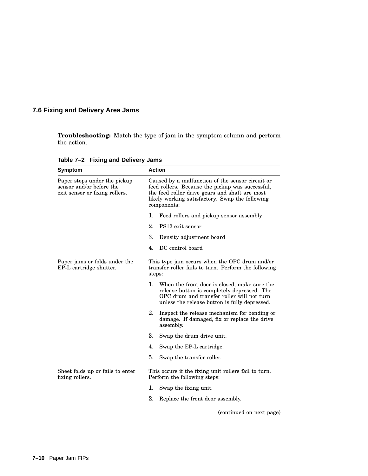## **7.6 Fixing and Delivery Area Jams**

**Troubleshooting:** Match the type of jam in the symptom column and perform the action.

| Symptom                                                                                    | <b>Action</b>                                                                                                                                                                                                            |
|--------------------------------------------------------------------------------------------|--------------------------------------------------------------------------------------------------------------------------------------------------------------------------------------------------------------------------|
| Paper stops under the pickup<br>sensor and/or before the<br>exit sensor or fixing rollers. | Caused by a malfunction of the sensor circuit or<br>feed rollers. Because the pickup was successful,<br>the feed roller drive gears and shaft are most<br>likely working satisfactory. Swap the following<br>components: |
|                                                                                            | 1.<br>Feed rollers and pickup sensor assembly                                                                                                                                                                            |
|                                                                                            | $2^{\circ}$<br>PS12 exit sensor                                                                                                                                                                                          |
|                                                                                            | 3.<br>Density adjustment board                                                                                                                                                                                           |
|                                                                                            | DC control board<br>4.                                                                                                                                                                                                   |
| Paper jams or folds under the<br>EP-L cartridge shutter.                                   | This type jam occurs when the OPC drum and/or<br>transfer roller fails to turn. Perform the following<br>steps:                                                                                                          |
|                                                                                            | 1.<br>When the front door is closed, make sure the<br>release button is completely depressed. The<br>OPC drum and transfer roller will not turn<br>unless the release button is fully depressed.                         |
|                                                                                            | 2.<br>Inspect the release mechanism for bending or<br>damage. If damaged, fix or replace the drive<br>assembly.                                                                                                          |
|                                                                                            | 3.<br>Swap the drum drive unit.                                                                                                                                                                                          |
|                                                                                            | 4.<br>Swap the EP-L cartridge.                                                                                                                                                                                           |
|                                                                                            | Swap the transfer roller.<br>5.                                                                                                                                                                                          |
| Sheet folds up or fails to enter<br>fixing rollers.                                        | This occurs if the fixing unit rollers fail to turn.<br>Perform the following steps:                                                                                                                                     |
|                                                                                            | Swap the fixing unit.<br>ı.                                                                                                                                                                                              |
|                                                                                            | 2.<br>Replace the front door assembly.                                                                                                                                                                                   |
|                                                                                            | (continued on next page)                                                                                                                                                                                                 |

**Table 7–2 Fixing and Delivery Jams**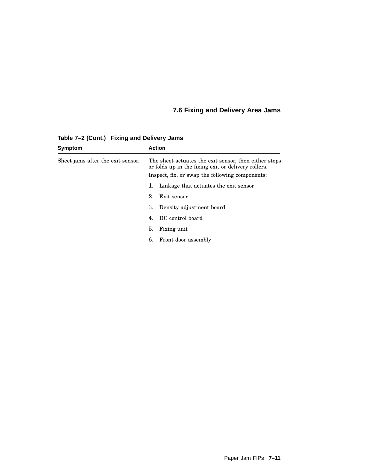## **7.6 Fixing and Delivery Area Jams**

| The sheet actuates the exit sensor, then either stops |
|-------------------------------------------------------|
|                                                       |
|                                                       |
|                                                       |
|                                                       |
|                                                       |
|                                                       |
|                                                       |

**Table 7–2 (Cont.) Fixing and Delivery Jams**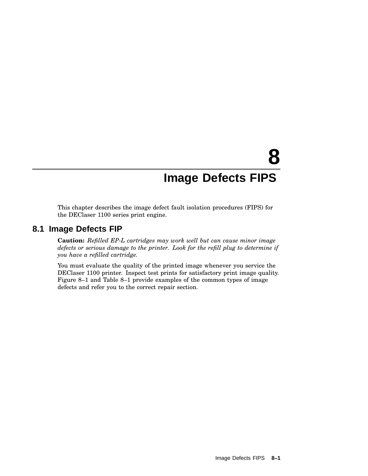## **8 Image Defects FIPS**

This chapter describes the image defect fault isolation procedures (FIPS) for the DEClaser 1100 series print engine.

## **8.1 Image Defects FIP**

**Caution:** *Refilled EP-L cartridges may work well but can cause minor image defects or serious damage to the printer. Look for the refill plug to determine if you have a refilled cartridge.*

You must evaluate the quality of the printed image whenever you service the DEClaser 1100 printer. Inspect test prints for satisfactory print image quality. Figure 8–1 and Table 8–1 provide examples of the common types of image defects and refer you to the correct repair section.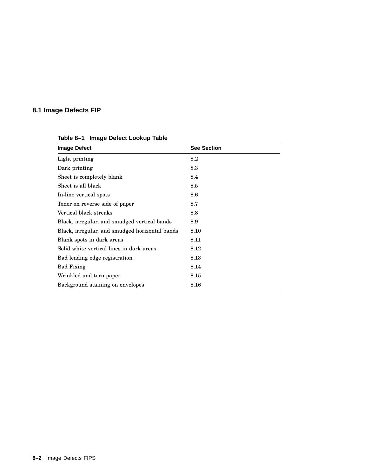## **8.1 Image Defects FIP**

| <b>Image Defect</b>                            | <b>See Section</b> |
|------------------------------------------------|--------------------|
| Light printing                                 | 8.2                |
| Dark printing                                  | 8.3                |
| Sheet is completely blank                      | 8.4                |
| Sheet is all black                             | 8.5                |
| In-line vertical spots                         | 8.6                |
| Toner on reverse side of paper                 | 8.7                |
| Vertical black streaks                         | 8.8                |
| Black, irregular, and smudged vertical bands   | 8.9                |
| Black, irregular, and smudged horizontal bands | 8.10               |
| Blank spots in dark areas                      | 8.11               |
| Solid white vertical lines in dark areas       | 8.12               |
| Bad leading edge registration                  | 8.13               |
| <b>Bad Fixing</b>                              | 8.14               |
| Wrinkled and torn paper                        | 8.15               |
| Background staining on envelopes               | 8.16               |

**Table 8–1 Image Defect Lookup Table**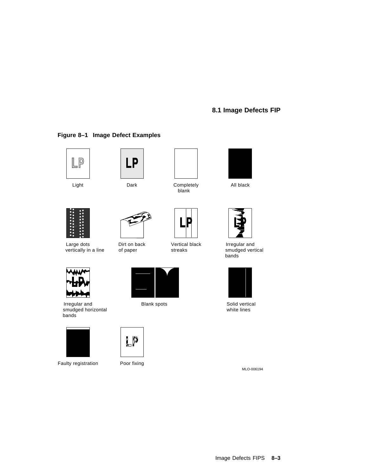## **8.1 Image Defects FIP**





**Figure 8–1 Image Defect Examples**







Irregular and **Blank spots** Blank spots Solid vertical smudged horizontal bands



Faulty registration Poor fixing





**LP** 



blank





vertically in a line of paper streaks smudged vertical



white lines

MLO-006194





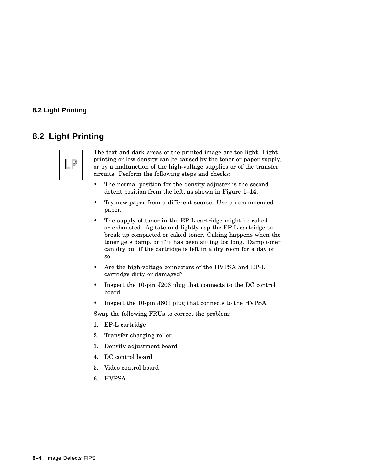#### **8.2 Light Printing**

## **8.2 Light Printing**



The text and dark areas of the printed image are too light. Light printing or low density can be caused by the toner or paper supply, or by a malfunction of the high-voltage supplies or of the transfer circuits. Perform the following steps and checks:

- The normal position for the density adjuster is the second detent position from the left, as shown in Figure 1–14.
- Try new paper from a different source. Use a recommended paper.
- The supply of toner in the EP-L cartridge might be caked or exhausted. Agitate and lightly rap the EP-L cartridge to break up compacted or caked toner. Caking happens when the toner gets damp, or if it has been sitting too long. Damp toner can dry out if the cartridge is left in a dry room for a day or so.
- Are the high-voltage connectors of the HVPSA and EP-L cartridge dirty or damaged?
- Inspect the 10-pin J206 plug that connects to the DC control board.
- Inspect the 10-pin J601 plug that connects to the HVPSA.

Swap the following FRUs to correct the problem:

- 1. EP-L cartridge
- 2. Transfer charging roller
- 3. Density adjustment board
- 4. DC control board
- 5. Video control board
- 6. HVPSA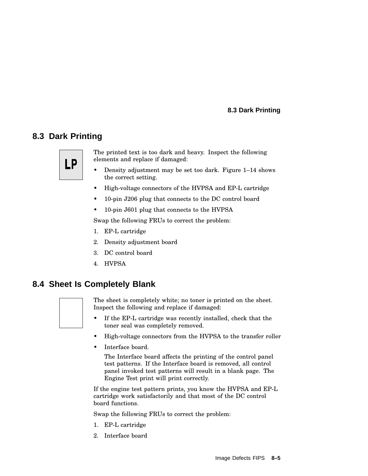#### **8.3 Dark Printing**

## **8.3 Dark Printing**



The printed text is too dark and heavy. Inspect the following elements and replace if damaged:

- Density adjustment may be set too dark. Figure 1–14 shows the correct setting.
- High-voltage connectors of the HVPSA and EP-L cartridge
- 10-pin J206 plug that connects to the DC control board
- 10-pin J601 plug that connects to the HVPSA

Swap the following FRUs to correct the problem:

- 1. EP-L cartridge
- 2. Density adjustment board
- 3. DC control board
- 4. HVPSA

## **8.4 Sheet Is Completely Blank**



The sheet is completely white; no toner is printed on the sheet. Inspect the following and replace if damaged:

- If the EP-L cartridge was recently installed, check that the toner seal was completely removed.
- High-voltage connectors from the HVPSA to the transfer roller
- Interface board.

The Interface board affects the printing of the control panel test patterns. If the Interface board is removed, all control panel invoked test patterns will result in a blank page. The Engine Test print will print correctly.

If the engine test pattern prints, you know the HVPSA and EP-L cartridge work satisfactorily and that most of the DC control board functions.

Swap the following FRUs to correct the problem:

- 1. EP-L cartridge
- 2. Interface board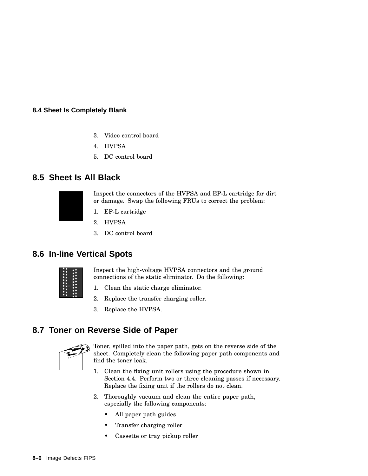#### **8.4 Sheet Is Completely Blank**

- 3. Video control board
- 4. HVPSA
- 5. DC control board

#### **8.5 Sheet Is All Black**



Inspect the connectors of the HVPSA and EP-L cartridge for dirt or damage. Swap the following FRUs to correct the problem:

- 1. EP-L cartridge
- 2. HVPSA
- 3. DC control board

## **8.6 In-line Vertical Spots**



Inspect the high-voltage HVPSA connectors and the ground connections of the static eliminator. Do the following:

- 1. Clean the static charge eliminator.
- 2. Replace the transfer charging roller.
- 3. Replace the HVPSA.

## **8.7 Toner on Reverse Side of Paper**



Toner, spilled into the paper path, gets on the reverse side of the sheet. Completely clean the following paper path components and find the toner leak.

- 1. Clean the fixing unit rollers using the procedure shown in Section 4.4. Perform two or three cleaning passes if necessary. Replace the fixing unit if the rollers do not clean.
- 2. Thoroughly vacuum and clean the entire paper path, especially the following components:
	- All paper path guides
	- Transfer charging roller
	- Cassette or tray pickup roller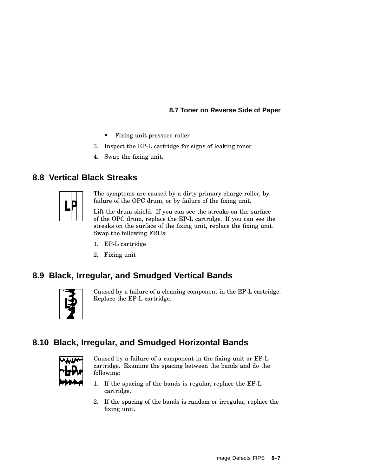#### **8.7 Toner on Reverse Side of Paper**

- Fixing unit pressure roller
- 3. Inspect the EP-L cartridge for signs of leaking toner.
- 4. Swap the fixing unit.

## **8.8 Vertical Black Streaks**



The symptoms are caused by a dirty primary charge roller, by failure of the OPC drum, or by failure of the fixing unit.

Lift the drum shield. If you can see the streaks on the surface of the OPC drum, replace the EP-L cartridge. If you can see the streaks on the surface of the fixing unit, replace the fixing unit. Swap the following FRUs:

- 1. EP-L cartridge
- 2. Fixing unit

## **8.9 Black, Irregular, and Smudged Vertical Bands**



Caused by a failure of a cleaning component in the EP-L cartridge. Replace the EP-L cartridge.

## **8.10 Black, Irregular, and Smudged Horizontal Bands**



Caused by a failure of a component in the fixing unit or EP-L cartridge. Examine the spacing between the bands and do the following:

- 1. If the spacing of the bands is regular, replace the EP-L cartridge.
- 2. If the spacing of the bands is random or irregular, replace the fixing unit.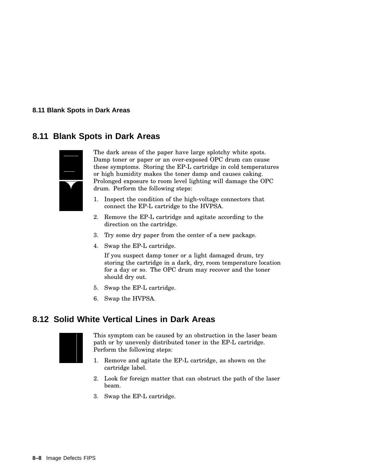**8.11 Blank Spots in Dark Areas**

## **8.11 Blank Spots in Dark Areas**



The dark areas of the paper have large splotchy white spots. Damp toner or paper or an over-exposed OPC drum can cause these symptoms. Storing the EP-L cartridge in cold temperatures or high humidity makes the toner damp and causes caking. Prolonged exposure to room level lighting will damage the OPC drum. Perform the following steps:

- 1. Inspect the condition of the high-voltage connectors that connect the EP-L cartridge to the HVPSA.
- 2. Remove the EP-L cartridge and agitate according to the direction on the cartridge.
- 3. Try some dry paper from the center of a new package.
- 4. Swap the EP-L cartridge.

If you suspect damp toner or a light damaged drum, try storing the cartridge in a dark, dry, room temperature location for a day or so. The OPC drum may recover and the toner should dry out.

- 5. Swap the EP-L cartridge.
- 6. Swap the HVPSA.

## **8.12 Solid White Vertical Lines in Dark Areas**



This symptom can be caused by an obstruction in the laser beam path or by unevenly distributed toner in the EP-L cartridge. Perform the following steps:

- 1. Remove and agitate the EP-L cartridge, as shown on the cartridge label.
- 2. Look for foreign matter that can obstruct the path of the laser beam.
- 3. Swap the EP-L cartridge.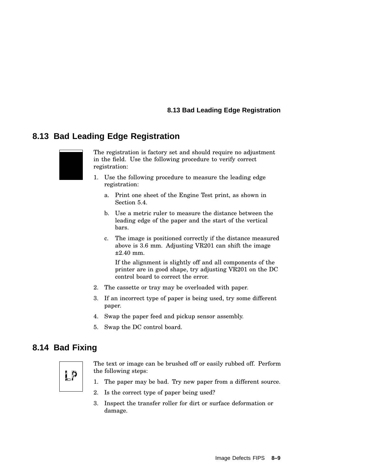#### **8.13 Bad Leading Edge Registration**

## **8.13 Bad Leading Edge Registration**



The registration is factory set and should require no adjustment in the field. Use the following procedure to verify correct registration:

- 1. Use the following procedure to measure the leading edge registration:
	- a. Print one sheet of the Engine Test print, as shown in Section 5.4.
	- b. Use a metric ruler to measure the distance between the leading edge of the paper and the start of the vertical bars.
	- c. The image is positioned correctly if the distance measured above is 3.6 mm. Adjusting VR201 can shift the image  $+2.40$  mm.

If the alignment is slightly off and all components of the printer are in good shape, try adjusting VR201 on the DC control board to correct the error.

- 2. The cassette or tray may be overloaded with paper.
- 3. If an incorrect type of paper is being used, try some different paper.
- 4. Swap the paper feed and pickup sensor assembly.
- 5. Swap the DC control board.

## **8.14 Bad Fixing**



- The text or image can be brushed off or easily rubbed off. Perform the following steps:
- 1. The paper may be bad. Try new paper from a different source.
- 2. Is the correct type of paper being used?
- 3. Inspect the transfer roller for dirt or surface deformation or damage.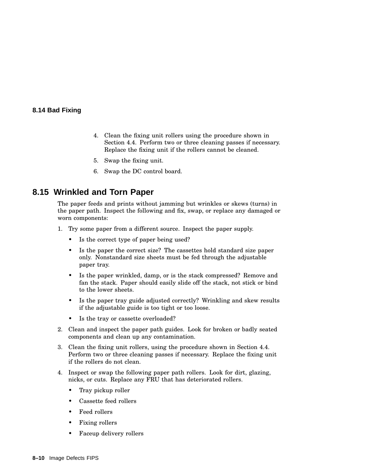#### **8.14 Bad Fixing**

- 4. Clean the fixing unit rollers using the procedure shown in Section 4.4. Perform two or three cleaning passes if necessary. Replace the fixing unit if the rollers cannot be cleaned.
- 5. Swap the fixing unit.
- 6. Swap the DC control board.

#### **8.15 Wrinkled and Torn Paper**

The paper feeds and prints without jamming but wrinkles or skews (turns) in the paper path. Inspect the following and fix, swap, or replace any damaged or worn components:

- 1. Try some paper from a different source. Inspect the paper supply.
	- Is the correct type of paper being used?
	- Is the paper the correct size? The cassettes hold standard size paper only. Nonstandard size sheets must be fed through the adjustable paper tray.
	- Is the paper wrinkled, damp, or is the stack compressed? Remove and fan the stack. Paper should easily slide off the stack, not stick or bind to the lower sheets.
	- Is the paper tray guide adjusted correctly? Wrinkling and skew results if the adjustable guide is too tight or too loose.
	- Is the tray or cassette overloaded?
- 2. Clean and inspect the paper path guides. Look for broken or badly seated components and clean up any contamination.
- 3. Clean the fixing unit rollers, using the procedure shown in Section 4.4. Perform two or three cleaning passes if necessary. Replace the fixing unit if the rollers do not clean.
- 4. Inspect or swap the following paper path rollers. Look for dirt, glazing, nicks, or cuts. Replace any FRU that has deteriorated rollers.
	- Tray pickup roller
	- Cassette feed rollers
	- Feed rollers
	- Fixing rollers
	- Faceup delivery rollers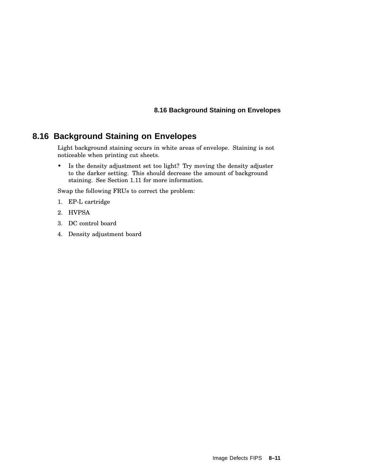#### **8.16 Background Staining on Envelopes**

## **8.16 Background Staining on Envelopes**

Light background staining occurs in white areas of envelope. Staining is not noticeable when printing cut sheets.

• Is the density adjustment set too light? Try moving the density adjuster to the darker setting. This should decrease the amount of background staining. See Section 1.11 for more information.

Swap the following FRUs to correct the problem:

- 1. EP-L cartridge
- 2. HVPSA
- 3. DC control board
- 4. Density adjustment board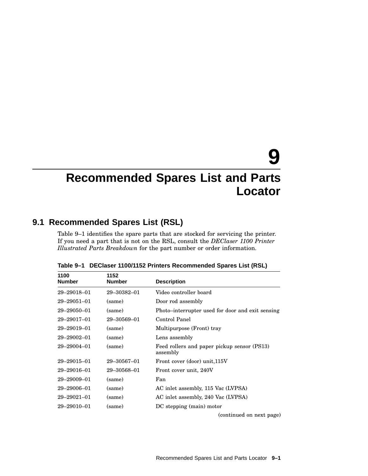# **9**

## **Recommended Spares List and Parts Locator**

## **9.1 Recommended Spares List (RSL)**

Table 9–1 identifies the spare parts that are stocked for servicing the printer. If you need a part that is not on the RSL, consult the *DEClaser 1100 Printer Illustrated Parts Breakdown* for the part number or order information.

| 1100<br><b>Number</b> | 1152<br><b>Number</b> | <b>Description</b>                                      |
|-----------------------|-----------------------|---------------------------------------------------------|
| 29-29018-01           | 29-30382-01           | Video controller board                                  |
| 29-29051-01           | (same)                | Door rod assembly                                       |
| 29-29050-01           | (same)                | Photo–interrupter used for door and exit sensing        |
| 29-29017-01           | 29-30569-01           | Control Panel                                           |
| 29-29019-01           | (same)                | Multipurpose (Front) tray                               |
| 29-29002-01           | (same)                | Lens assembly                                           |
| 29-29004-01           | (same)                | Feed rollers and paper pickup sensor (PS13)<br>assembly |
| $29 - 29015 - 01$     | $29 - 30567 - 01$     | Front cover (door) unit, 115V                           |
| 29-29016-01           | 29-30568-01           | Front cover unit, 240V                                  |
| $29 - 29009 - 01$     | (same)                | Fan                                                     |
| 29-29006-01           | (same)                | AC inlet assembly, 115 Vac (LVPSA)                      |
| $29 - 29021 - 01$     | (same)                | AC inlet assembly, 240 Vac (LVPSA)                      |
| $29 - 29010 - 01$     | (same)                | DC stepping (main) motor                                |
|                       |                       | (continued on next page)                                |

**Table 9–1 DEClaser 1100/1152 Printers Recommended Spares List (RSL)**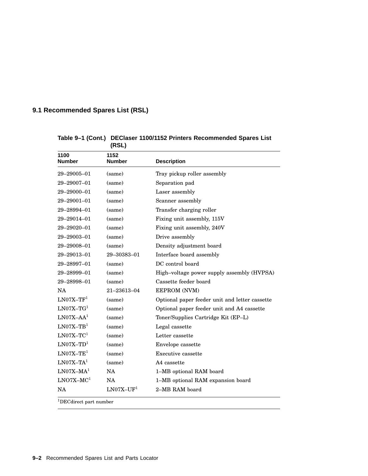## **9.1 Recommended Spares List (RSL)**

|                       | (RSL)                 |                                                |
|-----------------------|-----------------------|------------------------------------------------|
| 1100<br><b>Number</b> | 1152<br><b>Number</b> | <b>Description</b>                             |
| 29-29005-01           | (same)                | Tray pickup roller assembly                    |
| 29-29007-01           | (same)                | Separation pad                                 |
| 29-29000-01           | (same)                | Laser assembly                                 |
| 29-29001-01           | (same)                | Scanner assembly                               |
| 29-28994-01           | (same)                | Transfer charging roller                       |
| 29-29014-01           | (same)                | Fixing unit assembly, 115V                     |
| 29-29020-01           | (same)                | Fixing unit assembly, 240V                     |
| 29-29003-01           | (same)                | Drive assembly                                 |
| 29-29008-01           | (same)                | Density adjustment board                       |
| 29-29013-01           | 29-30383-01           | Interface board assembly                       |
| 29-28997-01           | (same)                | DC control board                               |
| 29-28999-01           | (same)                | High-voltage power supply assembly (HVPSA)     |
| 29-28998-01           | (same)                | Cassette feeder board                          |
| NA                    | 21-23613-04           | EEPROM (NVM)                                   |
| $LNO7X-TF1$           | (same)                | Optional paper feeder unit and letter cassette |
| $LNO7X-TG1$           | (same)                | Optional paper feeder unit and A4 cassette     |
| $LNO7X-AA1$           | (same)                | Toner/Supplies Cartridge Kit (EP-L)            |
| $LNO7X-TB1$           | (same)                | Legal cassette                                 |
| $LMO7X-TC1$           | (same)                | Letter cassette                                |
| $LNO7X-TD1$           | (same)                | Envelope cassette                              |
| $LNO7X-TE1$           | (same)                | Executive cassette                             |
| $LNO7X-TA1$           | (same)                | A4 cassette                                    |
| $LNO7X-MA1$           | NA                    | 1-MB optional RAM board                        |
| $LNO7X-MC1$           | <b>NA</b>             | 1-MB optional RAM expansion board              |
| <b>NA</b>             | $LNO7X-UF1$           | 2–MB RAM board                                 |

#### **Table 9–1 (Cont.) DEClaser 1100/1152 Printers Recommended Spares List**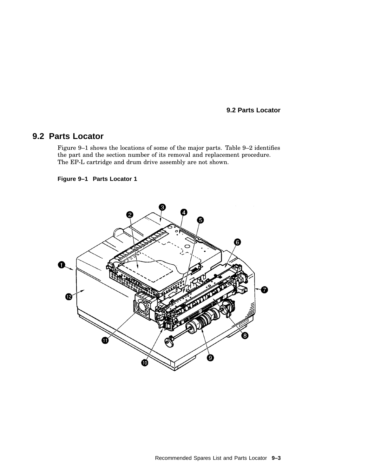#### **9.2 Parts Locator**

Figure 9–1 shows the locations of some of the major parts. Table 9–2 identifies the part and the section number of its removal and replacement procedure. The EP-L cartridge and drum drive assembly are not shown.

#### **Figure 9–1 Parts Locator 1**

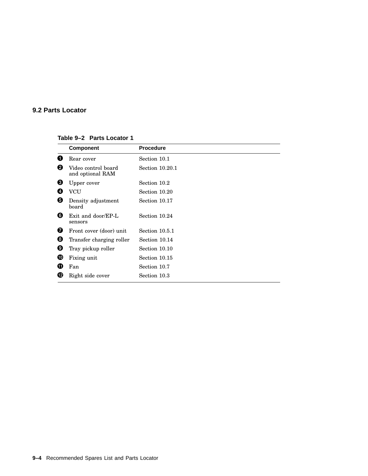**Table 9–2 Parts Locator 1**

|   | <b>Component</b>                        | <b>Procedure</b> |
|---|-----------------------------------------|------------------|
| 0 | Rear cover                              | Section 10.1     |
| Ø | Video control board<br>and optional RAM | Section 10.20.1  |
| ❸ | Upper cover                             | Section 10.2     |
| Ø | <b>VCU</b>                              | Section 10.20    |
| 0 | Density adjustment<br>board             | Section 10.17    |
| ❺ | Exit and door/EP-L<br>sensors           | Section 10.24    |
| Ø | Front cover (door) unit                 | Section 10.5.1   |
| ❸ | Transfer charging roller                | Section 10.14    |
| Ø | Tray pickup roller                      | Section 10.10    |
| ⊕ | Fixing unit                             | Section 10.15    |
| ⊕ | Fan                                     | Section 10.7     |
| œ | Right side cover                        | Section 10.3     |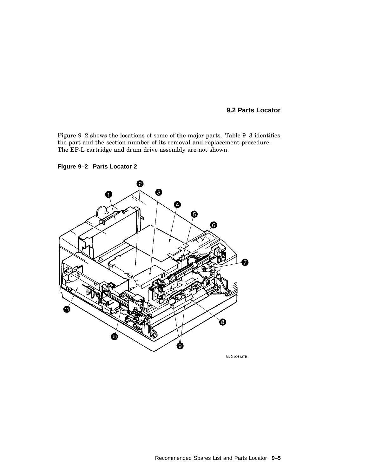Figure 9–2 shows the locations of some of the major parts. Table 9–3 identifies the part and the section number of its removal and replacement procedure. The EP-L cartridge and drum drive assembly are not shown.



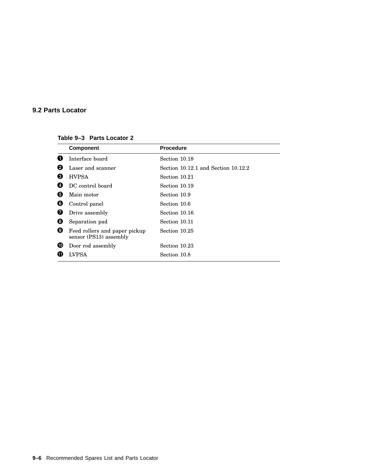#### **Table 9–3 Parts Locator 2**

|   | <b>Component</b>                                        | <b>Procedure</b>                    |
|---|---------------------------------------------------------|-------------------------------------|
| O | Interface board                                         | Section 10.18                       |
| 0 | Laser and scanner                                       | Section 10.12.1 and Section 10.12.2 |
| ❸ | <b>HVPSA</b>                                            | Section 10.21                       |
| Ø | DC control board                                        | Section 10.19                       |
| 0 | Main motor                                              | Section 10.9                        |
| G | Control panel                                           | Section 10.6                        |
| Ø | Drive assembly                                          | Section 10.16                       |
| 0 | Separation pad                                          | Section 10.11                       |
| ø | Feed rollers and paper pickup<br>sensor (PS13) assembly | Section 10.25                       |
| ⑩ | Door rod assembly                                       | Section 10.23                       |
| Œ | LVPSA                                                   | Section 10.8                        |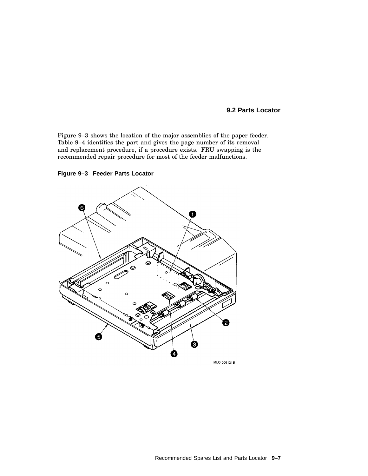Figure 9–3 shows the location of the major assemblies of the paper feeder. Table 9–4 identifies the part and gives the page number of its removal and replacement procedure, if a procedure exists. FRU swapping is the recommended repair procedure for most of the feeder malfunctions.



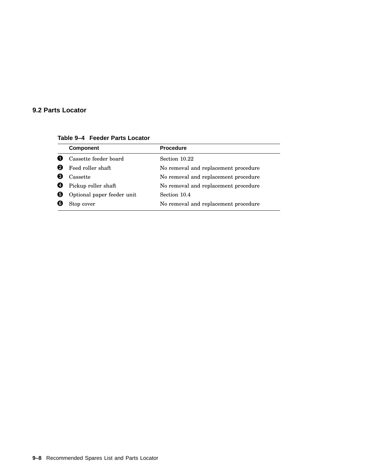## **9.2 Parts Locator**

**Table 9–4 Feeder Parts Locator**

| <b>Component</b>           | <b>Procedure</b>                     |
|----------------------------|--------------------------------------|
| Cassette feeder board      | Section 10.22                        |
| Feed roller shaft          | No removal and replacement procedure |
| Cassette                   | No removal and replacement procedure |
| Pickup roller shaft        | No removal and replacement procedure |
| Optional paper feeder unit | Section 10.4                         |
| Stop cover                 | No removal and replacement procedure |
|                            |                                      |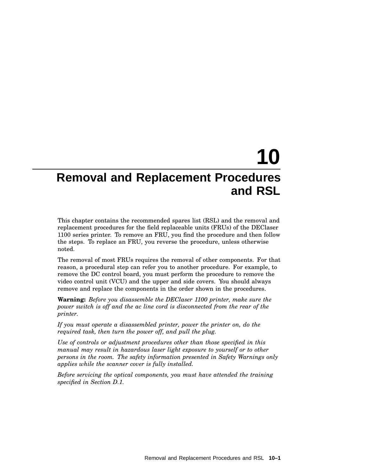# **10 Removal and Replacement Procedures and RSL**

This chapter contains the recommended spares list (RSL) and the removal and replacement procedures for the field replaceable units (FRUs) of the DEClaser 1100 series printer. To remove an FRU, you find the procedure and then follow the steps. To replace an FRU, you reverse the procedure, unless otherwise noted.

The removal of most FRUs requires the removal of other components. For that reason, a procedural step can refer you to another procedure. For example, to remove the DC control board, you must perform the procedure to remove the video control unit (VCU) and the upper and side covers. You should always remove and replace the components in the order shown in the procedures.

**Warning:** *Before you disassemble the DEClaser 1100 printer, make sure the power switch is off and the ac line cord is disconnected from the rear of the printer.*

*If you must operate a disassembled printer, power the printer on, do the required task, then turn the power off, and pull the plug.*

*Use of controls or adjustment procedures other than those specified in this manual may result in hazardous laser light exposure to yourself or to other persons in the room. The safety information presented in Safety Warnings only applies while the scanner cover is fully installed.*

*Before servicing the optical components, you must have attended the training specified in Section D.1.*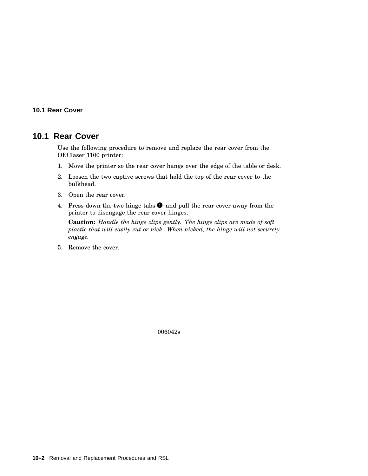#### **10.1 Rear Cover**

## **10.1 Rear Cover**

Use the following procedure to remove and replace the rear cover from the DEClaser 1100 printer:

- 1. Move the printer so the rear cover hangs over the edge of the table or desk.
- 2. Loosen the two captive screws that hold the top of the rear cover to the bulkhead.
- 3. Open the rear cover.
- 4. Press down the two hinge tabs  $\bullet$  and pull the rear cover away from the printer to disengage the rear cover hinges.

**Caution:** *Handle the hinge clips gently. The hinge clips are made of soft plastic that will easily cut or nick. When nicked, the hinge will not securely engage.*

5. Remove the cover.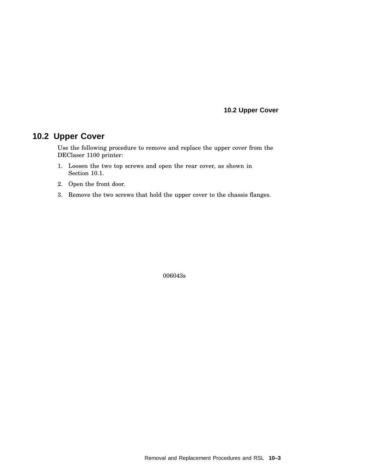**10.2 Upper Cover**

# **10.2 Upper Cover**

Use the following procedure to remove and replace the upper cover from the DEClaser 1100 printer:

- 1. Loosen the two top screws and open the rear cover, as shown in Section 10.1.
- 2. Open the front door.
- 3. Remove the two screws that hold the upper cover to the chassis flanges.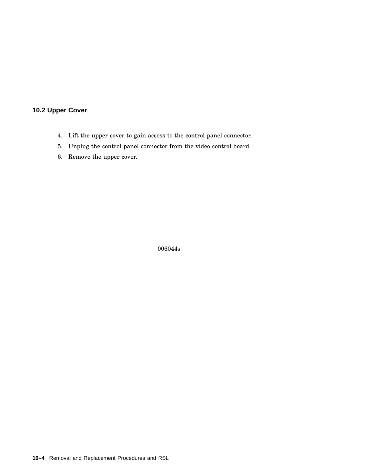## **10.2 Upper Cover**

- 4. Lift the upper cover to gain access to the control panel connector.
- 5. Unplug the control panel connector from the video control board.
- 6. Remove the upper cover.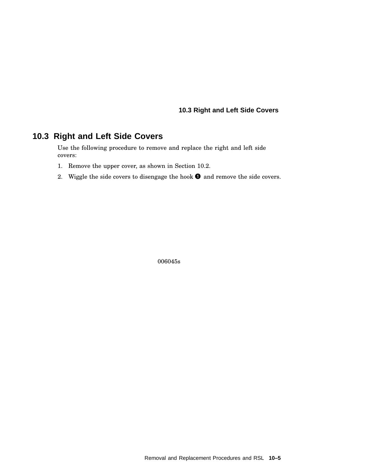## **10.3 Right and Left Side Covers**

# **10.3 Right and Left Side Covers**

Use the following procedure to remove and replace the right and left side covers:

- 1. Remove the upper cover, as shown in Section 10.2.
- 2. Wiggle the side covers to disengage the hook  $\bullet$  and remove the side covers.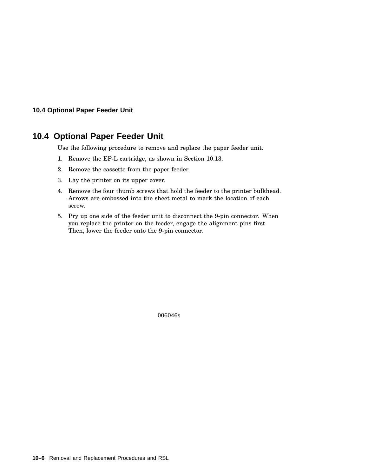#### **10.4 Optional Paper Feeder Unit**

# **10.4 Optional Paper Feeder Unit**

Use the following procedure to remove and replace the paper feeder unit.

- 1. Remove the EP-L cartridge, as shown in Section 10.13.
- 2. Remove the cassette from the paper feeder.
- 3. Lay the printer on its upper cover.
- 4. Remove the four thumb screws that hold the feeder to the printer bulkhead. Arrows are embossed into the sheet metal to mark the location of each screw.
- 5. Pry up one side of the feeder unit to disconnect the 9-pin connector. When you replace the printer on the feeder, engage the alignment pins first. Then, lower the feeder onto the 9-pin connector.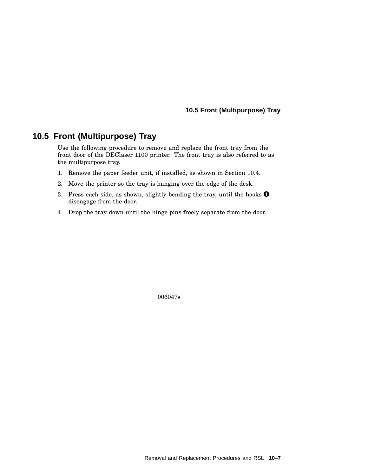# **10.5 Front (Multipurpose) Tray**

Use the following procedure to remove and replace the front tray from the front door of the DEClaser 1100 printer. The front tray is also referred to as the multipurpose tray.

- 1. Remove the paper feeder unit, if installed, as shown in Section 10.4.
- 2. Move the printer so the tray is hanging over the edge of the desk.
- 3. Press each side, as shown, slightly bending the tray, until the hooks  $\bullet$ disengage from the door.
- 4. Drop the tray down until the hinge pins freely separate from the door.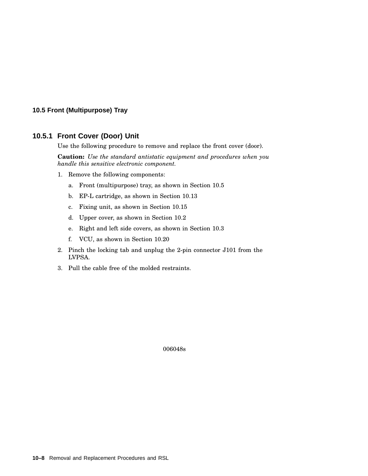#### **10.5.1 Front Cover (Door) Unit**

Use the following procedure to remove and replace the front cover (door).

**Caution:** *Use the standard antistatic equipment and procedures when you handle this sensitive electronic component.*

- 1. Remove the following components:
	- a. Front (multipurpose) tray, as shown in Section 10.5
	- b. EP-L cartridge, as shown in Section 10.13
	- c. Fixing unit, as shown in Section 10.15
	- d. Upper cover, as shown in Section 10.2
	- e. Right and left side covers, as shown in Section 10.3
	- f. VCU, as shown in Section 10.20
- 2. Pinch the locking tab and unplug the 2-pin connector J101 from the LVPSA.
- 3. Pull the cable free of the molded restraints.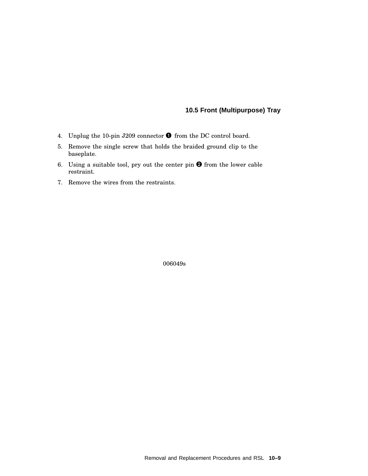- 4. Unplug the 10-pin J209 connector  $\bullet$  from the DC control board.
- 5. Remove the single screw that holds the braided ground clip to the baseplate.
- 6. Using a suitable tool, pry out the center pin  $\bullet$  from the lower cable restraint.
- 7. Remove the wires from the restraints.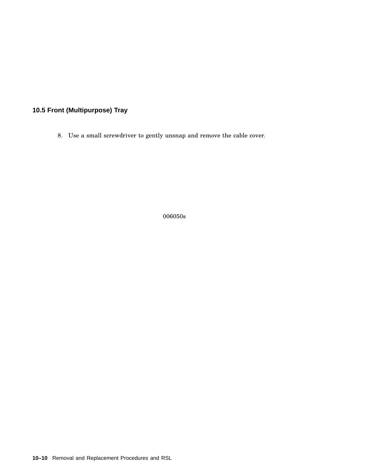8. Use a small screwdriver to gently unsnap and remove the cable cover.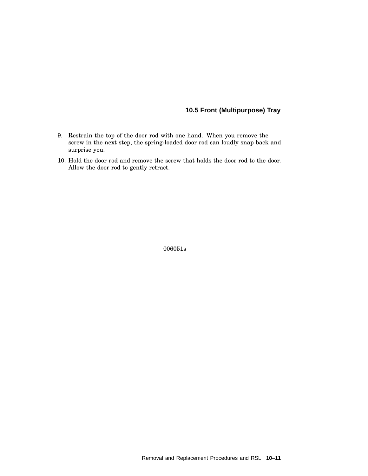- 9. Restrain the top of the door rod with one hand. When you remove the screw in the next step, the spring-loaded door rod can loudly snap back and surprise you.
- 10. Hold the door rod and remove the screw that holds the door rod to the door. Allow the door rod to gently retract.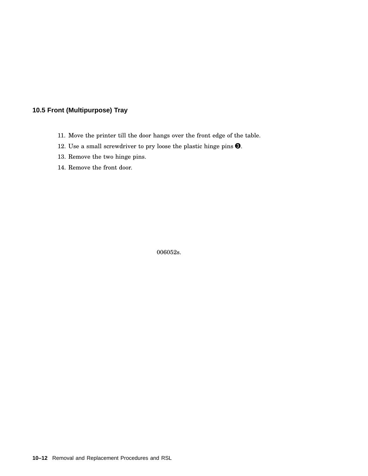- 11. Move the printer till the door hangs over the front edge of the table.
- 12. Use a small screwdriver to pry loose the plastic hinge pins  $\Theta$ .
- 13. Remove the two hinge pins.
- 14. Remove the front door.

006052s.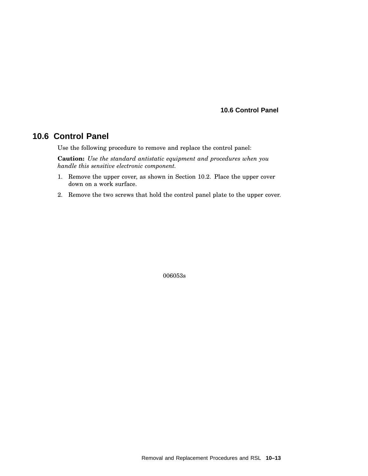#### **10.6 Control Panel**

# **10.6 Control Panel**

Use the following procedure to remove and replace the control panel:

**Caution:** *Use the standard antistatic equipment and procedures when you handle this sensitive electronic component.*

- 1. Remove the upper cover, as shown in Section 10.2. Place the upper cover down on a work surface.
- 2. Remove the two screws that hold the control panel plate to the upper cover.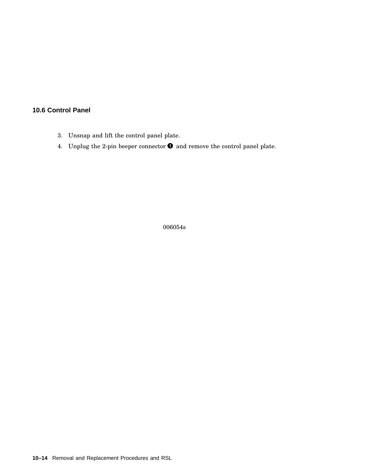## **10.6 Control Panel**

- 3. Unsnap and lift the control panel plate.
- 4. Unplug the 2-pin beeper connector  $\bullet$  and remove the control panel plate.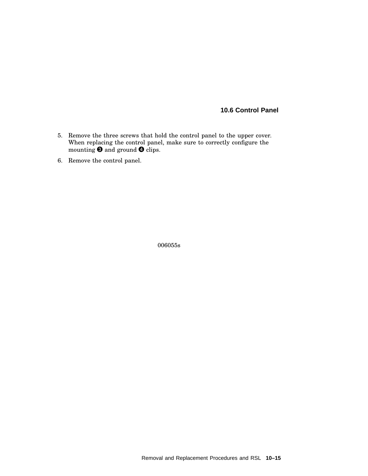### **10.6 Control Panel**

- 5. Remove the three screws that hold the control panel to the upper cover. When replacing the control panel, make sure to correctly configure the mounting  $\bigcirc$  and ground  $\bigcirc$  clips.
- 6. Remove the control panel.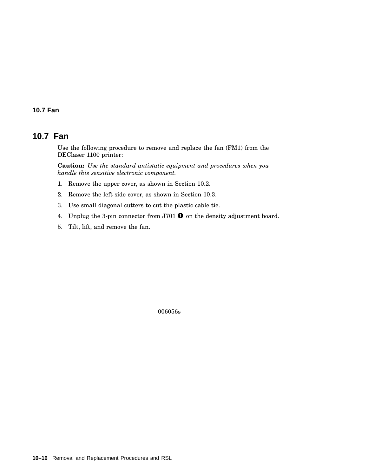#### **10.7 Fan**

# **10.7 Fan**

Use the following procedure to remove and replace the fan (FM1) from the DEClaser 1100 printer:

**Caution:** *Use the standard antistatic equipment and procedures when you handle this sensitive electronic component.*

- 1. Remove the upper cover, as shown in Section 10.2.
- 2. Remove the left side cover, as shown in Section 10.3.
- 3. Use small diagonal cutters to cut the plastic cable tie.
- 4. Unplug the 3-pin connector from J701  $\bullet$  on the density adjustment board.
- 5. Tilt, lift, and remove the fan.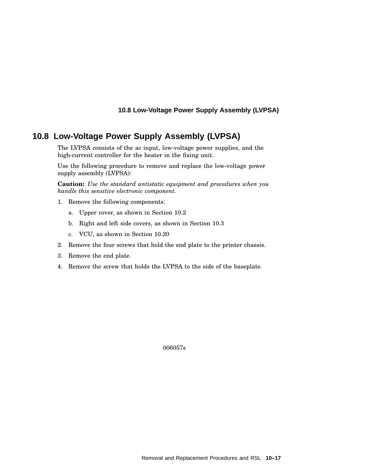# **10.8 Low-Voltage Power Supply Assembly (LVPSA)**

The LVPSA consists of the ac input, low-voltage power supplies, and the high-current controller for the heater in the fixing unit.

Use the following procedure to remove and replace the low-voltage power supply assembly (LVPSA):

**Caution:** *Use the standard antistatic equipment and procedures when you handle this sensitive electronic component.*

- 1. Remove the following components:
	- a. Upper cover, as shown in Section 10.2
	- b. Right and left side covers, as shown in Section 10.3
	- c. VCU, as shown in Section 10.20
- 2. Remove the four screws that hold the end plate to the printer chassis.
- 3. Remove the end plate.
- 4. Remove the screw that holds the LVPSA to the side of the baseplate.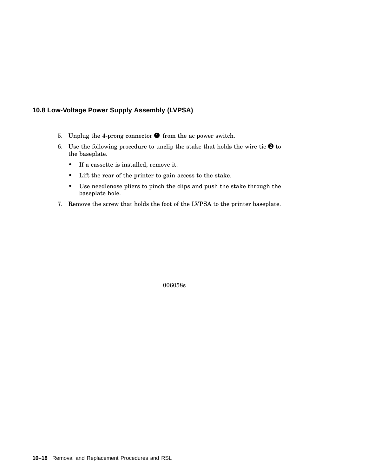- 5. Unplug the 4-prong connector  $\bullet$  from the ac power switch.
- 6. Use the following procedure to unclip the stake that holds the wire tie  $\bullet$  to the baseplate.
	- If a cassette is installed, remove it.
	- Lift the rear of the printer to gain access to the stake.
	- Use needlenose pliers to pinch the clips and push the stake through the baseplate hole.
- 7. Remove the screw that holds the foot of the LVPSA to the printer baseplate.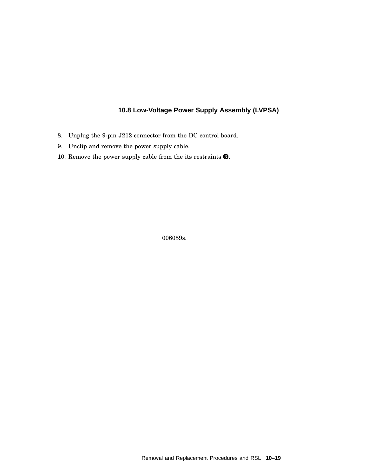- 8. Unplug the 9-pin J212 connector from the DC control board.
- 9. Unclip and remove the power supply cable.
- 10. Remove the power supply cable from the its restraints  $\bigcirc$ .

006059s.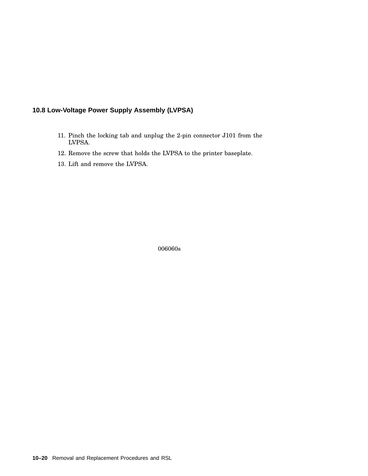- 11. Pinch the locking tab and unplug the 2-pin connector J101 from the LVPSA.
- 12. Remove the screw that holds the LVPSA to the printer baseplate.
- 13. Lift and remove the LVPSA.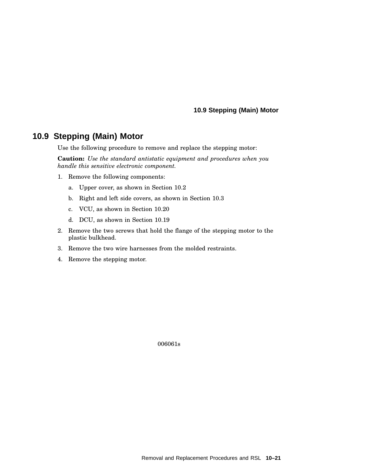#### **10.9 Stepping (Main) Motor**

# **10.9 Stepping (Main) Motor**

Use the following procedure to remove and replace the stepping motor:

**Caution:** *Use the standard antistatic equipment and procedures when you handle this sensitive electronic component.*

- 1. Remove the following components:
	- a. Upper cover, as shown in Section 10.2
	- b. Right and left side covers, as shown in Section 10.3
	- c. VCU, as shown in Section 10.20
	- d. DCU, as shown in Section 10.19
- 2. Remove the two screws that hold the flange of the stepping motor to the plastic bulkhead.
- 3. Remove the two wire harnesses from the molded restraints.
- 4. Remove the stepping motor.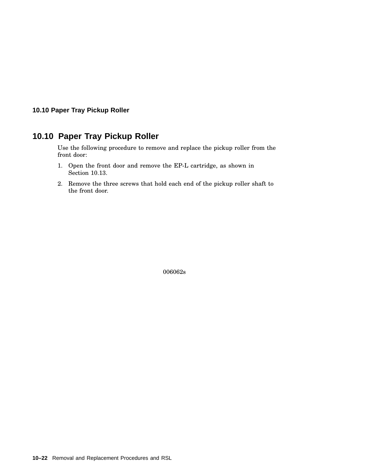#### **10.10 Paper Tray Pickup Roller**

# **10.10 Paper Tray Pickup Roller**

Use the following procedure to remove and replace the pickup roller from the front door:

- 1. Open the front door and remove the EP-L cartridge, as shown in Section 10.13.
- 2. Remove the three screws that hold each end of the pickup roller shaft to the front door.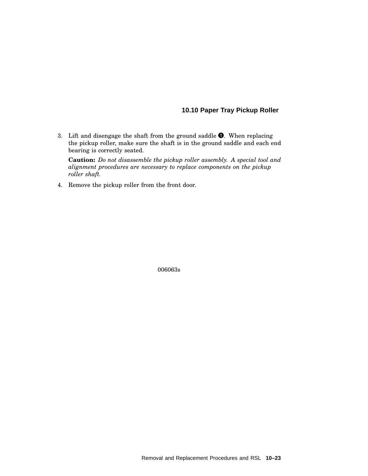#### **10.10 Paper Tray Pickup Roller**

3. Lift and disengage the shaft from the ground saddle  $\bullet$ . When replacing the pickup roller, make sure the shaft is in the ground saddle and each end bearing is correctly seated.

**Caution:** *Do not disassemble the pickup roller assembly. A special tool and alignment procedures are necessary to replace components on the pickup roller shaft.*

4. Remove the pickup roller from the front door.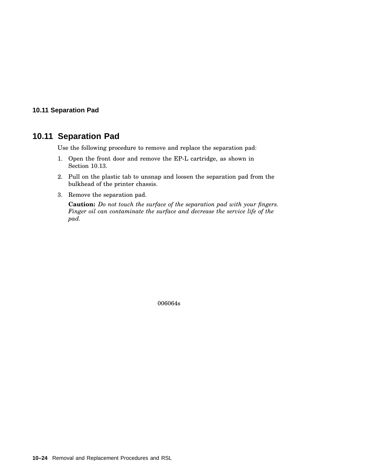#### **10.11 Separation Pad**

# **10.11 Separation Pad**

Use the following procedure to remove and replace the separation pad:

- 1. Open the front door and remove the EP-L cartridge, as shown in Section 10.13.
- 2. Pull on the plastic tab to unsnap and loosen the separation pad from the bulkhead of the printer chassis.
- 3. Remove the separation pad.

**Caution:** *Do not touch the surface of the separation pad with your fingers. Finger oil can contaminate the surface and decrease the service life of the pad.*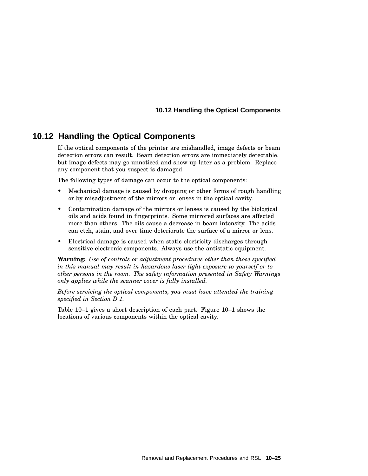# **10.12 Handling the Optical Components**

If the optical components of the printer are mishandled, image defects or beam detection errors can result. Beam detection errors are immediately detectable, but image defects may go unnoticed and show up later as a problem. Replace any component that you suspect is damaged.

The following types of damage can occur to the optical components:

- Mechanical damage is caused by dropping or other forms of rough handling or by misadjustment of the mirrors or lenses in the optical cavity.
- Contamination damage of the mirrors or lenses is caused by the biological oils and acids found in fingerprints. Some mirrored surfaces are affected more than others. The oils cause a decrease in beam intensity. The acids can etch, stain, and over time deteriorate the surface of a mirror or lens.
- Electrical damage is caused when static electricity discharges through sensitive electronic components. Always use the antistatic equipment.

**Warning:** *Use of controls or adjustment procedures other than those specified in this manual may result in hazardous laser light exposure to yourself or to other persons in the room. The safety information presented in Safety Warnings only applies while the scanner cover is fully installed.*

*Before servicing the optical components, you must have attended the training specified in Section D.1.*

Table 10–1 gives a short description of each part. Figure 10–1 shows the locations of various components within the optical cavity.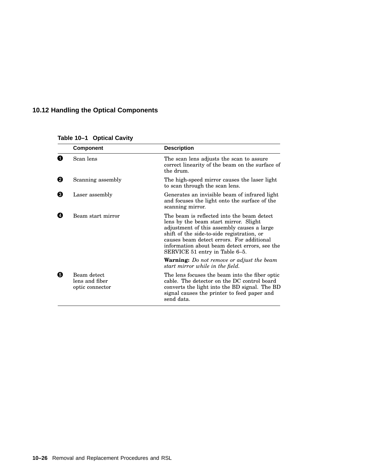|   | <b>Component</b>                                 | <b>Description</b>                                                                                                                                                                                                                                                                                              |
|---|--------------------------------------------------|-----------------------------------------------------------------------------------------------------------------------------------------------------------------------------------------------------------------------------------------------------------------------------------------------------------------|
| Ω | Scan lens                                        | The scan lens adjusts the scan to assure<br>correct linearity of the beam on the surface of<br>the drum.                                                                                                                                                                                                        |
| 0 | Scanning assembly                                | The high-speed mirror causes the laser light<br>to scan through the scan lens.                                                                                                                                                                                                                                  |
| ❸ | Laser assembly                                   | Generates an invisible beam of infrared light<br>and focuses the light onto the surface of the<br>scanning mirror.                                                                                                                                                                                              |
| Ø | Beam start mirror                                | The beam is reflected into the beam detect<br>lens by the beam start mirror. Slight<br>adjustment of this assembly causes a large<br>shift of the side-to-side registration, or<br>causes beam detect errors. For additional<br>information about beam detect errors, see the<br>SERVICE 51 entry in Table 6-5. |
|   |                                                  | <b>Warning:</b> Do not remove or adjust the beam<br>start mirror while in the field.                                                                                                                                                                                                                            |
| 0 | Beam detect<br>lens and fiber<br>optic connector | The lens focuses the beam into the fiber optic<br>cable. The detector on the DC control board<br>converts the light into the BD signal. The BD<br>signal causes the printer to feed paper and<br>send data.                                                                                                     |

## **Table 10–1 Optical Cavity**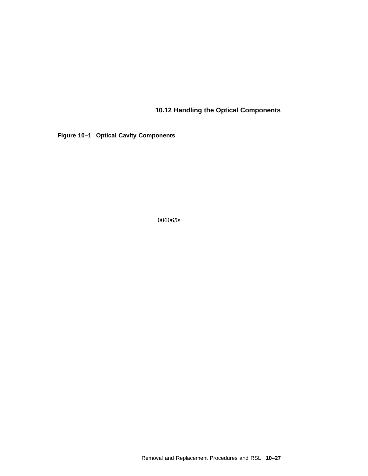**Figure 10–1 Optical Cavity Components**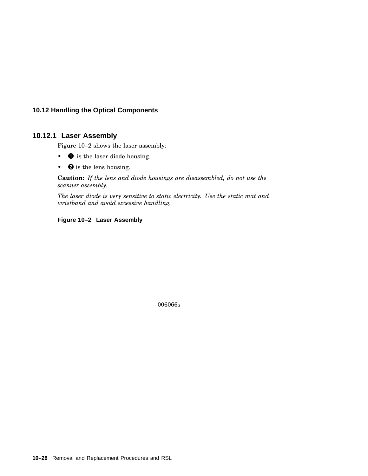#### **10.12.1 Laser Assembly**

Figure 10–2 shows the laser assembly:

- **O** is the laser diode housing.
- **@** is the lens housing.

**Caution:** *If the lens and diode housings are disassembled, do not use the scanner assembly.*

*The laser diode is very sensitive to static electricity. Use the static mat and wristband and avoid excessive handling.*

#### **Figure 10–2 Laser Assembly**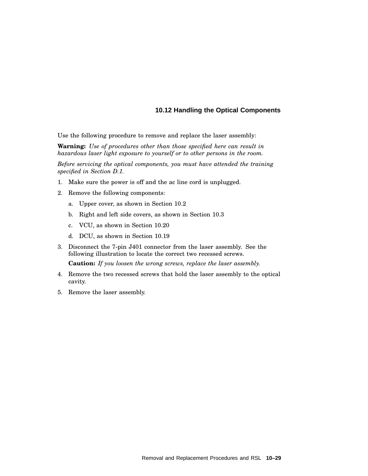Use the following procedure to remove and replace the laser assembly:

**Warning:** *Use of procedures other than those specified here can result in hazardous laser light exposure to yourself or to other persons in the room.*

*Before servicing the optical components, you must have attended the training specified in Section D.1.*

- 1. Make sure the power is off and the ac line cord is unplugged.
- 2. Remove the following components:
	- a. Upper cover, as shown in Section 10.2
	- b. Right and left side covers, as shown in Section 10.3
	- c. VCU, as shown in Section 10.20
	- d. DCU, as shown in Section 10.19
- 3. Disconnect the 7-pin J401 connector from the laser assembly. See the following illustration to locate the correct two recessed screws. **Caution:** *If you loosen the wrong screws, replace the laser assembly.*
- 4. Remove the two recessed screws that hold the laser assembly to the optical cavity.
- 5. Remove the laser assembly.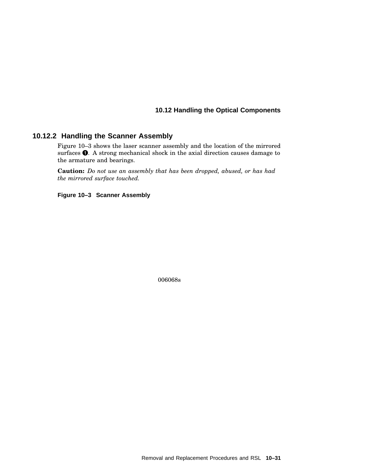#### **10.12.2 Handling the Scanner Assembly**

Figure 10–3 shows the laser scanner assembly and the location of the mirrored surfaces  $\bullet$ . A strong mechanical shock in the axial direction causes damage to the armature and bearings.

**Caution:** *Do not use an assembly that has been dropped, abused, or has had the mirrored surface touched.*

**Figure 10–3 Scanner Assembly**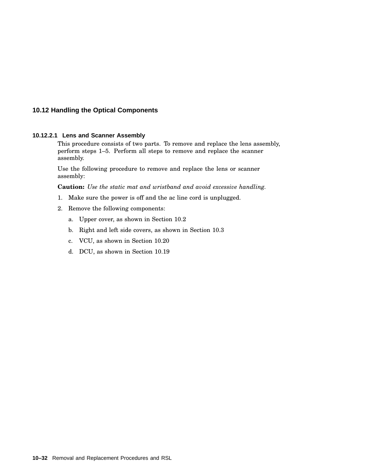#### **10.12.2.1 Lens and Scanner Assembly**

This procedure consists of two parts. To remove and replace the lens assembly, perform steps 1–5. Perform all steps to remove and replace the scanner assembly.

Use the following procedure to remove and replace the lens or scanner assembly:

**Caution:** *Use the static mat and wristband and avoid excessive handling.*

- 1. Make sure the power is off and the ac line cord is unplugged.
- 2. Remove the following components:
	- a. Upper cover, as shown in Section 10.2
	- b. Right and left side covers, as shown in Section 10.3
	- c. VCU, as shown in Section 10.20
	- d. DCU, as shown in Section 10.19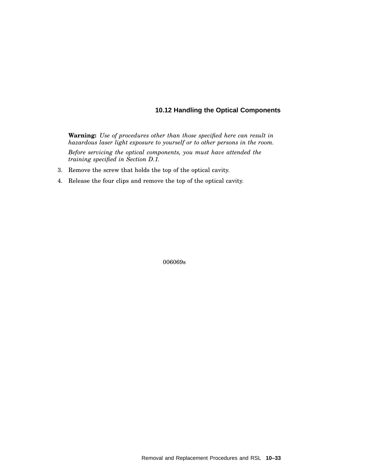**Warning:** *Use of procedures other than those specified here can result in hazardous laser light exposure to yourself or to other persons in the room. Before servicing the optical components, you must have attended the training specified in Section D.1.*

- 3. Remove the screw that holds the top of the optical cavity.
- 4. Release the four clips and remove the top of the optical cavity.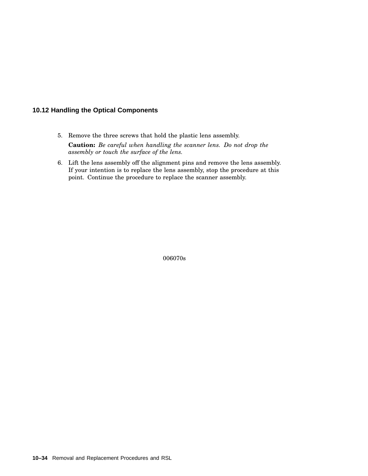- 5. Remove the three screws that hold the plastic lens assembly. **Caution:** *Be careful when handling the scanner lens. Do not drop the assembly or touch the surface of the lens.*
- 6. Lift the lens assembly off the alignment pins and remove the lens assembly. If your intention is to replace the lens assembly, stop the procedure at this point. Continue the procedure to replace the scanner assembly.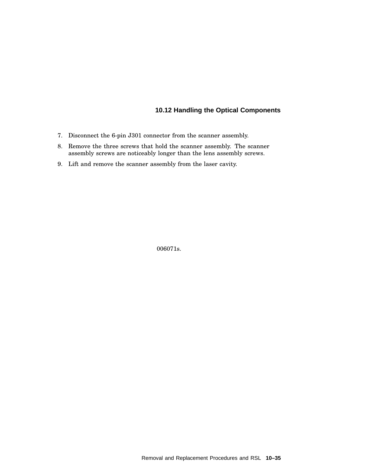- 7. Disconnect the 6-pin J301 connector from the scanner assembly.
- 8. Remove the three screws that hold the scanner assembly. The scanner assembly screws are noticeably longer than the lens assembly screws.
- 9. Lift and remove the scanner assembly from the laser cavity.

006071s.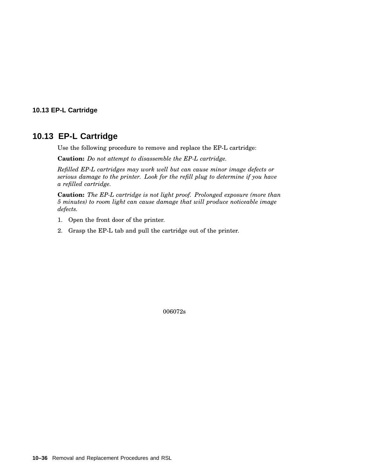### **10.13 EP-L Cartridge**

# **10.13 EP-L Cartridge**

Use the following procedure to remove and replace the EP-L cartridge:

**Caution:** *Do not attempt to disassemble the EP-L cartridge.*

*Refilled EP-L cartridges may work well but can cause minor image defects or serious damage to the printer. Look for the refill plug to determine if you have a refilled cartridge.*

**Caution:** *The EP-L cartridge is not light proof. Prolonged exposure (more than 5 minutes) to room light can cause damage that will produce noticeable image defects.*

- 1. Open the front door of the printer.
- 2. Grasp the EP-L tab and pull the cartridge out of the printer.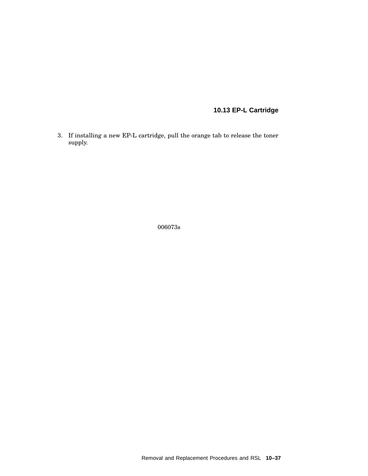# **10.13 EP-L Cartridge**

3. If installing a new EP-L cartridge, pull the orange tab to release the toner supply.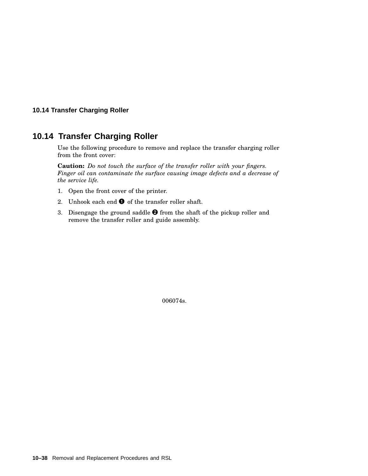#### **10.14 Transfer Charging Roller**

# **10.14 Transfer Charging Roller**

Use the following procedure to remove and replace the transfer charging roller from the front cover:

**Caution:** *Do not touch the surface of the transfer roller with your fingers. Finger oil can contaminate the surface causing image defects and a decrease of the service life.*

- 1. Open the front cover of the printer.
- 2. Unhook each end  $\bullet$  of the transfer roller shaft.
- 3. Disengage the ground saddle  $\bullet$  from the shaft of the pickup roller and remove the transfer roller and guide assembly.

006074s.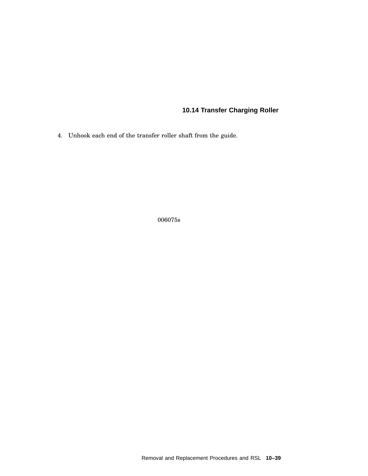# **10.14 Transfer Charging Roller**

4. Unhook each end of the transfer roller shaft from the guide.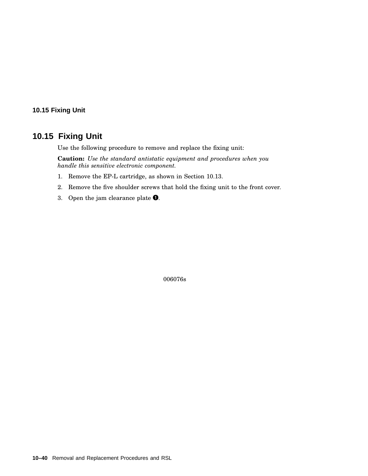## **10.15 Fixing Unit**

## **10.15 Fixing Unit**

Use the following procedure to remove and replace the fixing unit:

**Caution:** *Use the standard antistatic equipment and procedures when you handle this sensitive electronic component.*

- 1. Remove the EP-L cartridge, as shown in Section 10.13.
- 2. Remove the five shoulder screws that hold the fixing unit to the front cover.
- 3. Open the jam clearance plate  $\bullet$ .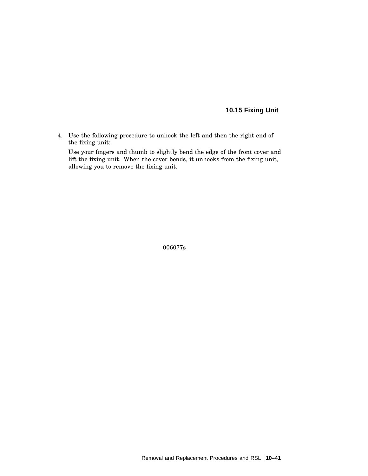## **10.15 Fixing Unit**

4. Use the following procedure to unhook the left and then the right end of the fixing unit:

Use your fingers and thumb to slightly bend the edge of the front cover and lift the fixing unit. When the cover bends, it unhooks from the fixing unit, allowing you to remove the fixing unit.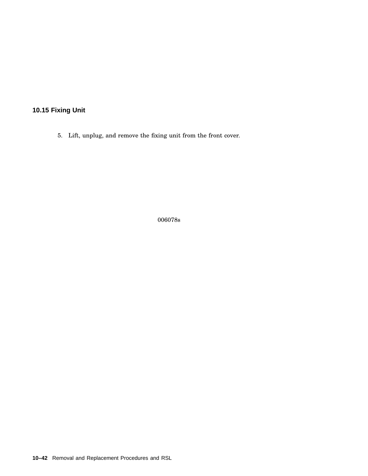**10.15 Fixing Unit**

5. Lift, unplug, and remove the fixing unit from the front cover.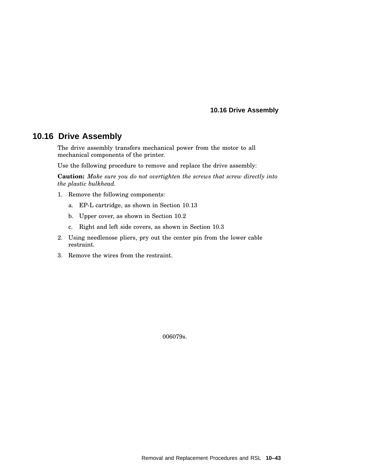**10.16 Drive Assembly**

## **10.16 Drive Assembly**

The drive assembly transfers mechanical power from the motor to all mechanical components of the printer.

Use the following procedure to remove and replace the drive assembly:

**Caution:** *Make sure you do not overtighten the screws that screw directly into the plastic bulkhead.*

- 1. Remove the following components:
	- a. EP-L cartridge, as shown in Section 10.13
	- b. Upper cover, as shown in Section 10.2
	- c. Right and left side covers, as shown in Section 10.3
- 2. Using needlenose pliers, pry out the center pin from the lower cable restraint.
- 3. Remove the wires from the restraint.

006079s.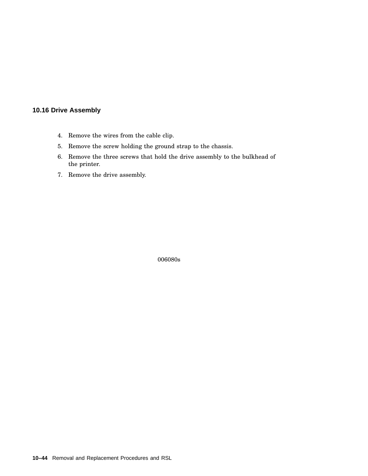## **10.16 Drive Assembly**

- 4. Remove the wires from the cable clip.
- 5. Remove the screw holding the ground strap to the chassis.
- 6. Remove the three screws that hold the drive assembly to the bulkhead of the printer.
- 7. Remove the drive assembly.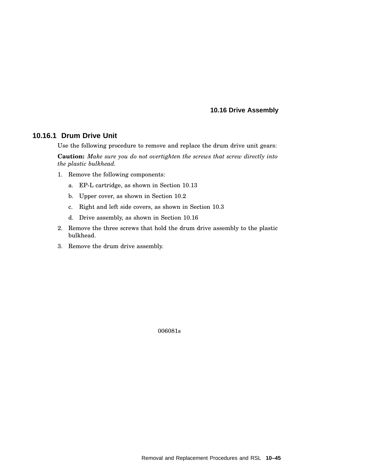**10.16 Drive Assembly**

### **10.16.1 Drum Drive Unit**

Use the following procedure to remove and replace the drum drive unit gears:

**Caution:** *Make sure you do not overtighten the screws that screw directly into the plastic bulkhead.*

- 1. Remove the following components:
	- a. EP-L cartridge, as shown in Section 10.13
	- b. Upper cover, as shown in Section 10.2
	- c. Right and left side covers, as shown in Section 10.3
	- d. Drive assembly, as shown in Section 10.16
- 2. Remove the three screws that hold the drum drive assembly to the plastic bulkhead.
- 3. Remove the drum drive assembly.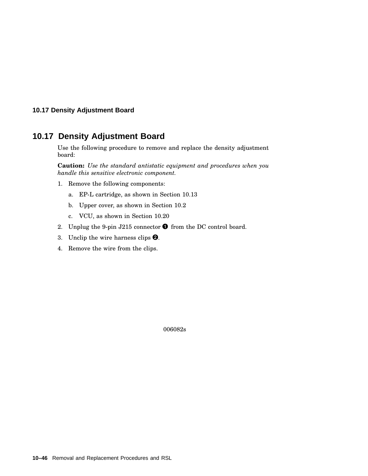### **10.17 Density Adjustment Board**

## **10.17 Density Adjustment Board**

Use the following procedure to remove and replace the density adjustment board:

**Caution:** *Use the standard antistatic equipment and procedures when you handle this sensitive electronic component.*

- 1. Remove the following components:
	- a. EP-L cartridge, as shown in Section 10.13
	- b. Upper cover, as shown in Section 10.2
	- c. VCU, as shown in Section 10.20
- 2. Unplug the 9-pin J215 connector  $\bullet$  from the DC control board.
- 3. Unclip the wire harness clips  $\bullet$ .
- 4. Remove the wire from the clips.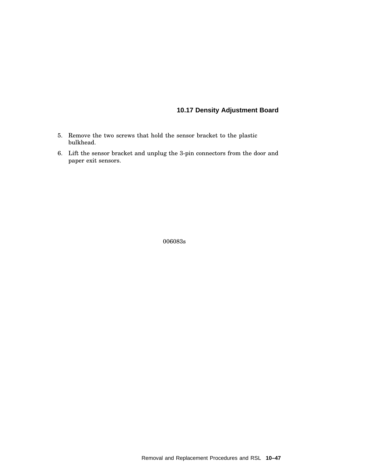## **10.17 Density Adjustment Board**

- 5. Remove the two screws that hold the sensor bracket to the plastic bulkhead.
- 6. Lift the sensor bracket and unplug the 3-pin connectors from the door and paper exit sensors.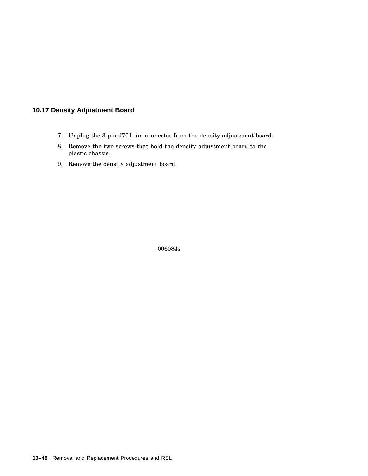## **10.17 Density Adjustment Board**

- 7. Unplug the 3-pin J701 fan connector from the density adjustment board.
- 8. Remove the two screws that hold the density adjustment board to the plastic chassis.
- 9. Remove the density adjustment board.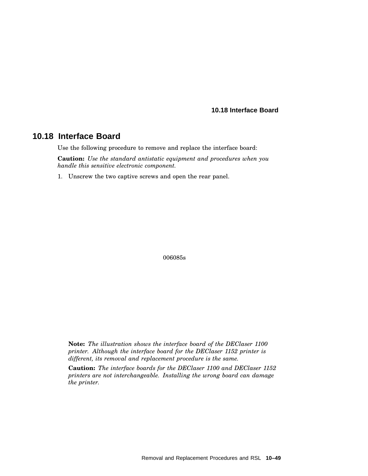**10.18 Interface Board**

## **10.18 Interface Board**

Use the following procedure to remove and replace the interface board:

**Caution:** *Use the standard antistatic equipment and procedures when you handle this sensitive electronic component.*

1. Unscrew the two captive screws and open the rear panel.

006085s

**Note:** *The illustration shows the interface board of the DEClaser 1100 printer. Although the interface board for the DEClaser 1152 printer is different, its removal and replacement procedure is the same.*

**Caution:** *The interface boards for the DEClaser 1100 and DEClaser 1152 printers are not interchangeable. Installing the wrong board can damage the printer.*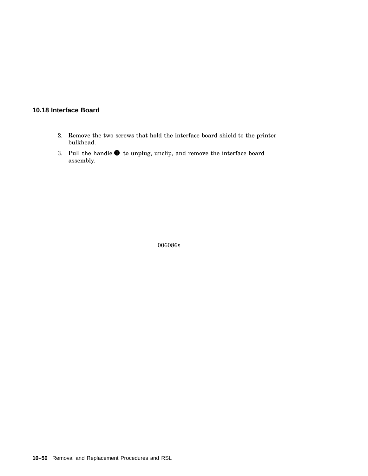## **10.18 Interface Board**

- 2. Remove the two screws that hold the interface board shield to the printer bulkhead.
- 3. Pull the handle  $\bullet$  to unplug, unclip, and remove the interface board assembly.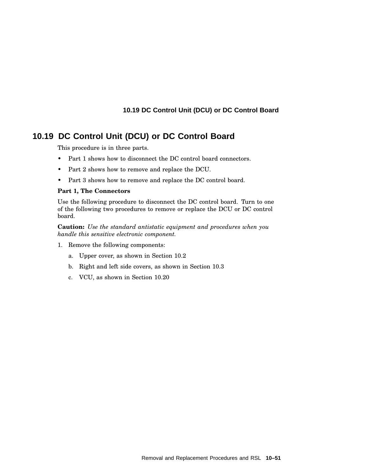# **10.19 DC Control Unit (DCU) or DC Control Board**

This procedure is in three parts.

- Part 1 shows how to disconnect the DC control board connectors.
- Part 2 shows how to remove and replace the DCU.
- Part 3 shows how to remove and replace the DC control board.

#### **Part 1, The Connectors**

Use the following procedure to disconnect the DC control board. Turn to one of the following two procedures to remove or replace the DCU or DC control board.

**Caution:** *Use the standard antistatic equipment and procedures when you handle this sensitive electronic component.*

- 1. Remove the following components:
	- a. Upper cover, as shown in Section 10.2
	- b. Right and left side covers, as shown in Section 10.3
	- c. VCU, as shown in Section 10.20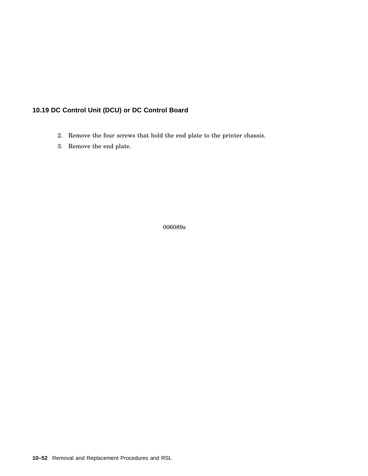- 2. Remove the four screws that hold the end plate to the printer chassis.
- 3. Remove the end plate.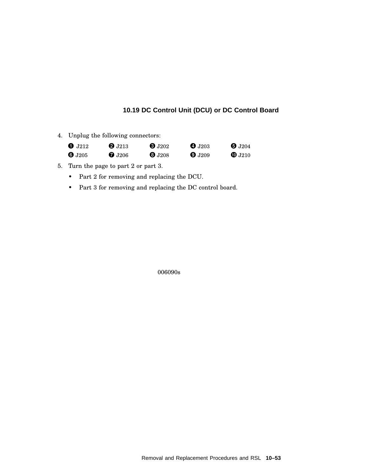4. Unplug the following connectors:

| $\bullet$ J212 | <b>2</b> J213              | $\mathbf{6}$ J202 | $\bullet$ J <sub>203</sub> | $\bullet$ J204    |  |
|----------------|----------------------------|-------------------|----------------------------|-------------------|--|
| $\bullet$ J205 | $\bullet$ J <sub>206</sub> | $\mathbf{0}$ J208 | $Q$ J209                   | $\mathbf{0}$ J210 |  |

- 5. Turn the page to part 2 or part 3.
	- Part 2 for removing and replacing the DCU.
	- Part 3 for removing and replacing the DC control board.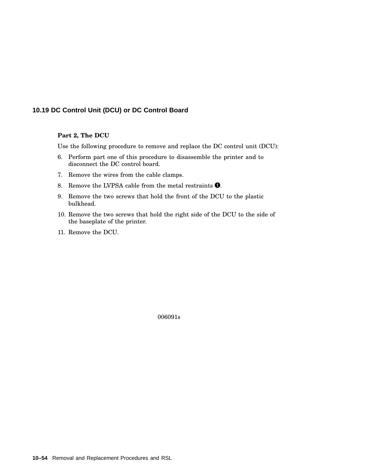#### **Part 2, The DCU**

Use the following procedure to remove and replace the DC control unit (DCU):

- 6. Perform part one of this procedure to disassemble the printer and to disconnect the DC control board.
- 7. Remove the wires from the cable clamps.
- 8. Remove the LVPSA cable from the metal restraints  $\bullet$ .
- 9. Remove the two screws that hold the front of the DCU to the plastic bulkhead.
- 10. Remove the two screws that hold the right side of the DCU to the side of the baseplate of the printer.
- 11. Remove the DCU.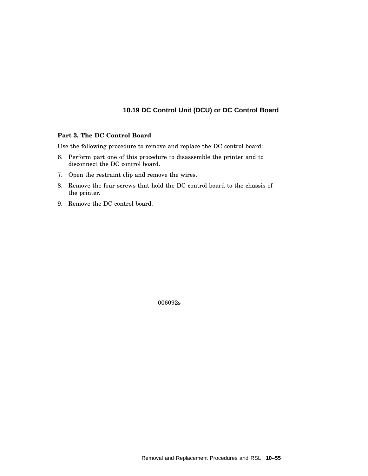#### **Part 3, The DC Control Board**

Use the following procedure to remove and replace the DC control board:

- 6. Perform part one of this procedure to disassemble the printer and to disconnect the DC control board.
- 7. Open the restraint clip and remove the wires.
- 8. Remove the four screws that hold the DC control board to the chassis of the printer.
- 9. Remove the DC control board.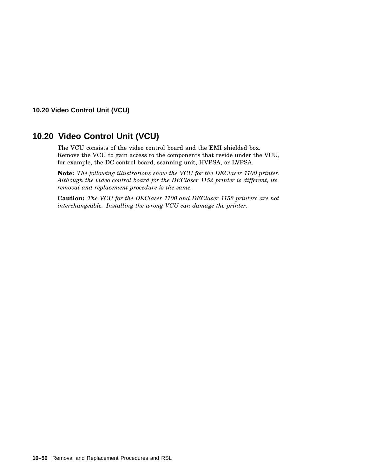# **10.20 Video Control Unit (VCU)**

The VCU consists of the video control board and the EMI shielded box. Remove the VCU to gain access to the components that reside under the VCU, for example, the DC control board, scanning unit, HVPSA, or LVPSA.

**Note:** *The following illustrations show the VCU for the DEClaser 1100 printer. Although the video control board for the DEClaser 1152 printer is different, its removal and replacement procedure is the same.*

**Caution:** *The VCU for the DEClaser 1100 and DEClaser 1152 printers are not interchangeable. Installing the wrong VCU can damage the printer.*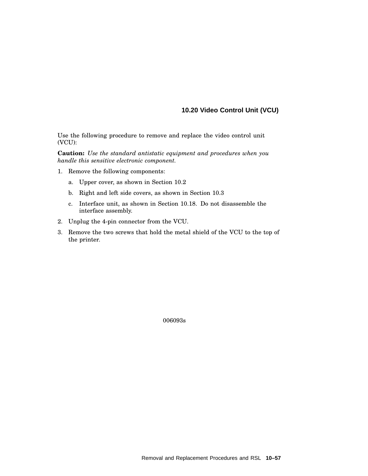Use the following procedure to remove and replace the video control unit (VCU):

**Caution:** *Use the standard antistatic equipment and procedures when you handle this sensitive electronic component.*

- 1. Remove the following components:
	- a. Upper cover, as shown in Section 10.2
	- b. Right and left side covers, as shown in Section 10.3
	- c. Interface unit, as shown in Section 10.18. Do not disassemble the interface assembly.
- 2. Unplug the 4-pin connector from the VCU.
- 3. Remove the two screws that hold the metal shield of the VCU to the top of the printer.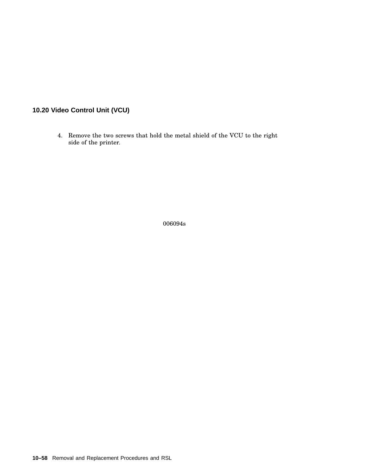4. Remove the two screws that hold the metal shield of the VCU to the right side of the printer.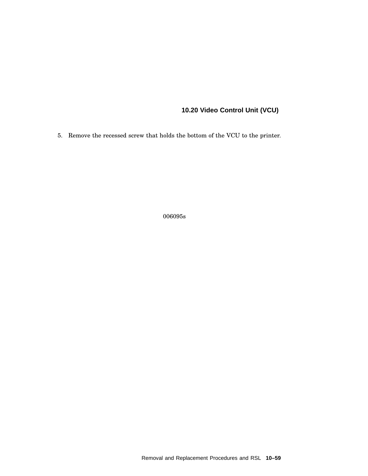5. Remove the recessed screw that holds the bottom of the VCU to the printer.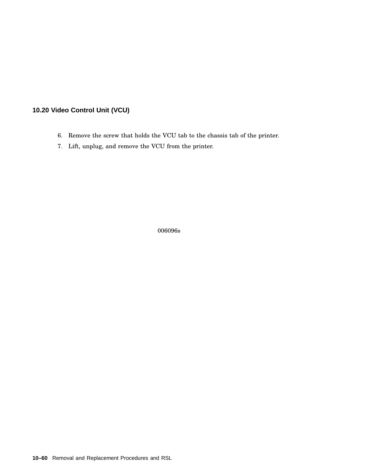- 6. Remove the screw that holds the VCU tab to the chassis tab of the printer.
- 7. Lift, unplug, and remove the VCU from the printer.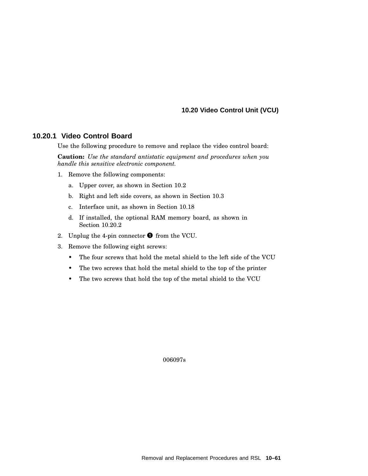### **10.20.1 Video Control Board**

Use the following procedure to remove and replace the video control board:

**Caution:** *Use the standard antistatic equipment and procedures when you handle this sensitive electronic component.*

- 1. Remove the following components:
	- a. Upper cover, as shown in Section 10.2
	- b. Right and left side covers, as shown in Section 10.3
	- c. Interface unit, as shown in Section 10.18
	- d. If installed, the optional RAM memory board, as shown in Section 10.20.2
- 2. Unplug the 4-pin connector  $\bullet$  from the VCU.
- 3. Remove the following eight screws:
	- The four screws that hold the metal shield to the left side of the VCU
	- The two screws that hold the metal shield to the top of the printer
	- The two screws that hold the top of the metal shield to the VCU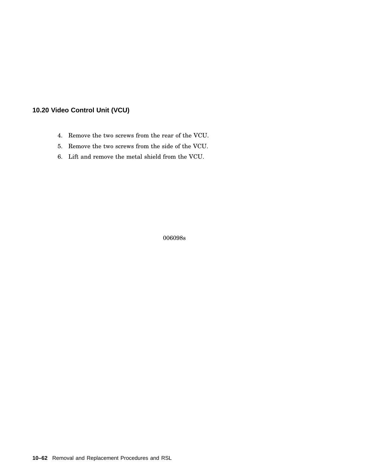- 4. Remove the two screws from the rear of the VCU.
- 5. Remove the two screws from the side of the VCU.
- 6. Lift and remove the metal shield from the VCU.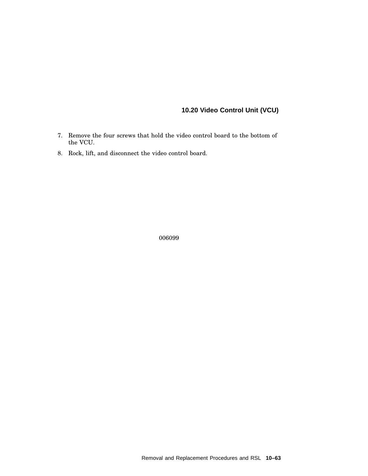- 7. Remove the four screws that hold the video control board to the bottom of the VCU.
- 8. Rock, lift, and disconnect the video control board.

006099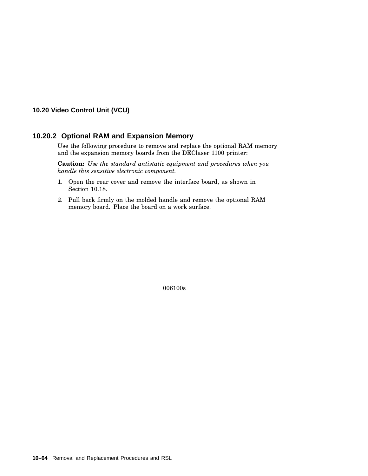### **10.20.2 Optional RAM and Expansion Memory**

Use the following procedure to remove and replace the optional RAM memory and the expansion memory boards from the DEClaser 1100 printer:

**Caution:** *Use the standard antistatic equipment and procedures when you handle this sensitive electronic component.*

- 1. Open the rear cover and remove the interface board, as shown in Section 10.18.
- 2. Pull back firmly on the molded handle and remove the optional RAM memory board. Place the board on a work surface.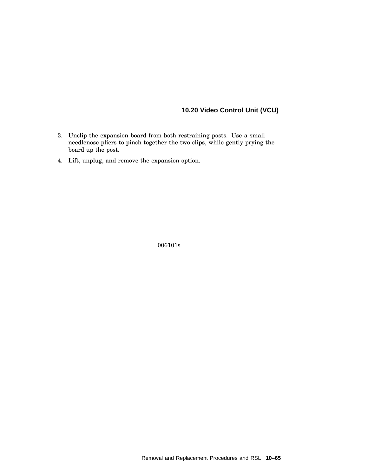- 3. Unclip the expansion board from both restraining posts. Use a small needlenose pliers to pinch together the two clips, while gently prying the board up the post.
- 4. Lift, unplug, and remove the expansion option.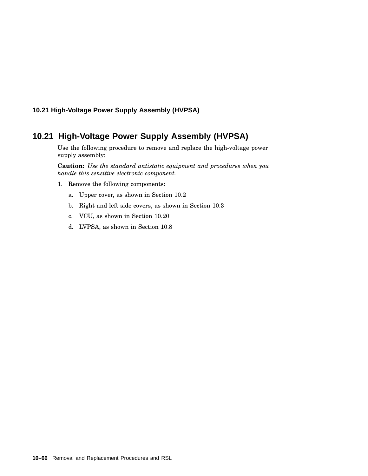### **10.21 High-Voltage Power Supply Assembly (HVPSA)**

## **10.21 High-Voltage Power Supply Assembly (HVPSA)**

Use the following procedure to remove and replace the high-voltage power supply assembly:

**Caution:** *Use the standard antistatic equipment and procedures when you handle this sensitive electronic component.*

- 1. Remove the following components:
	- a. Upper cover, as shown in Section 10.2
	- b. Right and left side covers, as shown in Section 10.3
	- c. VCU, as shown in Section 10.20
	- d. LVPSA, as shown in Section 10.8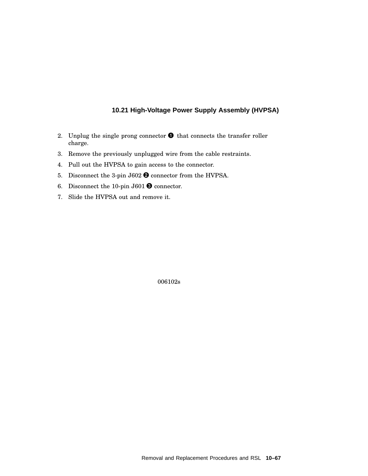### **10.21 High-Voltage Power Supply Assembly (HVPSA)**

- 2. Unplug the single prong connector  $\bullet$  that connects the transfer roller charge.
- 3. Remove the previously unplugged wire from the cable restraints.
- 4. Pull out the HVPSA to gain access to the connector.
- 5. Disconnect the 3-pin J602  $\bullet$  connector from the HVPSA.
- 6. Disconnect the 10-pin J601  $\bullet$  connector.
- 7. Slide the HVPSA out and remove it.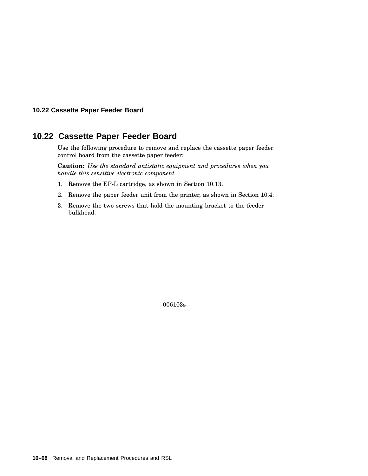#### **10.22 Cassette Paper Feeder Board**

## **10.22 Cassette Paper Feeder Board**

Use the following procedure to remove and replace the cassette paper feeder control board from the cassette paper feeder:

**Caution:** *Use the standard antistatic equipment and procedures when you handle this sensitive electronic component.*

- 1. Remove the EP-L cartridge, as shown in Section 10.13.
- 2. Remove the paper feeder unit from the printer, as shown in Section 10.4.
- 3. Remove the two screws that hold the mounting bracket to the feeder bulkhead.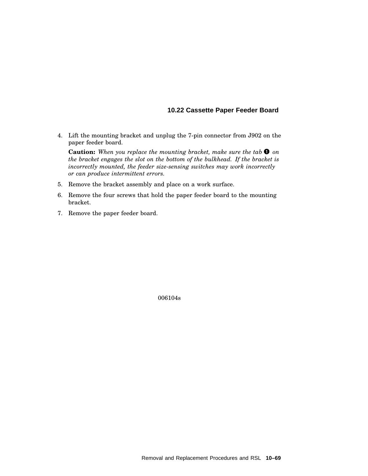### **10.22 Cassette Paper Feeder Board**

4. Lift the mounting bracket and unplug the 7-pin connector from J902 on the paper feeder board.

**Caution:** *When you replace the mounting bracket, make sure the tab on the bracket engages the slot on the bottom of the bulkhead. If the bracket is incorrectly mounted, the feeder size-sensing switches may work incorrectly or can produce intermittent errors.*

- 5. Remove the bracket assembly and place on a work surface.
- 6. Remove the four screws that hold the paper feeder board to the mounting bracket.
- 7. Remove the paper feeder board.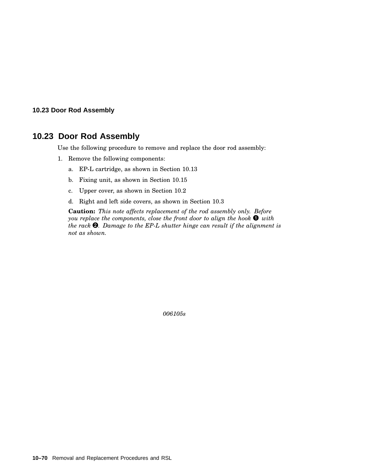#### **10.23 Door Rod Assembly**

## **10.23 Door Rod Assembly**

Use the following procedure to remove and replace the door rod assembly:

- 1. Remove the following components:
	- a. EP-L cartridge, as shown in Section 10.13
	- b. Fixing unit, as shown in Section 10.15
	- c. Upper cover, as shown in Section 10.2
	- d. Right and left side covers, as shown in Section 10.3

**Caution:** *This note affects replacement of the rod assembly only. Before you replace the components, close the front door to align the hook with the rack . Damage to the EP-L shutter hinge can result if the alignment is not as shown.*

*006105s*

**10–70** Removal and Replacement Procedures and RSL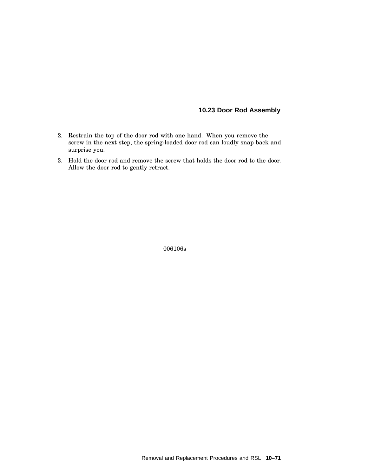### **10.23 Door Rod Assembly**

- 2. Restrain the top of the door rod with one hand. When you remove the screw in the next step, the spring-loaded door rod can loudly snap back and surprise you.
- 3. Hold the door rod and remove the screw that holds the door rod to the door. Allow the door rod to gently retract.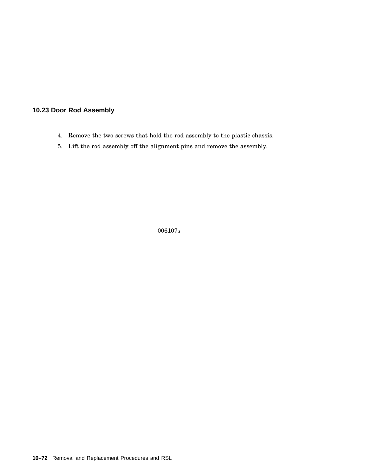#### **10.23 Door Rod Assembly**

- 4. Remove the two screws that hold the rod assembly to the plastic chassis.
- 5. Lift the rod assembly off the alignment pins and remove the assembly.

006107s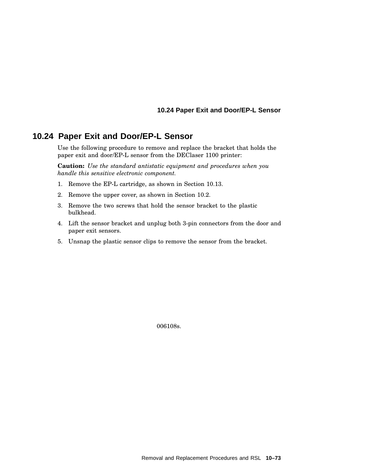#### **10.24 Paper Exit and Door/EP-L Sensor**

# **10.24 Paper Exit and Door/EP-L Sensor**

Use the following procedure to remove and replace the bracket that holds the paper exit and door/EP-L sensor from the DEClaser 1100 printer:

**Caution:** *Use the standard antistatic equipment and procedures when you handle this sensitive electronic component.*

- 1. Remove the EP-L cartridge, as shown in Section 10.13.
- 2. Remove the upper cover, as shown in Section 10.2.
- 3. Remove the two screws that hold the sensor bracket to the plastic bulkhead.
- 4. Lift the sensor bracket and unplug both 3-pin connectors from the door and paper exit sensors.
- 5. Unsnap the plastic sensor clips to remove the sensor from the bracket.

006108s.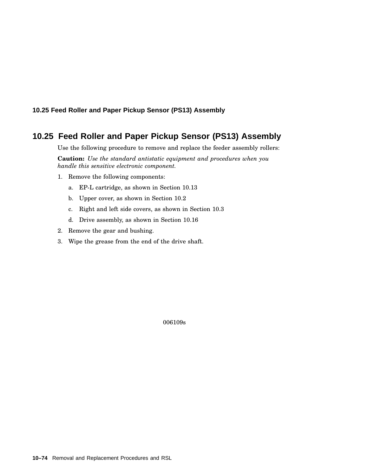#### **10.25 Feed Roller and Paper Pickup Sensor (PS13) Assembly**

# **10.25 Feed Roller and Paper Pickup Sensor (PS13) Assembly**

Use the following procedure to remove and replace the feeder assembly rollers:

**Caution:** *Use the standard antistatic equipment and procedures when you handle this sensitive electronic component.*

- 1. Remove the following components:
	- a. EP-L cartridge, as shown in Section 10.13
	- b. Upper cover, as shown in Section 10.2
	- c. Right and left side covers, as shown in Section 10.3
	- d. Drive assembly, as shown in Section 10.16
- 2. Remove the gear and bushing.
- 3. Wipe the grease from the end of the drive shaft.

006109s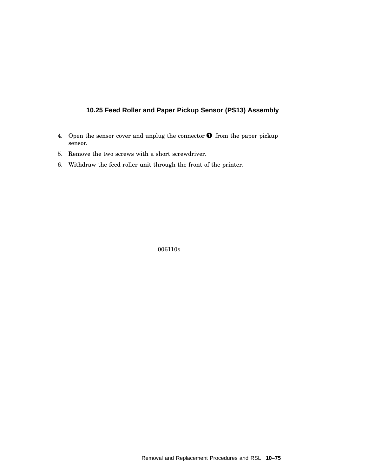## **10.25 Feed Roller and Paper Pickup Sensor (PS13) Assembly**

- 4. Open the sensor cover and unplug the connector  $\bullet$  from the paper pickup sensor.
- 5. Remove the two screws with a short screwdriver.
- 6. Withdraw the feed roller unit through the front of the printer.

006110s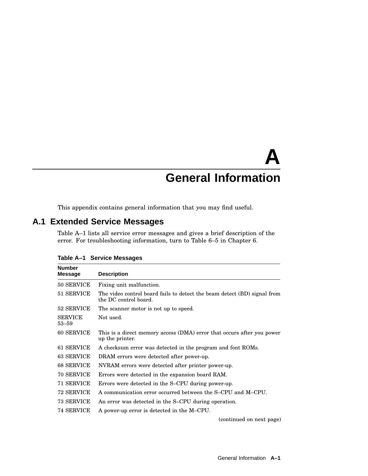# **A General Information**

This appendix contains general information that you may find useful.

# **A.1 Extended Service Messages**

Table A–1 lists all service error messages and gives a brief description of the error. For troubleshooting information, turn to Table 6–5 in Chapter 6.

| <b>Number</b><br><b>Message</b> | <b>Description</b>                                                                                |
|---------------------------------|---------------------------------------------------------------------------------------------------|
| 50 SERVICE                      | Fixing unit malfunction.                                                                          |
| 51 SERVICE                      | The video control board fails to detect the beam detect (BD) signal from<br>the DC control board. |
| 52 SERVICE                      | The scanner motor is not up to speed.                                                             |
| <b>SERVICE</b><br>$53 - 59$     | Not used.                                                                                         |
| 60 SERVICE                      | This is a direct memory access (DMA) error that occurs after you power<br>up the printer.         |
| 61 SERVICE                      | A checksum error was detected in the program and font ROMs.                                       |
| 63 SERVICE                      | DRAM errors were detected after power-up.                                                         |
| 68 SERVICE                      | NVRAM errors were detected after printer power-up.                                                |
| 70 SERVICE                      | Errors were detected in the expansion board RAM.                                                  |
| 71 SERVICE                      | Errors were detected in the S-CPU during power-up.                                                |
| 72 SERVICE                      | A communication error occurred between the S-CPU and M-CPU.                                       |
| 73 SERVICE                      | An error was detected in the S-CPU during operation.                                              |
| 74 SERVICE                      | A power-up error is detected in the M-CPU.                                                        |
|                                 | (continued on next page)                                                                          |

**Table A–1 Service Messages**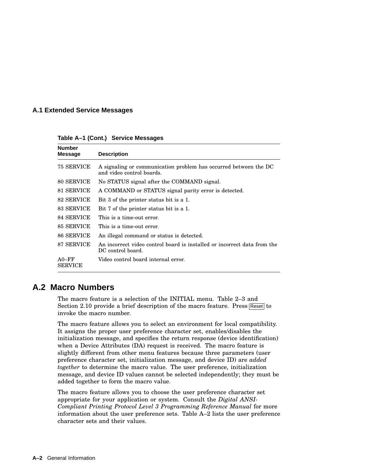#### **A.1 Extended Service Messages**

**Table A–1 (Cont.) Service Messages**

| <b>Number</b><br><b>Message</b> | <b>Description</b>                                                                            |
|---------------------------------|-----------------------------------------------------------------------------------------------|
| 75 SERVICE                      | A signaling or communication problem has occurred between the DC<br>and video control boards. |
| 80 SERVICE                      | No STATUS signal after the COMMAND signal.                                                    |
| 81 SERVICE                      | A COMMAND or STATUS signal parity error is detected.                                          |
| 82 SERVICE                      | Bit 3 of the printer status bit is a 1.                                                       |
| 83 SERVICE                      | Bit 7 of the printer status bit is a 1.                                                       |
| 84 SERVICE                      | This is a time-out error.                                                                     |
| 85 SERVICE                      | This is a time-out error.                                                                     |
| 86 SERVICE                      | An illegal command or status is detected.                                                     |
| 87 SERVICE                      | An incorrect video control board is installed or incorrect data from the<br>DC control board. |
| $A0-FF$<br><b>SERVICE</b>       | Video control board internal error.                                                           |

# **A.2 Macro Numbers**

The macro feature is a selection of the INITIAL menu. Table 2–3 and Section 2.10 provide a brief description of the macro feature. Press Reset to invoke the macro number.

The macro feature allows you to select an environment for local compatibility. It assigns the proper user preference character set, enables/disables the initialization message, and specifies the return response (device identification) when a Device Attributes (DA) request is received. The macro feature is slightly different from other menu features because three parameters (user preference character set, initialization message, and device ID) are *added together* to determine the macro value. The user preference, initialization message, and device ID values cannot be selected independently; they must be added together to form the macro value.

The macro feature allows you to choose the user preference character set appropriate for your application or system. Consult the *Digital ANSI-Compliant Printing Protocol Level 3 Programming Reference Manual* for more information about the user preference sets. Table A–2 lists the user preference character sets and their values.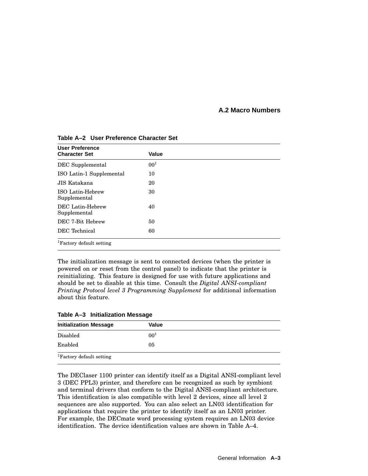#### **A.2 Macro Numbers**

| <b>User Preference</b><br><b>Character Set</b> | Value    |  |
|------------------------------------------------|----------|--|
| DEC Supplemental                               | $00^{1}$ |  |
| ISO Latin-1 Supplemental                       | 10       |  |
| JIS Katakana                                   | 20       |  |
| <b>ISO Latin-Hebrew</b><br>Supplemental        | 30       |  |
| DEC Latin-Hebrew<br>Supplemental               | 40       |  |
| DEC 7-Bit Hebrew                               | 50       |  |
| DEC Technical                                  | 60       |  |
| <sup>1</sup> Factory default setting           |          |  |

**Table A–2 User Preference Character Set**

The initialization message is sent to connected devices (when the printer is powered on or reset from the control panel) to indicate that the printer is reinitializing. This feature is designed for use with future applications and should be set to disable at this time. Consult the *Digital ANSI-compliant Printing Protocol level 3 Programming Supplement* for additional information about this feature.

|  | Table A-3 Initialization Message |  |
|--|----------------------------------|--|
|--|----------------------------------|--|

| <b>Initialization Message</b>        | Value    |  |
|--------------------------------------|----------|--|
| Disabled                             | $00^{1}$ |  |
| Enabled                              | 05       |  |
| <sup>1</sup> Factory default setting |          |  |

The DEClaser 1100 printer can identify itself as a Digital ANSI-compliant level 3 (DEC PPL3) printer, and therefore can be recognized as such by symbiont and terminal drivers that conform to the Digital ANSI-compliant architecture. This identification is also compatible with level 2 devices, since all level 2 sequences are also supported. You can also select an LN03 identification for applications that require the printer to identify itself as an LN03 printer. For example, the DECmate word processing system requires an LN03 device identification. The device identification values are shown in Table A–4.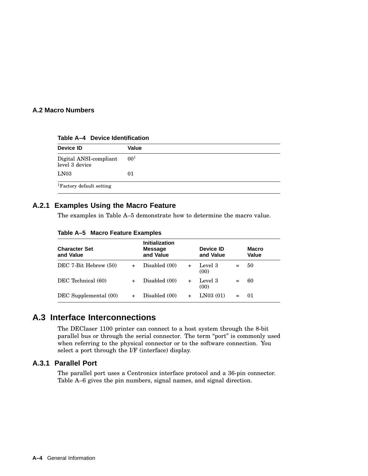#### **A.2 Macro Numbers**

**Table A–4 Device Identification**

| Device ID                                | Value    |
|------------------------------------------|----------|
| Digital ANSI-compliant<br>level 3 device | $00^{1}$ |
| LN03                                     | 01       |
| <sup>1</sup> Factory default setting     |          |

#### **A.2.1 Examples Using the Macro Feature**

The examples in Table A–5 demonstrate how to determine the macro value.

| Table A-5 Macro Feature Examples |  |  |
|----------------------------------|--|--|
|                                  |  |  |

| <b>Character Set</b><br>and Value |     | <b>Initialization</b><br><b>Message</b><br>and Value |     | Device ID<br>and Value |     | <b>Macro</b><br>Value |
|-----------------------------------|-----|------------------------------------------------------|-----|------------------------|-----|-----------------------|
| DEC 7-Bit Hebrew (50)             |     | Disabled (00)                                        | $+$ | Level 3<br>(00)        | $=$ | 50                    |
| DEC Technical (60)                | $+$ | Disabled (00)                                        | $+$ | Level 3<br>(00)        | $=$ | 60                    |
| DEC Supplemental (00)             |     | Disabled (00)                                        |     | LN03(01)               |     | 01                    |

## **A.3 Interface Interconnections**

The DEClaser 1100 printer can connect to a host system through the 8-bit parallel bus or through the serial connector. The term "port" is commonly used when referring to the physical connector or to the software connection. You select a port through the I/F (interface) display.

#### **A.3.1 Parallel Port**

The parallel port uses a Centronics interface protocol and a 36-pin connector. Table A–6 gives the pin numbers, signal names, and signal direction.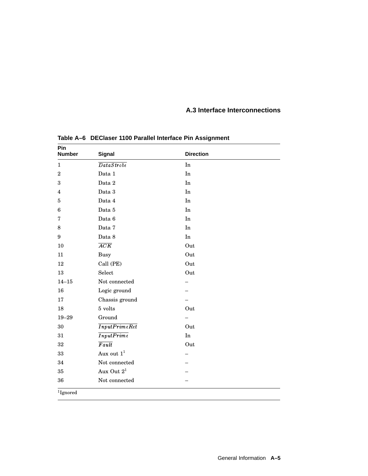| Pin<br><b>Number</b>    | <b>Signal</b>      | <b>Direction</b>       |  |
|-------------------------|--------------------|------------------------|--|
| $\mathbf{1}$            | DataStroke         | In                     |  |
| $\sqrt{2}$              | Data 1             | In                     |  |
| 3                       | Data 2             | In                     |  |
| $\overline{\mathbf{4}}$ | Data 3             | In                     |  |
| 5                       | Data 4             | In                     |  |
| $\boldsymbol{6}$        | Data 5             | $\mathop{\mathrm{In}}$ |  |
| 7                       | Data 6             | In                     |  |
| $\,8\,$                 | Data 7             | In                     |  |
| 9                       | Data 8             | In                     |  |
| 10                      | $\overline{ACK}$   | Out                    |  |
| 11                      | <b>Busy</b>        | Out                    |  |
| $12\,$                  | Call (PE)          | Out                    |  |
| 13                      | Select             | Out                    |  |
| $14 - 15$               | Not connected      |                        |  |
| 16                      | Logic ground       |                        |  |
| 17                      | Chassis ground     |                        |  |
| 18                      | 5 volts            | Out                    |  |
| $19 - 29$               | Ground             |                        |  |
| 30                      | InputPrimeRet      | Out                    |  |
| 31                      | InputPrime         | $\mathop{\mathrm{In}}$ |  |
| 32                      | $\overline{Fault}$ | Out                    |  |
| $33\,$                  | Aux out $1^1$      |                        |  |
| 34                      | Not connected      |                        |  |
| $35\,$                  | Aux Out $2^1$      |                        |  |
| 36                      | Not connected      |                        |  |

**Table A–6 DEClaser 1100 Parallel Interface Pin Assignment**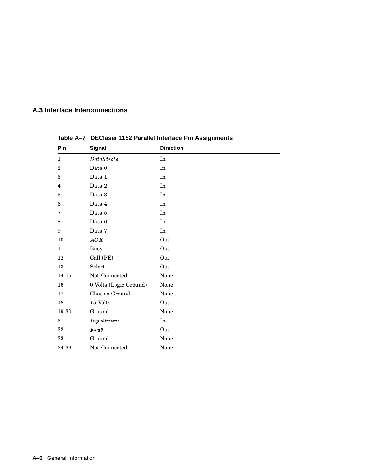| Pin            | Signal                 | <b>Direction</b> |
|----------------|------------------------|------------------|
| $\mathbf{1}$   | DataStroke             | In               |
| $\overline{2}$ | Data 0                 | In               |
| 3              | Data 1                 | $\rm{In}$        |
| 4              | Data 2                 | In               |
| 5              | Data 3                 | In               |
| 6              | Data 4                 | In               |
| 7              | Data 5                 | In               |
| 8              | Data 6                 | In               |
| 9              | Data 7                 | $\rm{In}$        |
| 10             | $\overline{ACK}$       | Out              |
| 11             | <b>Busy</b>            | Out              |
| 12             | Call (PE)              | Out              |
| 13             | Select                 | Out              |
| 14-15          | Not Connected          | None             |
| 16             | 0 Volts (Logic Ground) | None             |
| 17             | Chassis Ground         | None             |
| 18             | $+5$ Volts             | Out              |
| 19-30          | Ground                 | None             |
| 31             | InputPrime             | In               |
| 32             | $\overline{Fault}$     | Out              |
| 33             | Ground                 | None             |
| 34-36          | Not Connected          | None             |

**Table A–7 DEClaser 1152 Parallel Interface Pin Assignments**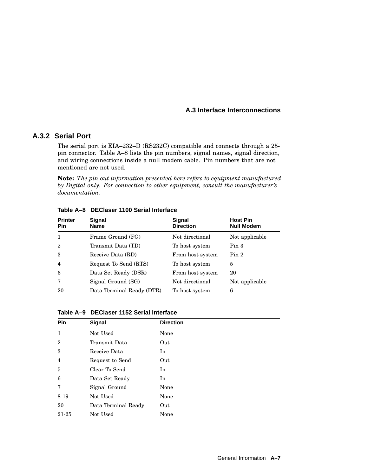#### **A.3.2 Serial Port**

The serial port is EIA–232–D (RS232C) compatible and connects through a 25 pin connector. Table A–8 lists the pin numbers, signal names, signal direction, and wiring connections inside a null modem cable. Pin numbers that are not mentioned are not used.

**Note:** *The pin out information presented here refers to equipment manufactured by Digital only. For connection to other equipment, consult the manufacturer's documentation.*

| Pin            | <b>Name</b>               | Signal<br><b>Direction</b> | <b>Host Pin</b><br><b>Null Modem</b> |
|----------------|---------------------------|----------------------------|--------------------------------------|
| 1              | Frame Ground (FG)         | Not directional            | Not applicable                       |
| $\overline{2}$ | Transmit Data (TD)        | To host system             | Pin <sub>3</sub>                     |
| 3              | Receive Data (RD)         | From host system           | Pin <sub>2</sub>                     |
| $\overline{4}$ | Request To Send (RTS)     | To host system             | 5                                    |
| 6              | Data Set Ready (DSR)      | From host system           | 20                                   |
| 7              | Signal Ground (SG)        | Not directional            | Not applicable                       |
| 20             | Data Terminal Ready (DTR) | To host system             | 6                                    |

**Table A–8 DEClaser 1100 Serial Interface**

**Table A–9 DEClaser 1152 Serial Interface**

| Pin            | Signal              | <b>Direction</b> |
|----------------|---------------------|------------------|
| $\mathbf{1}$   | Not Used            | None             |
| $\mathbf{2}$   | Transmit Data       | Out              |
| 3              | Receive Data        | In               |
| $\overline{4}$ | Request to Send     | Out              |
| 5              | Clear To Send       | In               |
| 6              | Data Set Ready      | In               |
| 7              | Signal Ground       | None             |
| 8-19           | Not Used            | None             |
| 20             | Data Terminal Ready | Out              |
| 21-25          | Not Used            | None             |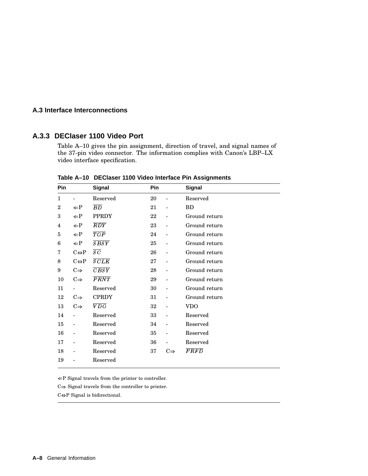#### **A.3.3 DEClaser 1100 Video Port**

Table A–10 gives the pin assignment, direction of travel, and signal names of the 37-pin video connector. The information complies with Canon's LBP–LX video interface specification.

| Pin            |                          | <b>Signal</b>     | Pin |                          | Signal            |
|----------------|--------------------------|-------------------|-----|--------------------------|-------------------|
| $\mathbf{1}$   |                          | Reserved          | 20  | $\overline{\phantom{a}}$ | Reserved          |
| $\overline{2}$ | $\leftarrow P$           | $\overline{BD}$   | 21  | $\overline{\phantom{a}}$ | <b>BD</b>         |
| 3              | $\leftarrow P$           | <b>PPRDY</b>      | 22  |                          | Ground return     |
| 4              | $\leftarrow P$           | $\overline{RDY}$  | 23  |                          | Ground return     |
| 5              | $\Leftarrow$ P           | $\overline{TOP}$  | 24  |                          | Ground return     |
| 6              | $\Leftarrow$ P           | $\overline{SSS}$  | 25  |                          | Ground return     |
| 7              | $C \leftrightarrow P$    | $\overline{SC}$   | 26  |                          | Ground return     |
| 8              | $C \leftrightarrow P$    | SCLK              | 27  | $\overline{\phantom{a}}$ | Ground return     |
| 9              | $C \Rightarrow$          | $\overline{CBSY}$ | 28  |                          | Ground return     |
| 10             | $C \Rightarrow$          | $\overline{PRNT}$ | 29  |                          | Ground return     |
| 11             |                          | Reserved          | 30  |                          | Ground return     |
| 12             | $C \Rightarrow$          | <b>CPRDY</b>      | 31  |                          | Ground return     |
| 13             | $C \Rightarrow$          | $\overline{VDO}$  | 32  |                          | <b>VDO</b>        |
| 14             | $\overline{a}$           | Reserved          | 33  |                          | Reserved          |
| 15             | $\overline{\phantom{a}}$ | Reserved          | 34  | $\overline{\phantom{a}}$ | Reserved          |
| 16             | $\overline{a}$           | Reserved          | 35  |                          | Reserved          |
| 17             |                          | Reserved          | 36  |                          | Reserved          |
| 18             |                          | Reserved          | 37  | $C \Rightarrow$          | $\overline{PRFD}$ |
| 19             |                          | Reserved          |     |                          |                   |

**Table A–10 DEClaser 1100 Video Interface Pin Assignments**

 $\Leftarrow$ P Signal travels from the printer to controller.

 $C\!\!\Rightarrow$  Signal travels from the controller to printer.

 $C \Leftrightarrow P$  Signal is bidirectional.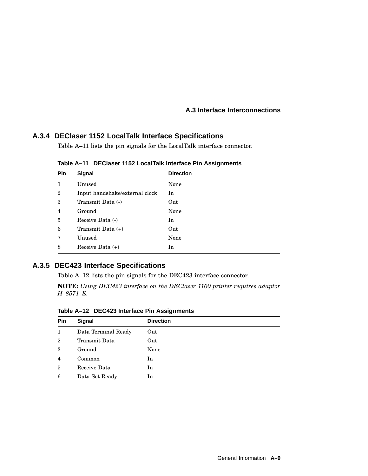#### **A.3.4 DEClaser 1152 LocalTalk Interface Specifications**

Table A–11 lists the pin signals for the LocalTalk interface connector.

| Signal                         | <b>Direction</b> |
|--------------------------------|------------------|
| Unused                         | None             |
| Input handshake/external clock | In               |
| Transmit Data (-)              | Out              |
| Ground                         | None             |
| Receive Data (-)               | In               |
| Transmit Data $(+)$            | Out              |
| Unused                         | None             |
| Receive Data $(+)$             | In               |
|                                |                  |

**Table A–11 DEClaser 1152 LocalTalk Interface Pin Assignments**

#### **A.3.5 DEC423 Interface Specifications**

Table A–12 lists the pin signals for the DEC423 interface connector.

**NOTE:** *Using DEC423 interface on the DEClaser 1100 printer requires adaptor H–8571–E.*

**Table A–12 DEC423 Interface Pin Assignments**

| Pin            | Signal              | <b>Direction</b> |
|----------------|---------------------|------------------|
| $\mathbf{1}$   | Data Terminal Ready | Out              |
| $\overline{2}$ | Transmit Data       | Out              |
| 3              | Ground              | None             |
| $\overline{4}$ | Common              | In               |
| 5              | Receive Data        | In               |
| 6              | Data Set Ready      | In               |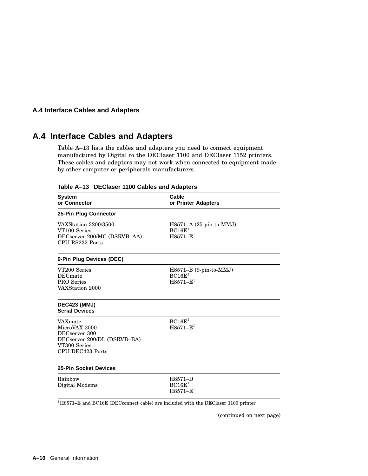#### **A.4 Interface Cables and Adapters**

# **A.4 Interface Cables and Adapters**

Table A–13 lists the cables and adapters you need to connect equipment manufactured by Digital to the DEClaser 1100 and DEClaser 1152 printers. These cables and adapters may not work when connected to equipment made by other computer or peripherals manufacturers.

| <b>System</b><br>or Connector                                                                                | Cable<br>or Printer Adapters                                     |  |
|--------------------------------------------------------------------------------------------------------------|------------------------------------------------------------------|--|
| 25-Pin Plug Connector                                                                                        |                                                                  |  |
| VAXStation 3200/3500<br>VT100 Series<br>DECserver 200/MC (DSRVB-AA)<br>CPU RS232 Ports                       | $H8571-A (25-pin-to-MMJ)$<br>BC16E <sup>1</sup><br>$H8571 - E^1$ |  |
| 9-Pin Plug Devices (DEC)                                                                                     |                                                                  |  |
| VT200 Series<br><b>DEC</b> mate<br>PRO Series<br>VAXStation 2000                                             | $H8571-B$ (9-pin-to-MMJ)<br>BC16E <sup>1</sup><br>$H8571 - E^1$  |  |
| <b>DEC423 (MMJ)</b><br><b>Serial Devices</b>                                                                 |                                                                  |  |
| VAXmate<br>MicroVAX 2000<br>DECserver 300<br>DECserver 200/DL (DSRVB-BA)<br>VT300 Series<br>CPU DEC423 Ports | BC16E <sup>1</sup><br>$H8571 - E^1$                              |  |
| <b>25-Pin Socket Devices</b>                                                                                 |                                                                  |  |
| Rainbow<br>Digital Modems                                                                                    | H8571-D<br>BC16E <sup>1</sup><br>$H8571 - E^1$                   |  |

**Table A–13 DEClaser 1100 Cables and Adapters**

(continued on next page)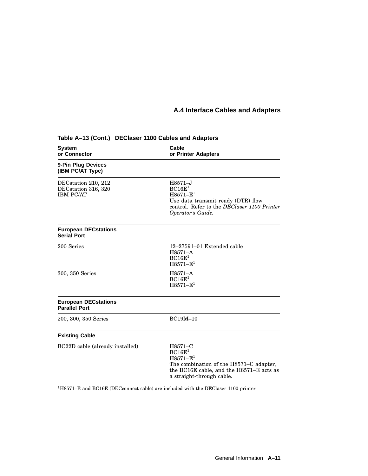# **A.4 Interface Cables and Adapters**

| <b>System</b><br>or Connector                                  | Cable<br>or Printer Adapters                                                                                                                                     |  |
|----------------------------------------------------------------|------------------------------------------------------------------------------------------------------------------------------------------------------------------|--|
| 9-Pin Plug Devices<br>(IBM PC/AT Type)                         |                                                                                                                                                                  |  |
| DECstation 210, 212<br>DECstation 316, 320<br><b>IBM PC/AT</b> | $H8571 - J$<br>BC16E <sup>1</sup><br>$H8571 - E^1$<br>Use data transmit ready (DTR) flow<br>control. Refer to the DEClaser 1100 Printer<br>Operator's Guide.     |  |
| <b>European DECstations</b><br><b>Serial Port</b>              |                                                                                                                                                                  |  |
| 200 Series                                                     | $12-27591-01$ Extended cable<br>H8571-A<br>BC16E <sup>1</sup><br>$H8571 - E^1$                                                                                   |  |
| 300, 350 Series                                                | H8571-A<br>BC16E <sup>1</sup><br>$H8571 - E^1$                                                                                                                   |  |
| <b>European DECstations</b><br><b>Parallel Port</b>            |                                                                                                                                                                  |  |
| 200, 300, 350 Series                                           | BC19M-10                                                                                                                                                         |  |
| <b>Existing Cable</b>                                          |                                                                                                                                                                  |  |
| BC22D cable (already installed)                                | H8571-C<br>BC16E <sup>1</sup><br>$H8571-E^1$<br>The combination of the H8571–C adapter,<br>the BC16E cable, and the H8571-E acts as<br>a straight-through cable. |  |
|                                                                | $1H8571-E$ and BC16E (DEC connect cable) are included with the DEC laser 1100 printer.                                                                           |  |

## **Table A–13 (Cont.) DEClaser 1100 Cables and Adapters**

General Information **A–11**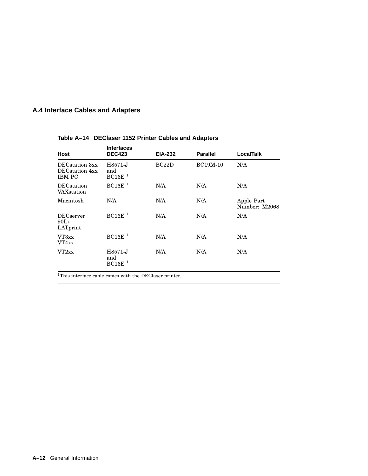# **A.4 Interface Cables and Adapters**

| Host                                                                      | <b>Interfaces</b><br><b>DEC423</b>   | <b>EIA-232</b> | <b>Parallel</b> | <b>LocalTalk</b>            |
|---------------------------------------------------------------------------|--------------------------------------|----------------|-----------------|-----------------------------|
| DEC <sub>station</sub> 3xx<br>DEC <sub>station</sub> 4xx<br><b>IBM PC</b> | H8571-J<br>and<br>BC16E <sup>1</sup> | BC22D          | <b>BC19M-10</b> | N/A                         |
| <b>DEC</b> station<br>VAXstation                                          | BC16E <sup>1</sup>                   | N/A            | N/A             | N/A                         |
| Macintosh                                                                 | N/A                                  | N/A            | N/A             | Apple Part<br>Number: M2068 |
| <b>DECserver</b><br>$90L+$<br>LATprint                                    | BC16E <sup>1</sup>                   | N/A            | N/A             | N/A                         |
| VT3xx<br>VT4xx                                                            | BC16E <sup>1</sup>                   | N/A            | N/A             | N/A                         |
| VT2xx                                                                     | H8571-J<br>and<br>BC16E <sup>1</sup> | N/A            | N/A             | N/A                         |

**Table A–14 DEClaser 1152 Printer Cables and Adapters**

 $^{\rm 1}$  This interface cable comes with the DEClaser printer.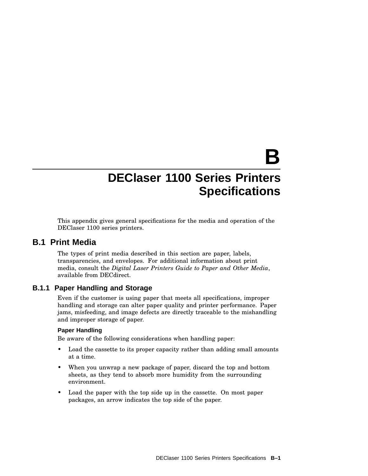# **B**

# **DEClaser 1100 Series Printers Specifications**

This appendix gives general specifications for the media and operation of the DEClaser 1100 series printers.

## **B.1 Print Media**

The types of print media described in this section are paper, labels, transparencies, and envelopes. For additional information about print media, consult the *Digital Laser Printers Guide to Paper and Other Media*, available from DECdirect.

#### **B.1.1 Paper Handling and Storage**

Even if the customer is using paper that meets all specifications, improper handling and storage can alter paper quality and printer performance. Paper jams, misfeeding, and image defects are directly traceable to the mishandling and improper storage of paper.

#### **Paper Handling**

Be aware of the following considerations when handling paper:

- Load the cassette to its proper capacity rather than adding small amounts at a time.
- When you unwrap a new package of paper, discard the top and bottom sheets, as they tend to absorb more humidity from the surrounding environment.
- Load the paper with the top side up in the cassette. On most paper packages, an arrow indicates the top side of the paper.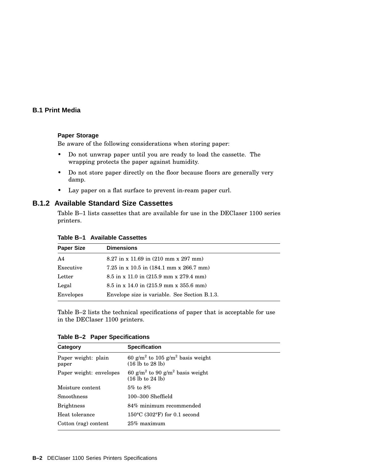#### **B.1 Print Media**

#### **Paper Storage**

Be aware of the following considerations when storing paper:

- Do not unwrap paper until you are ready to load the cassette. The wrapping protects the paper against humidity.
- Do not store paper directly on the floor because floors are generally very damp.
- Lay paper on a flat surface to prevent in-ream paper curl.

#### **B.1.2 Available Standard Size Cassettes**

Table B–1 lists cassettes that are available for use in the DEClaser 1100 series printers.

| Table B–1   Available Cassettes |  |  |
|---------------------------------|--|--|
|---------------------------------|--|--|

| <b>Paper Size</b> | <b>Dimensions</b>                                              |
|-------------------|----------------------------------------------------------------|
| A <sub>4</sub>    | $8.27$ in x 11.69 in $(210 \text{ mm} \times 297 \text{ mm})$  |
| Executive         | 7.25 in x 10.5 in $(184.1 \text{ mm} \times 266.7 \text{ mm})$ |
| Letter            | $8.5$ in x 11.0 in $(215.9$ mm x 279.4 mm)                     |
| Legal             | $8.5$ in x 14.0 in $(215.9$ mm x 355.6 mm)                     |
| Envelopes         | Envelope size is variable. See Section B.1.3.                  |

Table B–2 lists the technical specifications of paper that is acceptable for use in the DEClaser 1100 printers.

| Table B-2 Paper Specifications |  |
|--------------------------------|--|
|--------------------------------|--|

| Category                     | <b>Specification</b>                                                                           |
|------------------------------|------------------------------------------------------------------------------------------------|
| Paper weight: plain<br>paper | 60 g/m <sup>2</sup> to 105 g/m <sup>2</sup> basis weight<br>(16 lb to 28 lb)                   |
| Paper weight: envelopes      | 60 g/m <sup>2</sup> to 90 g/m <sup>2</sup> basis weight<br>$(16 \text{ lb to } 24 \text{ lb})$ |
| Moisture content             | $5\%$ to $8\%$                                                                                 |
| Smoothness                   | 100–300 Sheffield                                                                              |
| <b>Brightness</b>            | 84% minimum recommended                                                                        |
| Heat tolerance               | $150^{\circ}$ C (302 $^{\circ}$ F) for 0.1 second                                              |
| Cotton (rag) content         | $25\%$ maximum                                                                                 |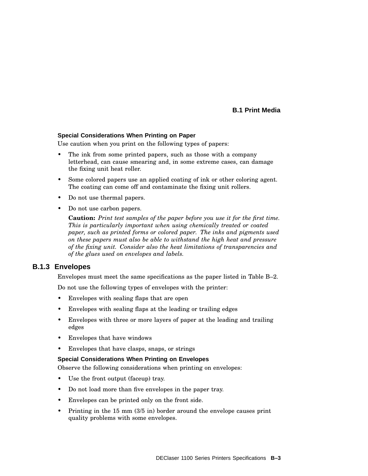#### **B.1 Print Media**

#### **Special Considerations When Printing on Paper**

Use caution when you print on the following types of papers:

- The ink from some printed papers, such as those with a company letterhead, can cause smearing and, in some extreme cases, can damage the fixing unit heat roller.
- Some colored papers use an applied coating of ink or other coloring agent. The coating can come off and contaminate the fixing unit rollers.
- Do not use thermal papers.
- Do not use carbon papers.

**Caution:** *Print test samples of the paper before you use it for the first time. This is particularly important when using chemically treated or coated paper, such as printed forms or colored paper. The inks and pigments used on these papers must also be able to withstand the high heat and pressure of the fixing unit. Consider also the heat limitations of transparencies and of the glues used on envelopes and labels.*

#### **B.1.3 Envelopes**

Envelopes must meet the same specifications as the paper listed in Table B–2.

Do not use the following types of envelopes with the printer:

- Envelopes with sealing flaps that are open
- Envelopes with sealing flaps at the leading or trailing edges
- Envelopes with three or more layers of paper at the leading and trailing edges
- Envelopes that have windows
- Envelopes that have clasps, snaps, or strings

#### **Special Considerations When Printing on Envelopes**

Observe the following considerations when printing on envelopes:

- Use the front output (faceup) tray.
- Do not load more than five envelopes in the paper tray.
- Envelopes can be printed only on the front side.
- Printing in the 15 mm (3/5 in) border around the envelope causes print quality problems with some envelopes.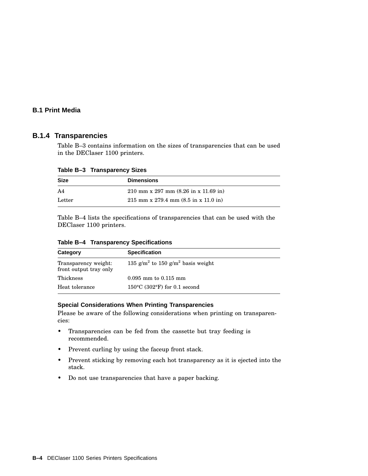#### **B.1 Print Media**

#### **B.1.4 Transparencies**

Table B–3 contains information on the sizes of transparencies that can be used in the DEClaser 1100 printers.

| Table D-3 Transparency Sizes |                                                                                  |  |
|------------------------------|----------------------------------------------------------------------------------|--|
| <b>Size</b>                  | <b>Dimensions</b>                                                                |  |
| A <sub>4</sub>               | 210 mm x 297 mm $(8.26 \text{ in x } 11.69 \text{ in})$                          |  |
| Letter                       | $215 \text{ mm} \times 279.4 \text{ mm} (8.5 \text{ in} \times 11.0 \text{ in})$ |  |

**Table B–3 Transparency Sizes**

Table B–4 lists the specifications of transparencies that can be used with the DEClaser 1100 printers.

|  |  | Table B-4 Transparency Specifications |
|--|--|---------------------------------------|
|--|--|---------------------------------------|

| Category                                       | <b>Specification</b>                                      |
|------------------------------------------------|-----------------------------------------------------------|
| Transparency weight:<br>front output tray only | 135 g/m <sup>2</sup> to 150 g/m <sup>2</sup> basis weight |
| Thickness                                      | $0.095$ mm to $0.115$ mm                                  |
| Heat tolerance                                 | $150^{\circ}$ C (302°F) for 0.1 second                    |

#### **Special Considerations When Printing Transparencies**

Please be aware of the following considerations when printing on transparencies:

- Transparencies can be fed from the cassette but tray feeding is recommended.
- Prevent curling by using the faceup front stack.
- Prevent sticking by removing each hot transparency as it is ejected into the stack.
- Do not use transparencies that have a paper backing.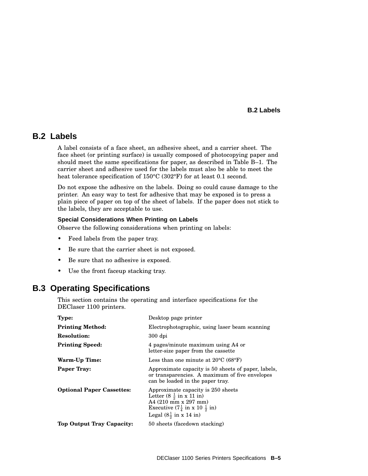#### **B.2 Labels**

### **B.2 Labels**

A label consists of a face sheet, an adhesive sheet, and a carrier sheet. The face sheet (or printing surface) is usually composed of photocopying paper and should meet the same specifications for paper, as described in Table B–1. The carrier sheet and adhesive used for the labels must also be able to meet the heat tolerance specification of 150°C (302°F) for at least 0.1 second.

Do not expose the adhesive on the labels. Doing so could cause damage to the printer. An easy way to test for adhesive that may be exposed is to press a plain piece of paper on top of the sheet of labels. If the paper does not stick to the labels, they are acceptable to use.

#### **Special Considerations When Printing on Labels**

Observe the following considerations when printing on labels:

- Feed labels from the paper tray.
- Be sure that the carrier sheet is not exposed.
- Be sure that no adhesive is exposed.
- Use the front faceup stacking tray.

# **B.3 Operating Specifications**

This section contains the operating and interface specifications for the DEClaser 1100 printers.

| <b>Type:</b>                     | Desktop page printer                                                                                                                                                                         |
|----------------------------------|----------------------------------------------------------------------------------------------------------------------------------------------------------------------------------------------|
| <b>Printing Method:</b>          | Electrophotographic, using laser beam scanning                                                                                                                                               |
| <b>Resolution:</b>               | $300$ dpi                                                                                                                                                                                    |
| <b>Printing Speed:</b>           | 4 pages/minute maximum using A4 or<br>letter-size paper from the cassette                                                                                                                    |
| Warm-Up Time:                    | Less than one minute at $20^{\circ}$ C (68 $^{\circ}$ F)                                                                                                                                     |
| <b>Paper Tray:</b>               | Approximate capacity is 50 sheets of paper, labels,<br>or transparencies. A maximum of five envelopes<br>can be loaded in the paper tray.                                                    |
| <b>Optional Paper Cassettes:</b> | Approximate capacity is 250 sheets<br>Letter $(8\frac{1}{2}$ in x 11 in)<br>A4 (210 mm x 297 mm)<br>Executive $(7\frac{1}{4}$ in x 10 $\frac{1}{2}$ in)<br>Legal $(8\frac{1}{2}$ in x 14 in) |
| Top Output Tray Capacity:        | 50 sheets (facedown stacking)                                                                                                                                                                |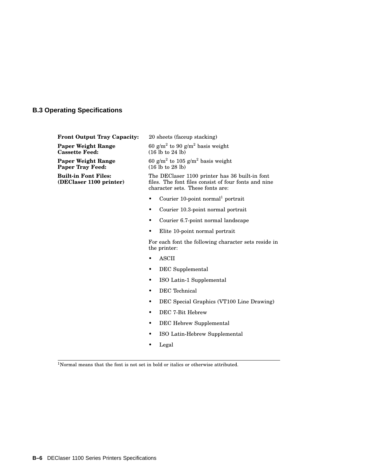#### **B.3 Operating Specifications**

**Front Output Tray Capacity:** 20 sheets (faceup stacking)

**Paper Weight Range Cassette Feed:**

**Paper Weight Range Paper Tray Feed:**

**Built-in Font Files: (DEClaser 1100 printer)**

 $60$  g/m $^2$  to  $90$  g/m $^2$  basis weight (16 lb to 24 lb)

60 g/m<sup>2</sup> to 105 g/m<sup>2</sup> basis weight (16 lb to 28 lb)

The DEClaser 1100 printer has 36 built-in font files. The font files consist of four fonts and nine character sets. These fonts are:

- Courier 10-point normal<sup>1</sup> portrait
- Courier 10.3-point normal portrait
- Courier 6.7-point normal landscape
- Elite 10-point normal portrait

For each font the following character sets reside in the printer:

- ASCII
- DEC Supplemental
- ISO Latin-1 Supplemental
- DEC Technical
- DEC Special Graphics (VT100 Line Drawing)
- DEC 7-Bit Hebrew
- DEC Hebrew Supplemental
- ISO Latin-Hebrew Supplemental
- Legal

<sup>1</sup>Normal means that the font is not set in bold or italics or otherwise attributed.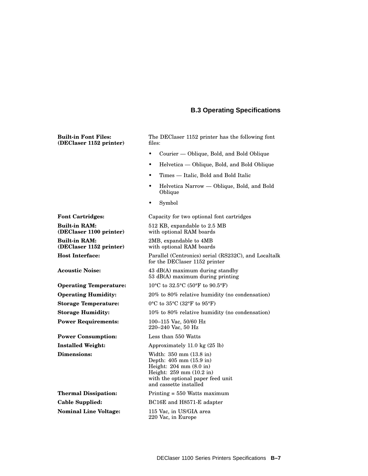#### **B.3 Operating Specifications**

**Built-in Font Files: (DEClaser 1152 printer)** The DEClaser 1152 printer has the following font files: • Courier — Oblique, Bold, and Bold Oblique • Helvetica — Oblique, Bold, and Bold Oblique • Times — Italic, Bold and Bold Italic • Helvetica Narrow — Oblique, Bold, and Bold Oblique • Symbol **Font Cartridges:** Capacity for two optional font cartridges **Built-in RAM: (DEClaser 1100 printer)** 512 KB, expandable to 2.5 MB with optional RAM boards **Built-in RAM: (DEClaser 1152 printer)** 2MB, expandable to 4MB with optional RAM boards **Host Interface:** Parallel (Centronics) serial (RS232C), and Localtalk for the DEClaser 1152 printer **Acoustic Noise:** 43 dB(A) maximum during standby 53 dB(A) maximum during printing **Operating Temperature:** 10°C to 32.5°C (50°F to 90.5°F) **Operating Humidity:** 20% to 80% relative humidity (no condensation) **Storage Temperature:** 0°C to 35°C (32°F to 95°F) **Storage Humidity:** 10% to 80% relative humidity (no condensation) **Power Requirements:** 100–115 Vac, 50/60 Hz 220–240 Vac, 50 Hz **Power Consumption:** Less than 550 Watts **Installed Weight:** Approximately 11.0 kg (25 lb) **Dimensions:** Width: 350 mm (13.8 in) Depth: 405 mm (15.9 in) Height: 204 mm (8.0 in) Height: 259 mm (10.2 in) with the optional paper feed unit and cassette installed **Thermal Dissipation:** Printing = 550 Watts maximum **Cable Supplied:** BC16E and H8571-E adapter **Nominal Line Voltage:** 115 Vac, in US/GIA area 220 Vac, in Europe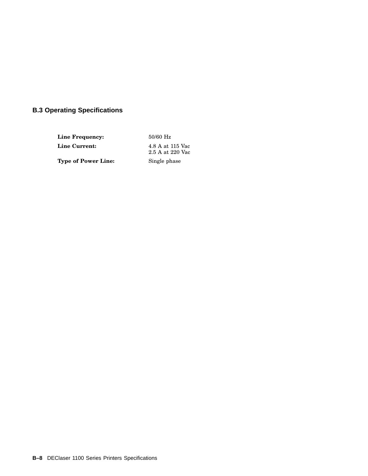# **B.3 Operating Specifications**

**Line Frequency:** 50/60 Hz **Line Current:** 4.8 A at 115 Vac 2.5 A at 220 Vac **Type of Power Line:** Single phase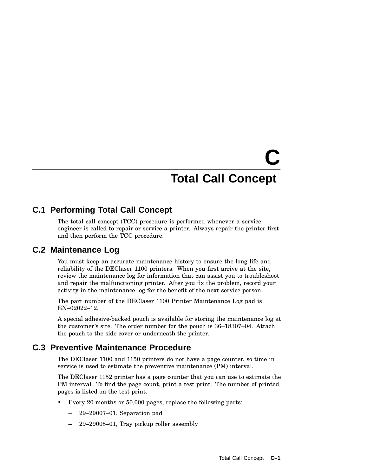# **C Total Call Concept**

# **C.1 Performing Total Call Concept**

The total call concept (TCC) procedure is performed whenever a service engineer is called to repair or service a printer. Always repair the printer first and then perform the TCC procedure.

# **C.2 Maintenance Log**

You must keep an accurate maintenance history to ensure the long life and reliability of the DEClaser 1100 printers. When you first arrive at the site, review the maintenance log for information that can assist you to troubleshoot and repair the malfunctioning printer. After you fix the problem, record your activity in the maintenance log for the benefit of the next service person.

The part number of the DEClaser 1100 Printer Maintenance Log pad is EN–02022–12.

A special adhesive-backed pouch is available for storing the maintenance log at the customer's site. The order number for the pouch is 36–18307–04. Attach the pouch to the side cover or underneath the printer.

# **C.3 Preventive Maintenance Procedure**

The DEClaser 1100 and 1150 printers do not have a page counter, so time in service is used to estimate the preventive maintenance (PM) interval.

The DEClaser 1152 printer has a page counter that you can use to estimate the PM interval. To find the page count, print a test print. The number of printed pages is listed on the test print.

- Every 20 months or 50,000 pages, replace the following parts:
	- 29–29007–01, Separation pad
	- 29–29005–01, Tray pickup roller assembly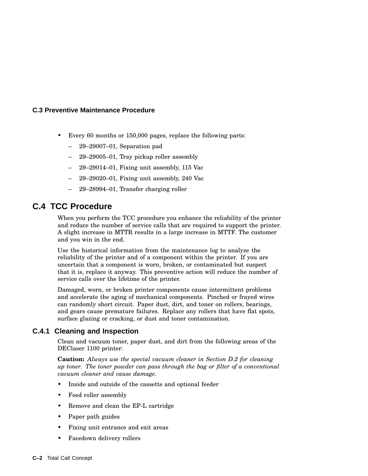#### **C.3 Preventive Maintenance Procedure**

- Every 60 months or 150,000 pages, replace the following parts:
	- 29–29007–01, Separation pad
	- 29–29005–01, Tray pickup roller assembly
	- 29–29014–01, Fixing unit assembly, 115 Vac
	- 29–29020–01, Fixing unit assembly, 240 Vac
	- 29–28994–01, Transfer charging roller

# **C.4 TCC Procedure**

When you perform the TCC procedure you enhance the reliability of the printer and reduce the number of service calls that are required to support the printer. A slight increase in MTTR results in a large increase in MTTF. The customer and you win in the end.

Use the historical information from the maintenance log to analyze the reliability of the printer and of a component within the printer. If you are uncertain that a component is worn, broken, or contaminated but suspect that it is, replace it anyway. This preventive action will reduce the number of service calls over the lifetime of the printer.

Damaged, worn, or broken printer components cause intermittent problems and accelerate the aging of mechanical components. Pinched or frayed wires can randomly short circuit. Paper dust, dirt, and toner on rollers, bearings, and gears cause premature failures. Replace any rollers that have flat spots, surface glazing or cracking, or dust and toner contamination.

#### **C.4.1 Cleaning and Inspection**

Clean and vacuum toner, paper dust, and dirt from the following areas of the DEClaser 1100 printer:

**Caution:** *Always use the special vacuum cleaner in Section D.2 for cleaning up toner. The toner powder can pass through the bag or filter of a conventional vacuum cleaner and cause damage.*

- Inside and outside of the cassette and optional feeder
- Feed roller assembly
- Remove and clean the EP-L cartridge
- Paper path guides
- Fixing unit entrance and exit areas
- Facedown delivery rollers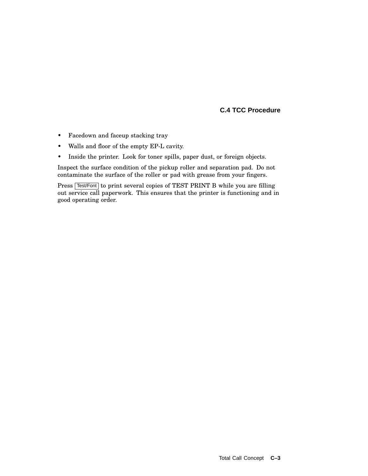#### **C.4 TCC Procedure**

- Facedown and faceup stacking tray
- Walls and floor of the empty EP-L cavity.
- Inside the printer. Look for toner spills, paper dust, or foreign objects.

Inspect the surface condition of the pickup roller and separation pad. Do not contaminate the surface of the roller or pad with grease from your fingers.

Press Test/Font to print several copies of TEST PRINT B while you are filling out service call paperwork. This ensures that the printer is functioning and in good operating order.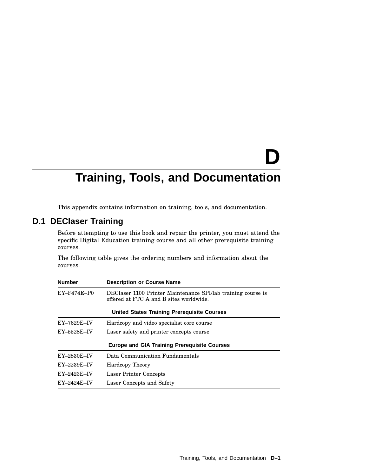# **D**

# **Training, Tools, and Documentation**

This appendix contains information on training, tools, and documentation.

# **D.1 DEClaser Training**

Before attempting to use this book and repair the printer, you must attend the specific Digital Education training course and all other prerequisite training courses.

The following table gives the ordering numbers and information about the courses.

| <b>Number</b> | <b>Description or Course Name</b>                                                                       |
|---------------|---------------------------------------------------------------------------------------------------------|
| $EY-F474E-P0$ | DEClaser 1100 Printer Maintenance SPI/lab training course is<br>offered at FTC A and B sites worldwide. |
|               | <b>United States Training Prerequisite Courses</b>                                                      |
| $EY-7629E-IV$ | Hardcopy and video specialist core course                                                               |
| EY-5528E-IV   | Laser safety and printer concepts course                                                                |
|               | <b>Europe and GIA Training Prerequisite Courses</b>                                                     |
| EY-2830E-IV   | Data Communication Fundamentals                                                                         |
| $EY-2239E-IV$ | <b>Hardcopy Theory</b>                                                                                  |
| $EY-2423E-IV$ | Laser Printer Concepts                                                                                  |
| $EY-2424E-IV$ | Laser Concepts and Safety                                                                               |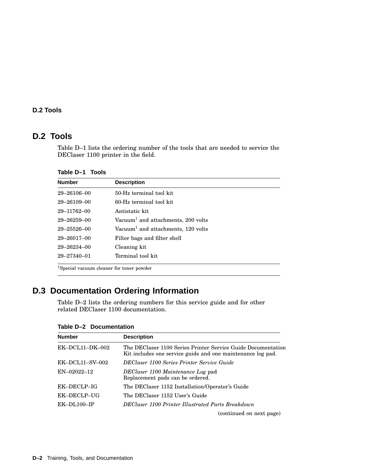#### **D.2 Tools**

# **D.2 Tools**

Table D–1 lists the ordering number of the tools that are needed to service the DEClaser 1100 printer in the field.

| Table D-1 Tools |  |  |
|-----------------|--|--|
|-----------------|--|--|

| <b>Number</b>                                        | <b>Description</b>                             |
|------------------------------------------------------|------------------------------------------------|
| $29 - 26106 - 00$                                    | 50-Hz terminal tool kit                        |
| $29 - 26109 - 00$                                    | 60-Hz terminal tool kit.                       |
| 29-11762-00                                          | Antistatic kit                                 |
| $29 - 26259 - 00$                                    | Vacuum <sup>1</sup> and attachments, 200 volts |
| $29 - 25526 - 00$                                    | Vacuum <sup>1</sup> and attachments, 120 volts |
| $29 - 26017 - 00$                                    | Filter bags and filter shell                   |
| $29 - 26234 - 00$                                    | Cleaning kit                                   |
| $29 - 27340 - 01$                                    | Terminal tool kit                              |
| <sup>1</sup> Special vacuum cleaner for toner powder |                                                |

# **D.3 Documentation Ordering Information**

Table D–2 lists the ordering numbers for this service guide and for other related DEClaser 1100 documentation.

| <b>Number</b>     | <b>Description</b>                                                                                                          |
|-------------------|-----------------------------------------------------------------------------------------------------------------------------|
| EK-DCL11-DK-002   | The DEClaser 1100 Series Printer Service Guide Documentation<br>Kit includes one service guide and one maintenance log pad. |
| $EK-DCL11-SV-002$ | DEClaser 1100 Series Printer Service Guide                                                                                  |
| $EN-02022-12$     | DEClaser 1100 Maintenance Log pad<br>Replacement pads can be ordered.                                                       |
| EK-DECLP-IG       | The DEClaser 1152 Installation/Operator's Guide                                                                             |
| EK-DECLP-UG       | The DEClaser 1152 User's Guide                                                                                              |
| $EK-DL100-IP$     | DEClaser 1100 Printer Illustrated Parts Breakdown                                                                           |
|                   | (continued on next page)                                                                                                    |

**Table D–2 Documentation**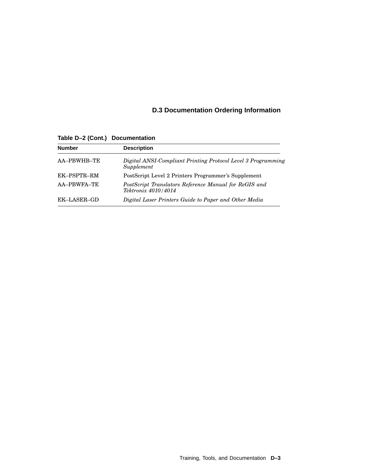# **D.3 Documentation Ordering Information**

**Table D–2 (Cont.) Documentation**

| <b>Number</b> | <b>Description</b>                                                           |
|---------------|------------------------------------------------------------------------------|
| AA-PBWHB-TE   | Digital ANSI-Compliant Printing Protocol Level 3 Programming<br>Supplement   |
| EK-PSPTR-RM   | PostScript Level 2 Printers Programmer's Supplement                          |
| AA-PBWFA-TE   | PostScript Translators Reference Manual for ReGIS and<br>Tektronix 4010/4014 |
| EK-LASER-GD   | Digital Laser Printers Guide to Paper and Other Media                        |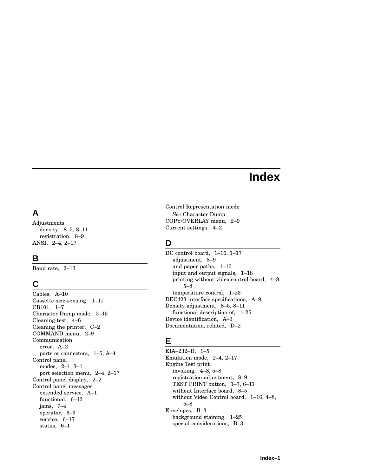# **Index**

# **A**

Adjustments density, 8–5, 8–11 registration, 8–9 ANSI, 2–4, 2–17

# **B**

Baud rate, 2–13

# **C**

Cables, A–10 Cassette size-sensing, 1–11 CB101, 1–7 Character Dump mode, 2–15 Cleaning test, 4–6 Cleaning the printer, C–2 COMMAND menu, 2–9 Communication error, A–2 ports or connectors, 1–5, A–4 Control panel modes, 2–1, 3–1 port selection menu, 2–4, 2–17 Control panel display, 2–2 Control panel messages extended service, A–1 functional, 6–13 jams, 7–4 operator, 6–3 service, 6–17 status, 6–1

Control Representation mode *See* Character Dump COPY/OVERLAY menu, 2–9 Current settings, 4–2

# **D**

DC control board, 1–16, 1–17 adjustment, 8–9 and paper paths, 1–10 input and output signals, 1–18 printing without video control board, 4–8, 5–8 temperature control, 1–23 DEC423 interface specifications, A–9 Density adjustment, 8–5, 8–11 functional description of, 1–25 Device identification, A–3 Documentation, related, D–2

# **E**

EIA–232–D, 1–5 Emulation mode, 2–4, 2–17 Engine Test print invoking, 4–8, 5–8 registration adjustment, 8–9 TEST PRINT button, 1–7, 6–11 without Interface board, 8–5 without Video Control board, 1–16, 4–8, 5–8 Envelopes, B–3 background staining, 1–25 special considerations, B–3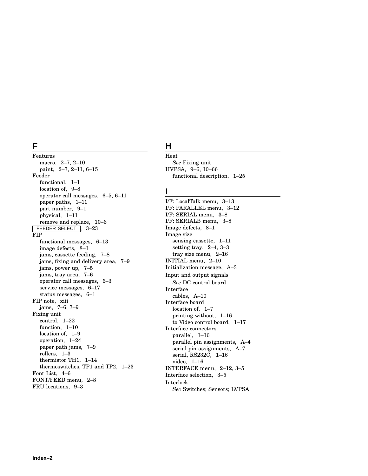# **F**

Features macro, 2–7, 2–10 paint, 2–7, 2–11, 6–15 Feeder functional, 1–1 location of, 9–8 operator call messages, 6–5, 6–11 paper paths, 1–11 part number, 9–1 physical, 1–11 remove and replace, 10–6 FEEDER SELECT | 3-23 FIP functional messages, 6–13 image defects, 8–1 jams, cassette feeding, 7–8 jams, fixing and delivery area, 7–9 jams, power up, 7–5 jams, tray area, 7–6 operator call messages, 6–3 service messages, 6–17 status messages, 6–1 FIP note, xiii jams, 7–6, 7–9 Fixing unit control, 1–22 function, 1–10 location of, 1–9 operation, 1–24 paper path jams, 7–9 rollers, 1–3 thermistor TH1, 1–14 thermoswitches, TP1 and TP2, 1–23 Font List, 4–6 FONT/FEED menu, 2–8 FRU locations, 9–3

# **H**

Heat *See* Fixing unit HVPSA, 9–6, 10–66 functional description, 1–25

#### **I**

I/F: LocalTalk menu, 3–13 I/F: PARALLEL menu, 3–12 I/F: SERIAL menu, 3–8 I/F: SERIALB menu, 3–8 Image defects, 8–1 Image size sensing cassette, 1–11 setting tray, 2–4, 3–3 tray size menu, 2–16 INITIAL menu, 2–10 Initialization message, A–3 Input and output signals *See* DC control board Interface cables, A–10 Interface board location of, 1–7 printing without, 1–16 to Video control board, 1–17 Interface connectors parallel, 1–16 parallel pin assignments, A–4 serial pin assignments, A–7 serial, RS232C, 1–16 video, 1–16 INTERFACE menu, 2–12, 3–5 Interface selection, 3–5 Interlock *See* Switches; Sensors; LVPSA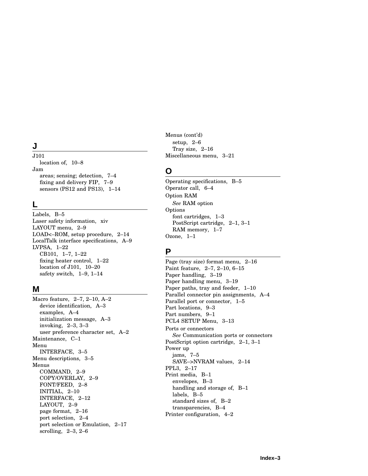# **J**

J101 location of, 10–8 Jam areas; sensing; detection, 7–4 fixing and delivery FIP, 7–9 sensors (PS12 and PS13), 1–14

# **L**

Labels, B–5 Laser safety information, xiv LAYOUT menu, 2–9 LOAD<–ROM, setup procedure, 2–14 LocalTalk interface specifications, A–9 LVPSA, 1–22 CB101, 1–7, 1–22 fixing heater control, 1–22 location of J101, 10–20 safety switch, 1–9, 1–14

#### **M**

Macro feature, 2–7, 2–10, A–2 device identification, A–3 examples, A–4 initialization message, A–3 invoking, 2–3, 3–3 user preference character set, A–2 Maintenance, C–1 Menu INTERFACE, 3–5 Menu descriptions, 3–5 Menus COMMAND, 2–9 COPY/OVERLAY, 2–9 FONT/FEED, 2–8 INITIAL, 2–10 INTERFACE, 2–12 LAYOUT, 2–9 page format, 2–16 port selection, 2–4 port selection or Emulation, 2–17 scrolling, 2–3, 2–6

Menus (cont'd) setup, 2–6 Tray size, 2–16 Miscellaneous menu, 3–21

# **O**

Operating specifications, B–5 Operator call, 6–4 Option RAM *See* RAM option Options font cartridges, 1–3 PostScript cartridge, 2–1, 3–1 RAM memory, 1–7 Ozone, 1–1

# **P**

Page (tray size) format menu, 2–16 Paint feature, 2–7, 2–10, 6–15 Paper handling, 3–19 Paper handling menu, 3–19 Paper paths, tray and feeder, 1–10 Parallel connector pin assignments, A–4 Parallel port or connector, 1–5 Part locations, 9–3 Part numbers, 9–1 PCL4 SETUP Menu, 3–13 Ports or connectors *See* Communication ports or connectors PostScript option cartridge, 2–1, 3–1 Power up jams, 7–5 SAVE–>NVRAM values, 2–14 PPL3, 2–17 Print media, B–1 envelopes, B–3 handling and storage of, B–1 labels, B–5 standard sizes of, B–2 transparencies, B–4 Printer configuration, 4–2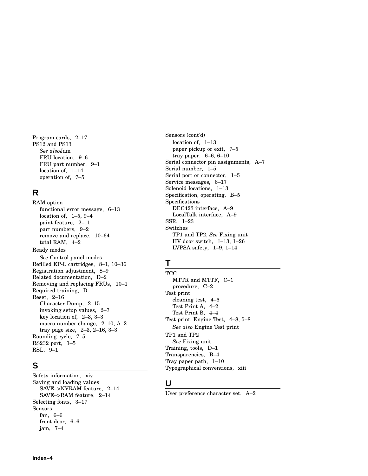Program cards, 2–17 PS12 and PS13 *See also*Jam FRU location, 9–6 FRU part number, 9–1 location of, 1–14 operation of, 7–5

# **R**

RAM option functional error message, 6–13 location of, 1–5, 9–4 paint feature, 2–11 part numbers, 9–2 remove and replace, 10–64 total RAM, 4–2 Ready modes *See* Control panel modes Refilled EP-L cartridges, 8–1, 10–36 Registration adjustment, 8–9 Related documentation, D–2 Removing and replacing FRUs, 10–1 Required training, D–1 Reset, 2–16 Character Dump, 2–15 invoking setup values, 2–7 key location of, 2–3, 3–3 macro number change, 2–10, A–2 tray page size, 2–3, 2–16, 3–3 Rounding cycle, 7–5 RS232 port, 1–5 RSL, 9–1

# **S**

Safety information, xiv Saving and loading values SAVE–>NVRAM feature, 2–14 SAVE–>RAM feature, 2–14 Selecting fonts, 3–17 Sensors fan, 6–6 front door, 6–6 jam, 7–4

Sensors (cont'd) location of, 1–13 paper pickup or exit, 7–5 tray paper, 6–6, 6–10 Serial connector pin assignments, A–7 Serial number, 1–5 Serial port or connector, 1–5 Service messages, 6–17 Solenoid locations, 1–13 Specification, operating, B–5 Specifications DEC423 interface, A–9 LocalTalk interface, A–9 SSR, 1–23 Switches TP1 and TP2, *See* Fixing unit HV door switch, 1–13, 1–26 LVPSA safety, 1–9, 1–14

# **T**

**TCC** MTTR and MTTF, C–1 procedure, C–2 Test print cleaning test, 4–6 Test Print A, 4–2 Test Print B, 4–4 Test print, Engine Test, 4–8, 5–8 *See also* Engine Test print TP1 and TP2 *See* Fixing unit Training, tools, D–1 Transparencies, B–4 Tray paper path, 1–10 Typographical conventions, xiii

# **U**

User preference character set, A–2